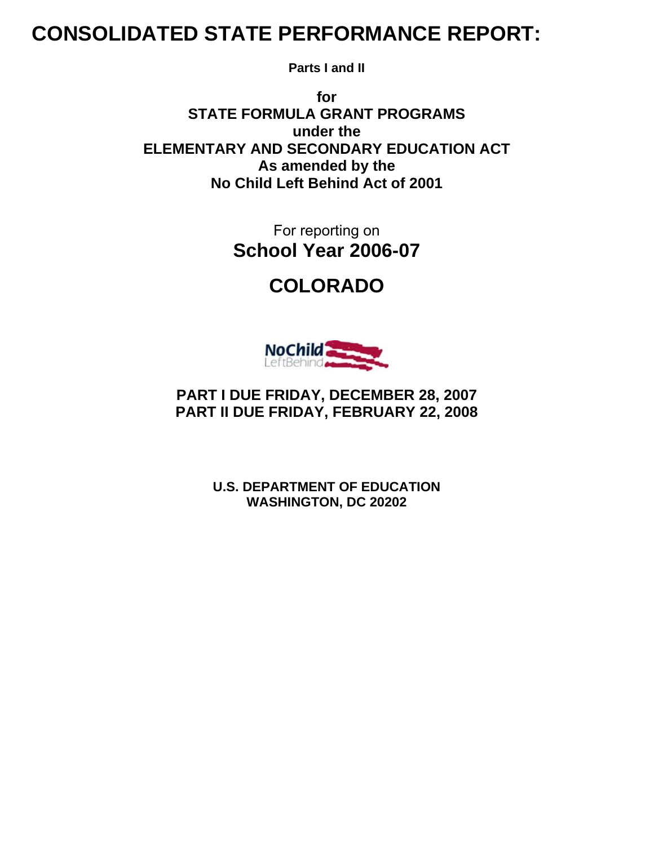# **CONSOLIDATED STATE PERFORMANCE REPORT:**

**Parts I and II** 

**for STATE FORMULA GRANT PROGRAMS under the ELEMENTARY AND SECONDARY EDUCATION ACT As amended by the No Child Left Behind Act of 2001** 

> For reporting on **School Year 2006-07**

> > **COLORADO**



**PART I DUE FRIDAY, DECEMBER 28, 2007 PART II DUE FRIDAY, FEBRUARY 22, 2008** 

> **U.S. DEPARTMENT OF EDUCATION WASHINGTON, DC 20202**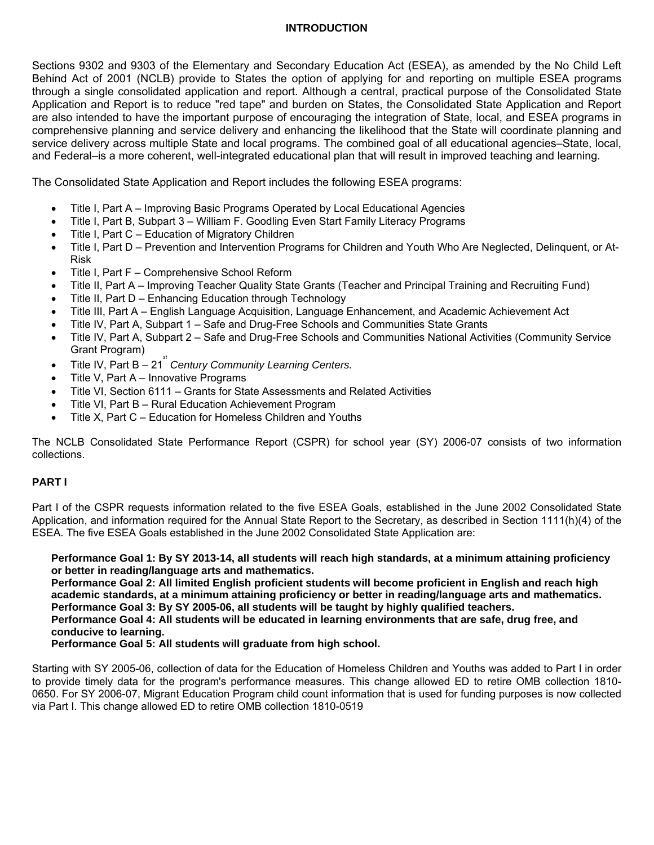#### **INTRODUCTION**

Sections 9302 and 9303 of the Elementary and Secondary Education Act (ESEA), as amended by the No Child Left Behind Act of 2001 (NCLB) provide to States the option of applying for and reporting on multiple ESEA programs through a single consolidated application and report. Although a central, practical purpose of the Consolidated State Application and Report is to reduce "red tape" and burden on States, the Consolidated State Application and Report are also intended to have the important purpose of encouraging the integration of State, local, and ESEA programs in comprehensive planning and service delivery and enhancing the likelihood that the State will coordinate planning and service delivery across multiple State and local programs. The combined goal of all educational agencies–State, local, and Federal–is a more coherent, well-integrated educational plan that will result in improved teaching and learning.

The Consolidated State Application and Report includes the following ESEA programs:

- Title I, Part A Improving Basic Programs Operated by Local Educational Agencies
- Title I, Part B, Subpart 3 William F. Goodling Even Start Family Literacy Programs
- Title I, Part C Education of Migratory Children
- Title I, Part D Prevention and Intervention Programs for Children and Youth Who Are Neglected, Delinquent, or At-Risk
- Title I, Part F Comprehensive School Reform
- Title II, Part A Improving Teacher Quality State Grants (Teacher and Principal Training and Recruiting Fund)
- Title II, Part D Enhancing Education through Technology
- Title III, Part A English Language Acquisition, Language Enhancement, and Academic Achievement Act
- Title IV, Part A, Subpart 1 Safe and Drug-Free Schools and Communities State Grants
- Title IV, Part A, Subpart 2 Safe and Drug-Free Schools and Communities National Activities (Community Service Grant Program)
- Title IV, Part B 21<sup><sup>\*</sup></sup> Century Community Learning Centers.
- Title V, Part A Innovative Programs
- Title VI, Section 6111 Grants for State Assessments and Related Activities
- Title VI, Part B Rural Education Achievement Program
- Title X, Part C Education for Homeless Children and Youths

The NCLB Consolidated State Performance Report (CSPR) for school year (SY) 2006-07 consists of two information collections.

#### **PART I**

Part I of the CSPR requests information related to the five ESEA Goals, established in the June 2002 Consolidated State Application, and information required for the Annual State Report to the Secretary, as described in Section 1111(h)(4) of the ESEA. The five ESEA Goals established in the June 2002 Consolidated State Application are:

**Performance Goal 1: By SY 2013-14, all students will reach high standards, at a minimum attaining proficiency or better in reading/language arts and mathematics.** 

**Performance Goal 2: All limited English proficient students will become proficient in English and reach high academic standards, at a minimum attaining proficiency or better in reading/language arts and mathematics. Performance Goal 3: By SY 2005-06, all students will be taught by highly qualified teachers. Performance Goal 4: All students will be educated in learning environments that are safe, drug free, and conducive to learning.** 

**Performance Goal 5: All students will graduate from high school.** 

Starting with SY 2005-06, collection of data for the Education of Homeless Children and Youths was added to Part I in order to provide timely data for the program's performance measures. This change allowed ED to retire OMB collection 1810- 0650. For SY 2006-07, Migrant Education Program child count information that is used for funding purposes is now collected via Part I. This change allowed ED to retire OMB collection 1810-0519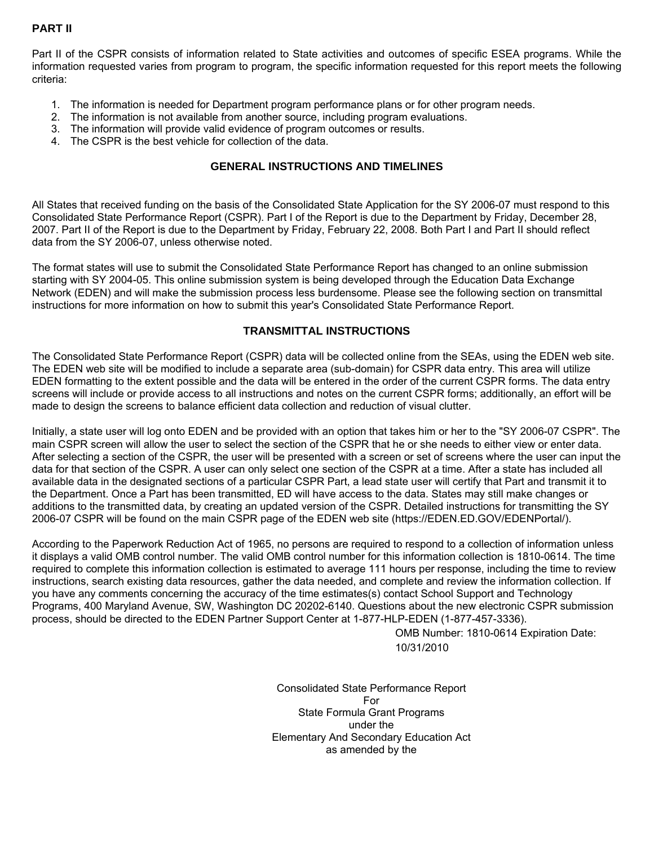# **PART II**

Part II of the CSPR consists of information related to State activities and outcomes of specific ESEA programs. While the information requested varies from program to program, the specific information requested for this report meets the following criteria:

- 1. The information is needed for Department program performance plans or for other program needs.
- 2. The information is not available from another source, including program evaluations.
- 3. The information will provide valid evidence of program outcomes or results.
- 4. The CSPR is the best vehicle for collection of the data.

#### **GENERAL INSTRUCTIONS AND TIMELINES**

All States that received funding on the basis of the Consolidated State Application for the SY 2006-07 must respond to this Consolidated State Performance Report (CSPR). Part I of the Report is due to the Department by Friday, December 28, 2007. Part II of the Report is due to the Department by Friday, February 22, 2008. Both Part I and Part II should reflect data from the SY 2006-07, unless otherwise noted.

The format states will use to submit the Consolidated State Performance Report has changed to an online submission starting with SY 2004-05. This online submission system is being developed through the Education Data Exchange Network (EDEN) and will make the submission process less burdensome. Please see the following section on transmittal instructions for more information on how to submit this year's Consolidated State Performance Report.

#### **TRANSMITTAL INSTRUCTIONS**

The Consolidated State Performance Report (CSPR) data will be collected online from the SEAs, using the EDEN web site. The EDEN web site will be modified to include a separate area (sub-domain) for CSPR data entry. This area will utilize EDEN formatting to the extent possible and the data will be entered in the order of the current CSPR forms. The data entry screens will include or provide access to all instructions and notes on the current CSPR forms; additionally, an effort will be made to design the screens to balance efficient data collection and reduction of visual clutter.

Initially, a state user will log onto EDEN and be provided with an option that takes him or her to the "SY 2006-07 CSPR". The main CSPR screen will allow the user to select the section of the CSPR that he or she needs to either view or enter data. After selecting a section of the CSPR, the user will be presented with a screen or set of screens where the user can input the data for that section of the CSPR. A user can only select one section of the CSPR at a time. After a state has included all available data in the designated sections of a particular CSPR Part, a lead state user will certify that Part and transmit it to the Department. Once a Part has been transmitted, ED will have access to the data. States may still make changes or additions to the transmitted data, by creating an updated version of the CSPR. Detailed instructions for transmitting the SY 2006-07 CSPR will be found on the main CSPR page of the EDEN web site (https://EDEN.ED.GOV/EDENPortal/).

According to the Paperwork Reduction Act of 1965, no persons are required to respond to a collection of information unless it displays a valid OMB control number. The valid OMB control number for this information collection is 1810-0614. The time required to complete this information collection is estimated to average 111 hours per response, including the time to review instructions, search existing data resources, gather the data needed, and complete and review the information collection. If you have any comments concerning the accuracy of the time estimates(s) contact School Support and Technology Programs, 400 Maryland Avenue, SW, Washington DC 20202-6140. Questions about the new electronic CSPR submission process, should be directed to the EDEN Partner Support Center at 1-877-HLP-EDEN (1-877-457-3336).

> OMB Number: 1810-0614 Expiration Date: 10/31/2010

Consolidated State Performance Report For State Formula Grant Programs under the Elementary And Secondary Education Act as amended by the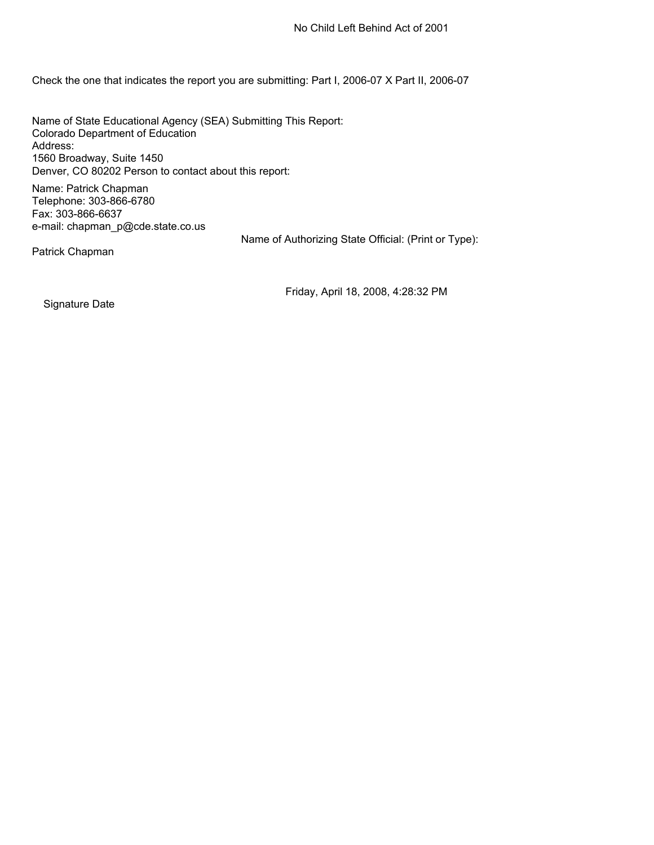Check the one that indicates the report you are submitting: Part I, 2006-07 X Part II, 2006-07

Name of State Educational Agency (SEA) Submitting This Report: Colorado Department of Education Address: 1560 Broadway, Suite 1450 Denver, CO 80202 Person to contact about this report:

Name: Patrick Chapman Telephone: 303-866-6780 Fax: 303-866-6637 e-mail: chapman\_p@cde.state.co.us

Name of Authorizing State Official: (Print or Type):

Patrick Chapman

Friday, April 18, 2008, 4:28:32 PM

Signature Date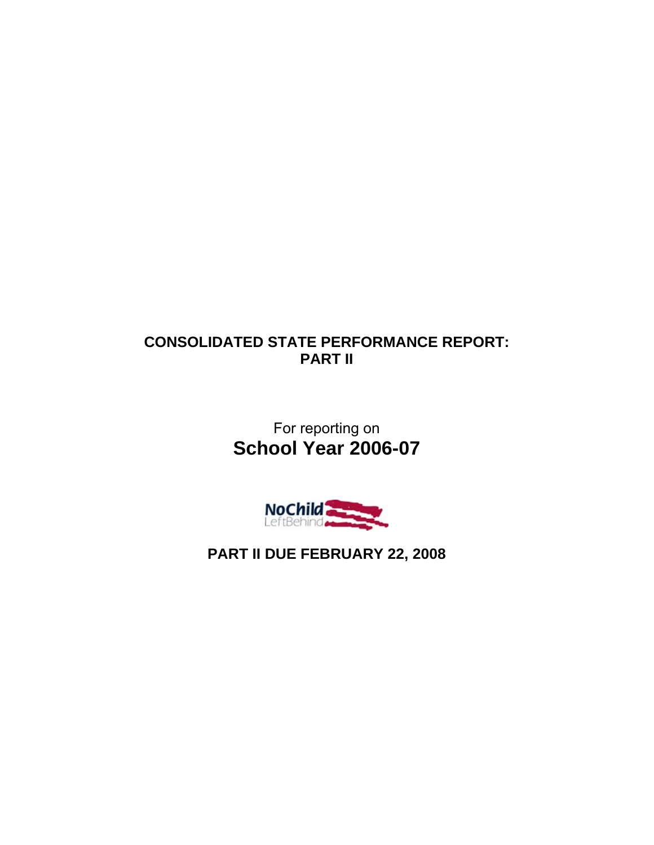# **CONSOLIDATED STATE PERFORMANCE REPORT: PART II**

For reporting on **School Year 2006-07** 



**PART II DUE FEBRUARY 22, 2008**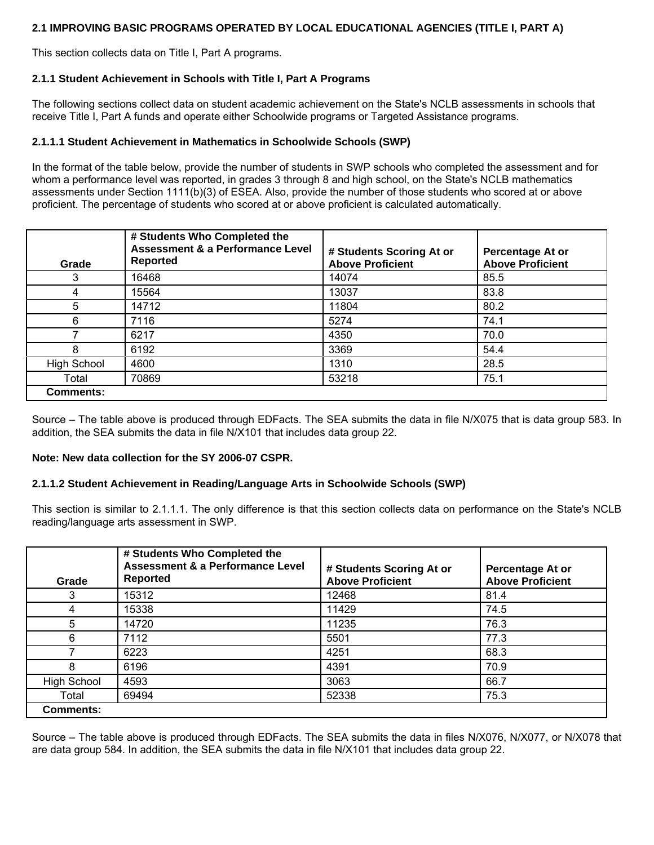### **2.1 IMPROVING BASIC PROGRAMS OPERATED BY LOCAL EDUCATIONAL AGENCIES (TITLE I, PART A)**

This section collects data on Title I, Part A programs.

#### **2.1.1 Student Achievement in Schools with Title I, Part A Programs**

The following sections collect data on student academic achievement on the State's NCLB assessments in schools that receive Title I, Part A funds and operate either Schoolwide programs or Targeted Assistance programs.

#### **2.1.1.1 Student Achievement in Mathematics in Schoolwide Schools (SWP)**

In the format of the table below, provide the number of students in SWP schools who completed the assessment and for whom a performance level was reported, in grades 3 through 8 and high school, on the State's NCLB mathematics assessments under Section 1111(b)(3) of ESEA. Also, provide the number of those students who scored at or above proficient. The percentage of students who scored at or above proficient is calculated automatically.

| Grade              | # Students Who Completed the<br><b>Assessment &amp; a Performance Level</b><br><b>Reported</b> | # Students Scoring At or<br><b>Above Proficient</b> | Percentage At or<br><b>Above Proficient</b> |
|--------------------|------------------------------------------------------------------------------------------------|-----------------------------------------------------|---------------------------------------------|
| 3                  | 16468                                                                                          | 14074                                               | 85.5                                        |
| 4                  | 15564                                                                                          | 13037                                               | 83.8                                        |
| 5                  | 14712                                                                                          | 11804                                               | 80.2                                        |
| 6                  | 7116                                                                                           | 5274                                                | 74.1                                        |
|                    | 6217                                                                                           | 4350                                                | 70.0                                        |
| 8                  | 6192                                                                                           | 3369                                                | 54.4                                        |
| <b>High School</b> | 4600                                                                                           | 1310                                                | 28.5                                        |
| Total              | 70869                                                                                          | 53218                                               | 75.1                                        |
| <b>Comments:</b>   |                                                                                                |                                                     |                                             |

Source – The table above is produced through EDFacts. The SEA submits the data in file N/X075 that is data group 583. In addition, the SEA submits the data in file N/X101 that includes data group 22.

#### **Note: New data collection for the SY 2006-07 CSPR.**

#### **2.1.1.2 Student Achievement in Reading/Language Arts in Schoolwide Schools (SWP)**

This section is similar to 2.1.1.1. The only difference is that this section collects data on performance on the State's NCLB reading/language arts assessment in SWP.

| Grade              | # Students Who Completed the<br>Assessment & a Performance Level<br><b>Reported</b> | # Students Scoring At or<br><b>Above Proficient</b> | Percentage At or<br><b>Above Proficient</b> |
|--------------------|-------------------------------------------------------------------------------------|-----------------------------------------------------|---------------------------------------------|
|                    | 15312                                                                               | 12468                                               | 81.4                                        |
| 4                  | 15338                                                                               | 11429                                               | 74.5                                        |
| 5                  | 14720                                                                               | 11235                                               | 76.3                                        |
| 6                  | 7112                                                                                | 5501                                                | 77.3                                        |
|                    | 6223                                                                                | 4251                                                | 68.3                                        |
| 8                  | 6196                                                                                | 4391                                                | 70.9                                        |
| <b>High School</b> | 4593                                                                                | 3063                                                | 66.7                                        |
| Total              | 69494                                                                               | 52338                                               | 75.3                                        |
| <b>Comments:</b>   |                                                                                     |                                                     |                                             |

Source – The table above is produced through EDFacts. The SEA submits the data in files N/X076, N/X077, or N/X078 that are data group 584. In addition, the SEA submits the data in file N/X101 that includes data group 22.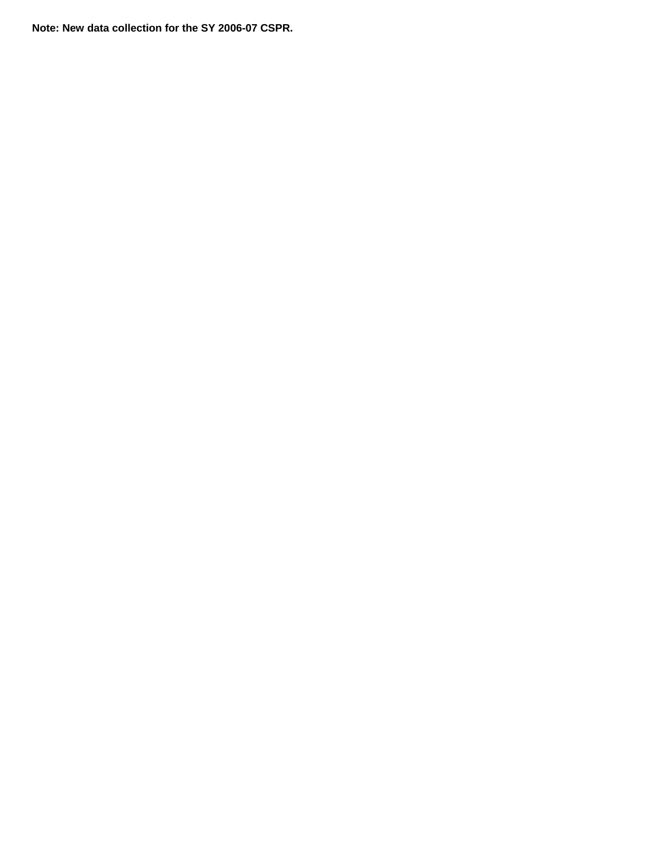**Note: New data collection for the SY 2006-07 CSPR.**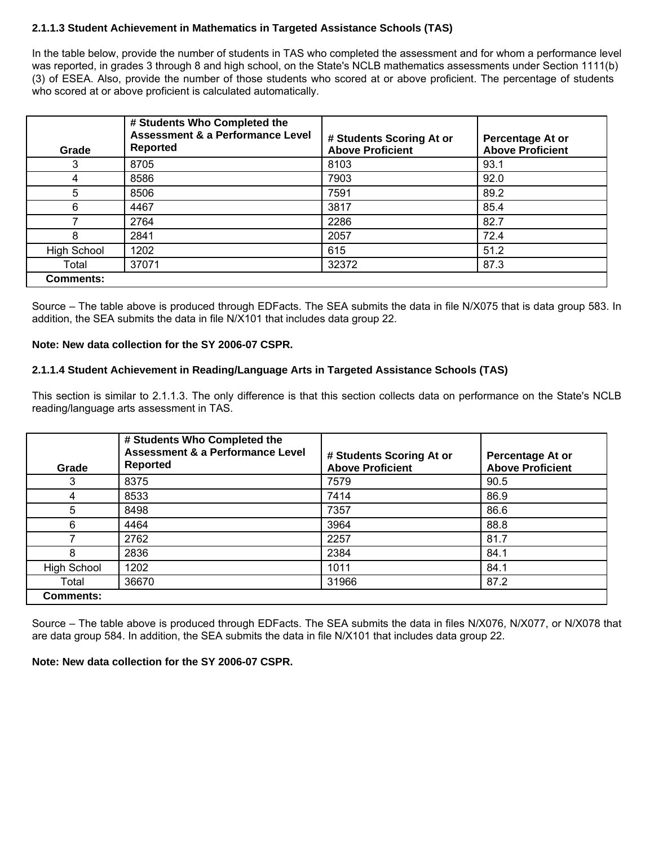#### **2.1.1.3 Student Achievement in Mathematics in Targeted Assistance Schools (TAS)**

In the table below, provide the number of students in TAS who completed the assessment and for whom a performance level was reported, in grades 3 through 8 and high school, on the State's NCLB mathematics assessments under Section 1111(b) (3) of ESEA. Also, provide the number of those students who scored at or above proficient. The percentage of students who scored at or above proficient is calculated automatically.

| Grade              | # Students Who Completed the<br><b>Assessment &amp; a Performance Level</b><br><b>Reported</b> | # Students Scoring At or<br><b>Above Proficient</b> | Percentage At or<br><b>Above Proficient</b> |
|--------------------|------------------------------------------------------------------------------------------------|-----------------------------------------------------|---------------------------------------------|
| 3                  | 8705                                                                                           | 8103                                                | 93.1                                        |
| 4                  | 8586                                                                                           | 7903                                                | 92.0                                        |
| 5                  | 8506                                                                                           | 7591                                                | 89.2                                        |
| 6                  | 4467                                                                                           | 3817                                                | 85.4                                        |
|                    | 2764                                                                                           | 2286                                                | 82.7                                        |
| 8                  | 2841                                                                                           | 2057                                                | 72.4                                        |
| <b>High School</b> | 1202                                                                                           | 615                                                 | 51.2                                        |
| Total              | 37071                                                                                          | 32372                                               | 87.3                                        |
| <b>Comments:</b>   |                                                                                                |                                                     |                                             |

Source – The table above is produced through EDFacts. The SEA submits the data in file N/X075 that is data group 583. In addition, the SEA submits the data in file N/X101 that includes data group 22.

#### **Note: New data collection for the SY 2006-07 CSPR.**

#### **2.1.1.4 Student Achievement in Reading/Language Arts in Targeted Assistance Schools (TAS)**

This section is similar to 2.1.1.3. The only difference is that this section collects data on performance on the State's NCLB reading/language arts assessment in TAS.

| Grade              | # Students Who Completed the<br><b>Assessment &amp; a Performance Level</b><br><b>Reported</b> | # Students Scoring At or<br><b>Above Proficient</b> | <b>Percentage At or</b><br><b>Above Proficient</b> |
|--------------------|------------------------------------------------------------------------------------------------|-----------------------------------------------------|----------------------------------------------------|
| 3                  | 8375                                                                                           | 7579                                                | 90.5                                               |
| 4                  | 8533                                                                                           | 7414                                                | 86.9                                               |
| 5                  | 8498                                                                                           | 7357                                                | 86.6                                               |
| 6                  | 4464                                                                                           | 3964                                                | 88.8                                               |
|                    | 2762                                                                                           | 2257                                                | 81.7                                               |
| 8                  | 2836                                                                                           | 2384                                                | 84.1                                               |
| <b>High School</b> | 1202                                                                                           | 1011                                                | 84.1                                               |
| Total              | 36670                                                                                          | 31966                                               | 87.2                                               |
| <b>Comments:</b>   |                                                                                                |                                                     |                                                    |

Source – The table above is produced through EDFacts. The SEA submits the data in files N/X076, N/X077, or N/X078 that are data group 584. In addition, the SEA submits the data in file N/X101 that includes data group 22.

#### **Note: New data collection for the SY 2006-07 CSPR.**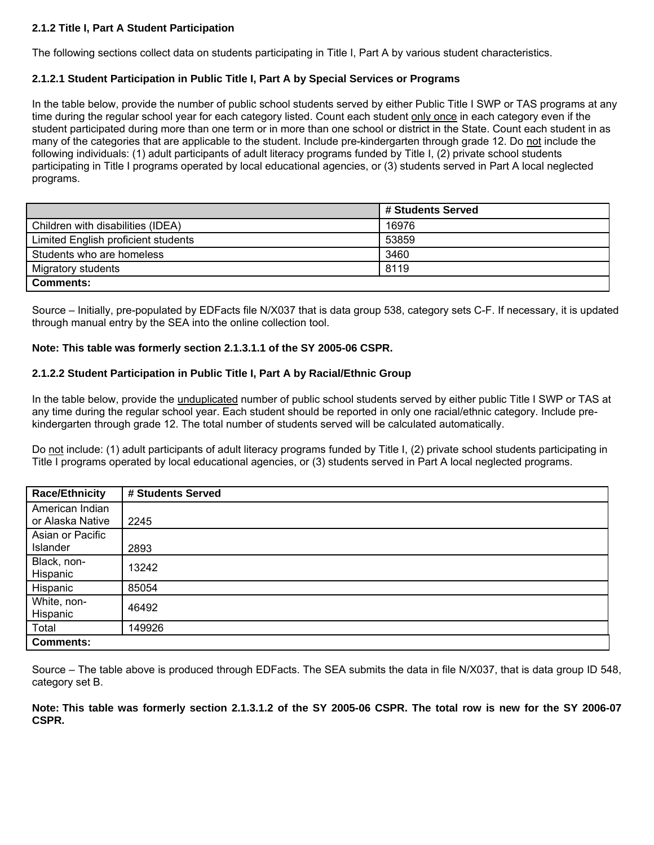# **2.1.2 Title I, Part A Student Participation**

The following sections collect data on students participating in Title I, Part A by various student characteristics.

#### **2.1.2.1 Student Participation in Public Title I, Part A by Special Services or Programs**

In the table below, provide the number of public school students served by either Public Title I SWP or TAS programs at any time during the regular school year for each category listed. Count each student only once in each category even if the student participated during more than one term or in more than one school or district in the State. Count each student in as many of the categories that are applicable to the student. Include pre-kindergarten through grade 12. Do not include the following individuals: (1) adult participants of adult literacy programs funded by Title I, (2) private school students participating in Title I programs operated by local educational agencies, or (3) students served in Part A local neglected programs.

|                                     | # Students Served |
|-------------------------------------|-------------------|
| Children with disabilities (IDEA)   | 16976             |
| Limited English proficient students | 53859             |
| Students who are homeless           | 3460              |
| Migratory students                  | 8119              |
| <b>Comments:</b>                    |                   |

Source – Initially, pre-populated by EDFacts file N/X037 that is data group 538, category sets C-F. If necessary, it is updated through manual entry by the SEA into the online collection tool.

#### **Note: This table was formerly section 2.1.3.1.1 of the SY 2005-06 CSPR.**

#### **2.1.2.2 Student Participation in Public Title I, Part A by Racial/Ethnic Group**

In the table below, provide the unduplicated number of public school students served by either public Title I SWP or TAS at any time during the regular school year. Each student should be reported in only one racial/ethnic category. Include prekindergarten through grade 12. The total number of students served will be calculated automatically.

Do not include: (1) adult participants of adult literacy programs funded by Title I, (2) private school students participating in Title I programs operated by local educational agencies, or (3) students served in Part A local neglected programs.

| <b>Race/Ethnicity</b>               | # Students Served |
|-------------------------------------|-------------------|
| American Indian<br>or Alaska Native | 2245              |
| Asian or Pacific<br>Islander        | 2893              |
| Black, non-<br>Hispanic             | 13242             |
| Hispanic                            | 85054             |
| White, non-<br>Hispanic             | 46492             |
| Total                               | 149926            |
| <b>Comments:</b>                    |                   |

Source – The table above is produced through EDFacts. The SEA submits the data in file N/X037, that is data group ID 548, category set B.

**Note: This table was formerly section 2.1.3.1.2 of the SY 2005-06 CSPR. The total row is new for the SY 2006-07 CSPR.**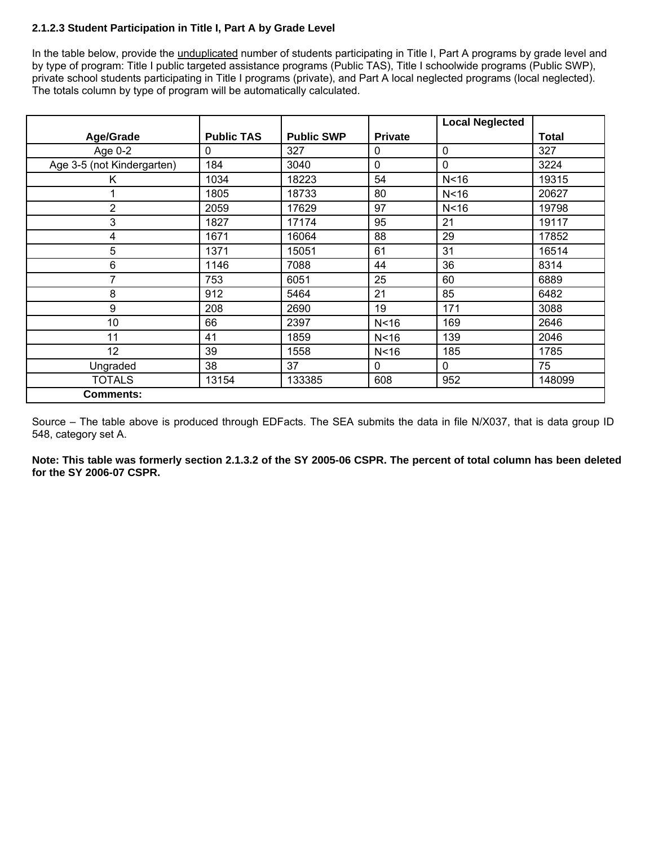# **2.1.2.3 Student Participation in Title I, Part A by Grade Level**

In the table below, provide the *unduplicated* number of students participating in Title I, Part A programs by grade level and by type of program: Title I public targeted assistance programs (Public TAS), Title I schoolwide programs (Public SWP), private school students participating in Title I programs (private), and Part A local neglected programs (local neglected). The totals column by type of program will be automatically calculated.

|                            |                   |                   |                | <b>Local Neglected</b> |              |
|----------------------------|-------------------|-------------------|----------------|------------------------|--------------|
| <b>Age/Grade</b>           | <b>Public TAS</b> | <b>Public SWP</b> | <b>Private</b> |                        | <b>Total</b> |
| Age 0-2                    | 0                 | 327               | $\mathbf 0$    | $\mathbf 0$            | 327          |
| Age 3-5 (not Kindergarten) | 184               | 3040              | $\mathbf 0$    | $\mathbf 0$            | 3224         |
| K                          | 1034              | 18223             | 54             | N < 16                 | 19315        |
|                            | 1805              | 18733             | 80             | N < 16                 | 20627        |
| 2                          | 2059              | 17629             | 97             | N <sub>16</sub>        | 19798        |
| 3                          | 1827              | 17174             | 95             | 21                     | 19117        |
| 4                          | 1671              | 16064             | 88             | 29                     | 17852        |
| 5                          | 1371              | 15051             | 61             | 31                     | 16514        |
| 6                          | 1146              | 7088              | 44             | 36                     | 8314         |
| 7                          | 753               | 6051              | 25             | 60                     | 6889         |
| 8                          | 912               | 5464              | 21             | 85                     | 6482         |
| 9                          | 208               | 2690              | 19             | 171                    | 3088         |
| 10                         | 66                | 2397              | N < 16         | 169                    | 2646         |
| 11                         | 41                | 1859              | N < 16         | 139                    | 2046         |
| 12                         | 39                | 1558              | N < 16         | 185                    | 1785         |
| Ungraded                   | 38                | 37                | $\mathbf 0$    | 0                      | 75           |
| <b>TOTALS</b>              | 13154             | 133385            | 608            | 952                    | 148099       |
| <b>Comments:</b>           |                   |                   |                |                        |              |

Source – The table above is produced through EDFacts. The SEA submits the data in file N/X037, that is data group ID 548, category set A.

**Note: This table was formerly section 2.1.3.2 of the SY 2005-06 CSPR. The percent of total column has been deleted for the SY 2006-07 CSPR.**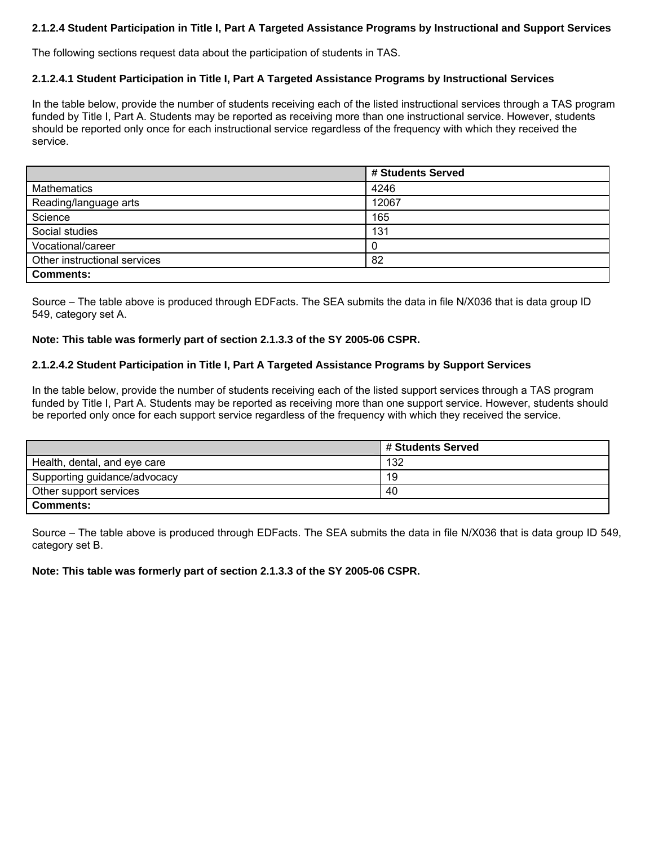# **2.1.2.4 Student Participation in Title I, Part A Targeted Assistance Programs by Instructional and Support Services**

The following sections request data about the participation of students in TAS.

#### **2.1.2.4.1 Student Participation in Title I, Part A Targeted Assistance Programs by Instructional Services**

In the table below, provide the number of students receiving each of the listed instructional services through a TAS program funded by Title I, Part A. Students may be reported as receiving more than one instructional service. However, students should be reported only once for each instructional service regardless of the frequency with which they received the service.

|                              | # Students Served |
|------------------------------|-------------------|
| <b>Mathematics</b>           | 4246              |
| Reading/language arts        | 12067             |
| Science                      | 165               |
| Social studies               | 131               |
| Vocational/career            | 0                 |
| Other instructional services | 82                |
| <b>Comments:</b>             |                   |

Source – The table above is produced through EDFacts. The SEA submits the data in file N/X036 that is data group ID 549, category set A.

#### **Note: This table was formerly part of section 2.1.3.3 of the SY 2005-06 CSPR.**

#### **2.1.2.4.2 Student Participation in Title I, Part A Targeted Assistance Programs by Support Services**

In the table below, provide the number of students receiving each of the listed support services through a TAS program funded by Title I, Part A. Students may be reported as receiving more than one support service. However, students should be reported only once for each support service regardless of the frequency with which they received the service.

|                              | # Students Served |
|------------------------------|-------------------|
| Health, dental, and eye care | 132               |
| Supporting guidance/advocacy | 19                |
| Other support services       | 40                |
| <b>Comments:</b>             |                   |

Source – The table above is produced through EDFacts. The SEA submits the data in file N/X036 that is data group ID 549, category set B.

**Note: This table was formerly part of section 2.1.3.3 of the SY 2005-06 CSPR.**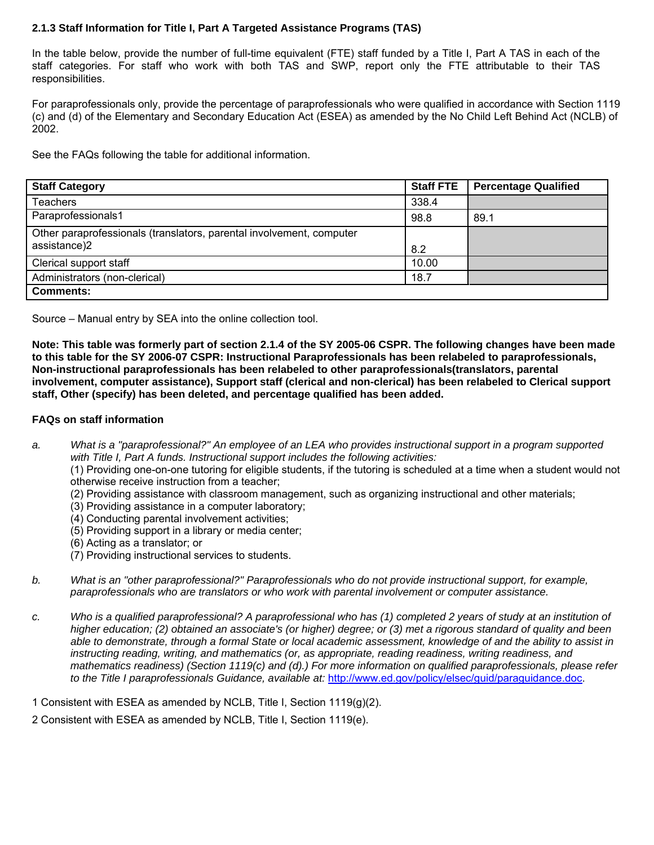# **2.1.3 Staff Information for Title I, Part A Targeted Assistance Programs (TAS)**

In the table below, provide the number of full-time equivalent (FTE) staff funded by a Title I, Part A TAS in each of the staff categories. For staff who work with both TAS and SWP, report only the FTE attributable to their TAS responsibilities.

For paraprofessionals only, provide the percentage of paraprofessionals who were qualified in accordance with Section 1119 (c) and (d) of the Elementary and Secondary Education Act (ESEA) as amended by the No Child Left Behind Act (NCLB) of 2002.

See the FAQs following the table for additional information.

| <b>Staff Category</b>                                                | <b>Staff FTE</b> | <b>Percentage Qualified</b> |
|----------------------------------------------------------------------|------------------|-----------------------------|
| <b>Teachers</b>                                                      | 338.4            |                             |
| Paraprofessionals1                                                   | 98.8             | 89.1                        |
| Other paraprofessionals (translators, parental involvement, computer |                  |                             |
| assistance)2                                                         | 8.2              |                             |
| Clerical support staff                                               | 10.00            |                             |
| Administrators (non-clerical)                                        | 18.7             |                             |
| <b>Comments:</b>                                                     |                  |                             |

Source – Manual entry by SEA into the online collection tool.

**Note: This table was formerly part of section 2.1.4 of the SY 2005-06 CSPR. The following changes have been made to this table for the SY 2006-07 CSPR: Instructional Paraprofessionals has been relabeled to paraprofessionals, Non-instructional paraprofessionals has been relabeled to other paraprofessionals(translators, parental involvement, computer assistance), Support staff (clerical and non-clerical) has been relabeled to Clerical support staff, Other (specify) has been deleted, and percentage qualified has been added.** 

#### **FAQs on staff information**

*a. What is a "paraprofessional?" An employee of an LEA who provides instructional support in a program supported with Title I, Part A funds. Instructional support includes the following activities:* 

(1) Providing one-on-one tutoring for eligible students, if the tutoring is scheduled at a time when a student would not otherwise receive instruction from a teacher;

- (2) Providing assistance with classroom management, such as organizing instructional and other materials;
- (3) Providing assistance in a computer laboratory;
- (4) Conducting parental involvement activities;
- (5) Providing support in a library or media center;
- (6) Acting as a translator; or
- (7) Providing instructional services to students.
- *b. What is an "other paraprofessional?" Paraprofessionals who do not provide instructional support, for example, paraprofessionals who are translators or who work with parental involvement or computer assistance.*
- *c. Who is a qualified paraprofessional? A paraprofessional who has (1) completed 2 years of study at an institution of higher education; (2) obtained an associate's (or higher) degree; or (3) met a rigorous standard of quality and been able to demonstrate, through a formal State or local academic assessment, knowledge of and the ability to assist in instructing reading, writing, and mathematics (or, as appropriate, reading readiness, writing readiness, and mathematics readiness) (Section 1119(c) and (d).) For more information on qualified paraprofessionals, please refer to the Title I paraprofessionals Guidance, available at:* http://www.ed.gov/policy/elsec/guid/paraguidance.doc.
- 1 Consistent with ESEA as amended by NCLB, Title I, Section 1119(g)(2).
- 2 Consistent with ESEA as amended by NCLB, Title I, Section 1119(e).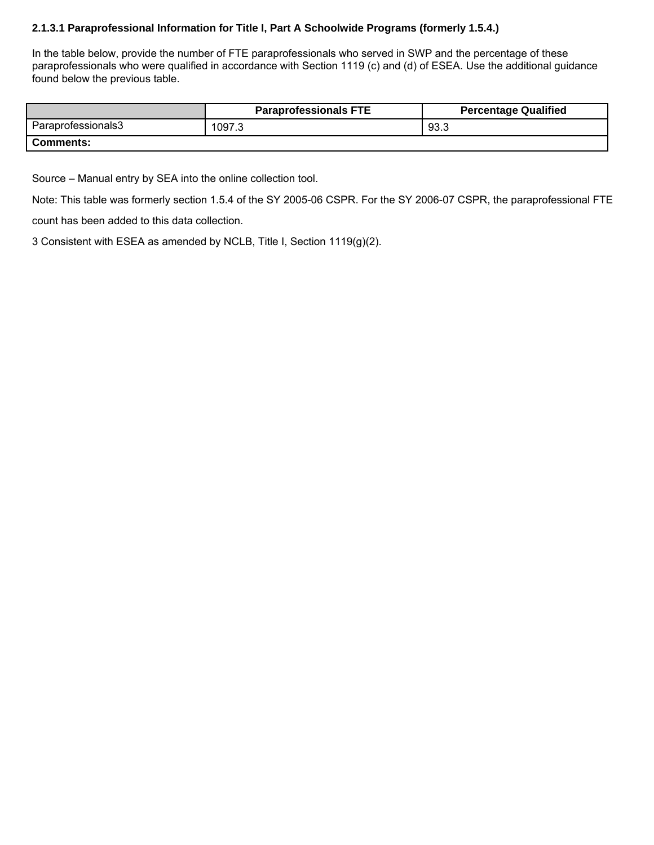# **2.1.3.1 Paraprofessional Information for Title I, Part A Schoolwide Programs (formerly 1.5.4.)**

In the table below, provide the number of FTE paraprofessionals who served in SWP and the percentage of these paraprofessionals who were qualified in accordance with Section 1119 (c) and (d) of ESEA. Use the additional guidance found below the previous table.

|                    | <b>Paraprofessionals FTE</b> | <b>Percentage Qualified</b> |
|--------------------|------------------------------|-----------------------------|
| Paraprofessionals3 | 1097.3                       | 93.3                        |
| <b>Comments:</b>   |                              |                             |

Source – Manual entry by SEA into the online collection tool.

Note: This table was formerly section 1.5.4 of the SY 2005-06 CSPR. For the SY 2006-07 CSPR, the paraprofessional FTE count has been added to this data collection.

3 Consistent with ESEA as amended by NCLB, Title I, Section 1119(g)(2).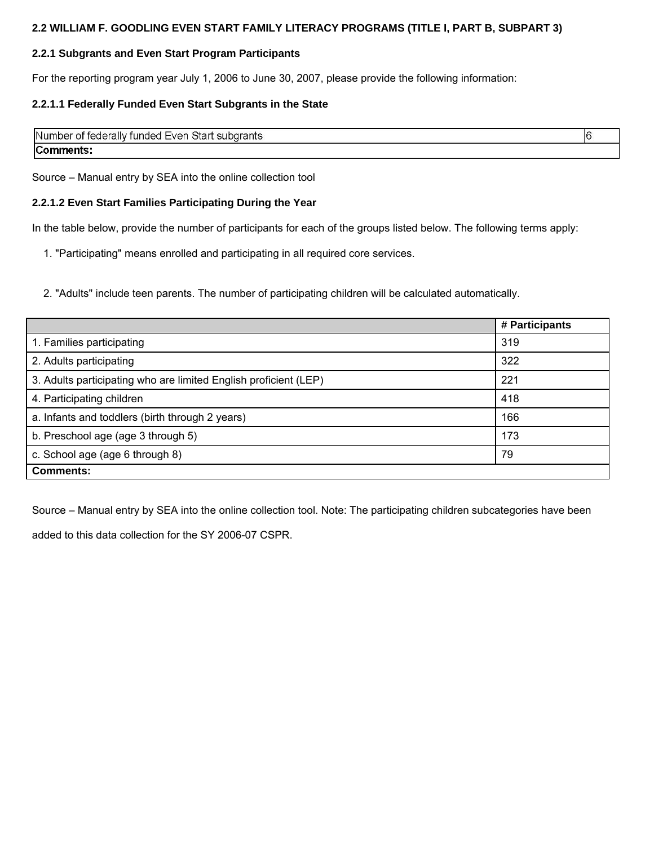#### **2.2 WILLIAM F. GOODLING EVEN START FAMILY LITERACY PROGRAMS (TITLE I, PART B, SUBPART 3)**

# **2.2.1 Subgrants and Even Start Program Participants**

For the reporting program year July 1, 2006 to June 30, 2007, please provide the following information:

# **2.2.1.1 Federally Funded Even Start Subgrants in the State**

| <b>Number</b><br>r of federally funded Even Start subgrants |  |
|-------------------------------------------------------------|--|
| Cor<br>ıments                                               |  |

Source – Manual entry by SEA into the online collection tool

#### **2.2.1.2 Even Start Families Participating During the Year**

In the table below, provide the number of participants for each of the groups listed below. The following terms apply:

1. "Participating" means enrolled and participating in all required core services.

2. "Adults" include teen parents. The number of participating children will be calculated automatically.

|                                                                  | # Participants |  |  |
|------------------------------------------------------------------|----------------|--|--|
| 1. Families participating                                        | 319            |  |  |
| 2. Adults participating                                          | 322            |  |  |
| 3. Adults participating who are limited English proficient (LEP) | 221            |  |  |
| 4. Participating children                                        | 418            |  |  |
| a. Infants and toddlers (birth through 2 years)                  | 166            |  |  |
| b. Preschool age (age 3 through 5)                               | 173            |  |  |
| c. School age (age 6 through 8)<br>79                            |                |  |  |
| <b>Comments:</b>                                                 |                |  |  |

Source – Manual entry by SEA into the online collection tool. Note: The participating children subcategories have been

added to this data collection for the SY 2006-07 CSPR.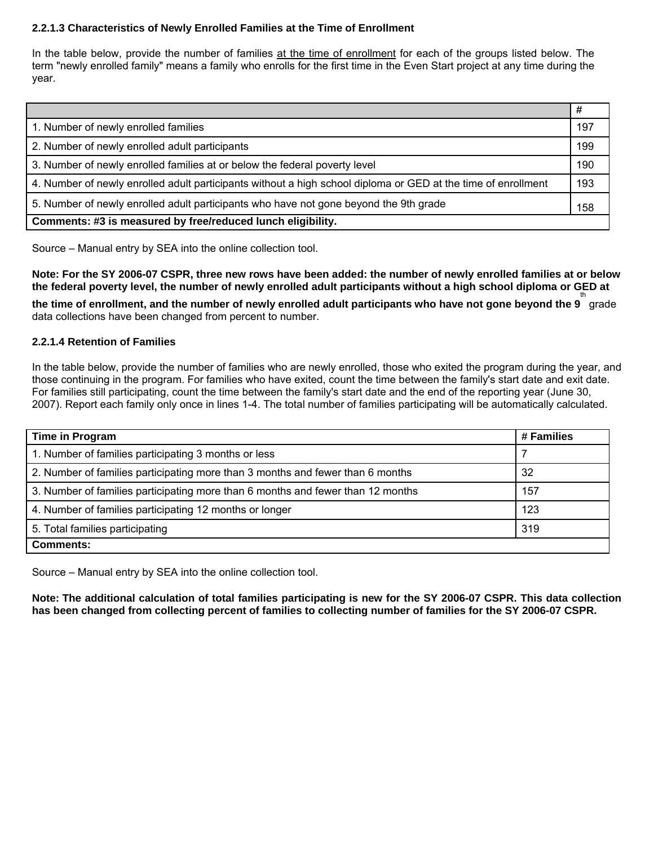# **2.2.1.3 Characteristics of Newly Enrolled Families at the Time of Enrollment**

In the table below, provide the number of families at the time of enrollment for each of the groups listed below. The term "newly enrolled family" means a family who enrolls for the first time in the Even Start project at any time during the year.

|                                                                                                               | #   |
|---------------------------------------------------------------------------------------------------------------|-----|
| 1. Number of newly enrolled families                                                                          | 197 |
| 2. Number of newly enrolled adult participants                                                                | 199 |
| 3. Number of newly enrolled families at or below the federal poverty level                                    | 190 |
| 4. Number of newly enrolled adult participants without a high school diploma or GED at the time of enrollment | 193 |
| 5. Number of newly enrolled adult participants who have not gone beyond the 9th grade                         | 158 |
| Comments: #3 is measured by free/reduced lunch eligibility.                                                   |     |

Source – Manual entry by SEA into the online collection tool.

**Note: For the SY 2006-07 CSPR, three new rows have been added: the number of newly enrolled families at or below the federal poverty level, the number of newly enrolled adult participants without a high school diploma or GED at**  th

**the time of enrollment, and the number of newly enrolled adult participants who have not gone beyond the 9** grade data collections have been changed from percent to number.

#### **2.2.1.4 Retention of Families**

In the table below, provide the number of families who are newly enrolled, those who exited the program during the year, and those continuing in the program. For families who have exited, count the time between the family's start date and exit date. For families still participating, count the time between the family's start date and the end of the reporting year (June 30, 2007). Report each family only once in lines 1-4. The total number of families participating will be automatically calculated.

| Time in Program                                                                 | # Families |  |
|---------------------------------------------------------------------------------|------------|--|
| 1. Number of families participating 3 months or less                            |            |  |
| 2. Number of families participating more than 3 months and fewer than 6 months  | 32         |  |
| 3. Number of families participating more than 6 months and fewer than 12 months | 157        |  |
| 4. Number of families participating 12 months or longer                         | 123        |  |
| 319<br>5. Total families participating                                          |            |  |
| <b>Comments:</b>                                                                |            |  |

Source – Manual entry by SEA into the online collection tool.

**Note: The additional calculation of total families participating is new for the SY 2006-07 CSPR. This data collection has been changed from collecting percent of families to collecting number of families for the SY 2006-07 CSPR.**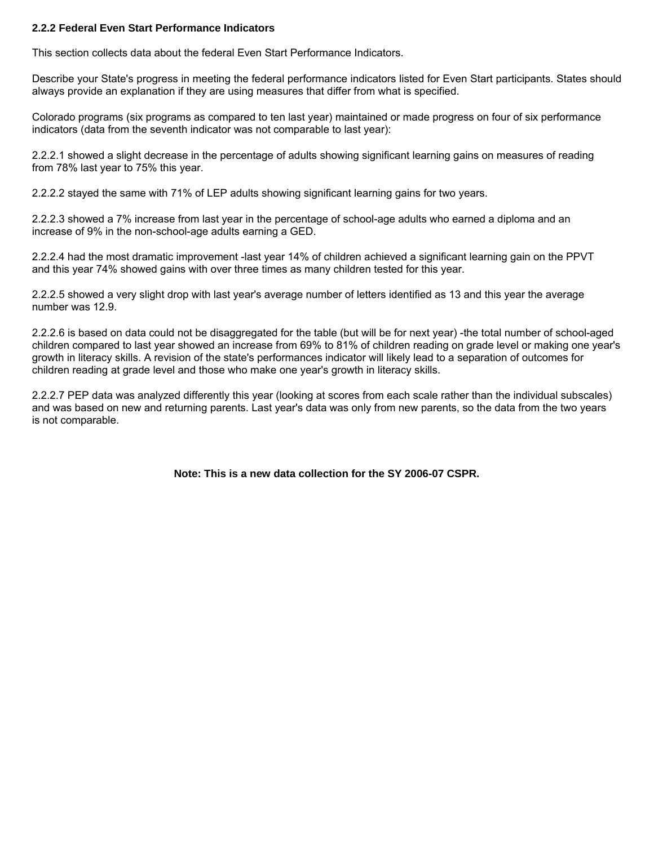#### **2.2.2 Federal Even Start Performance Indicators**

This section collects data about the federal Even Start Performance Indicators.

Describe your State's progress in meeting the federal performance indicators listed for Even Start participants. States should always provide an explanation if they are using measures that differ from what is specified.

Colorado programs (six programs as compared to ten last year) maintained or made progress on four of six performance indicators (data from the seventh indicator was not comparable to last year):

2.2.2.1 showed a slight decrease in the percentage of adults showing significant learning gains on measures of reading from 78% last year to 75% this year.

2.2.2.2 stayed the same with 71% of LEP adults showing significant learning gains for two years.

2.2.2.3 showed a 7% increase from last year in the percentage of school-age adults who earned a diploma and an increase of 9% in the non-school-age adults earning a GED.

2.2.2.4 had the most dramatic improvement -last year 14% of children achieved a significant learning gain on the PPVT and this year 74% showed gains with over three times as many children tested for this year.

2.2.2.5 showed a very slight drop with last year's average number of letters identified as 13 and this year the average number was 12.9.

2.2.2.6 is based on data could not be disaggregated for the table (but will be for next year) -the total number of school-aged children compared to last year showed an increase from 69% to 81% of children reading on grade level or making one year's growth in literacy skills. A revision of the state's performances indicator will likely lead to a separation of outcomes for children reading at grade level and those who make one year's growth in literacy skills.

2.2.2.7 PEP data was analyzed differently this year (looking at scores from each scale rather than the individual subscales) and was based on new and returning parents. Last year's data was only from new parents, so the data from the two years is not comparable.

**Note: This is a new data collection for the SY 2006-07 CSPR.**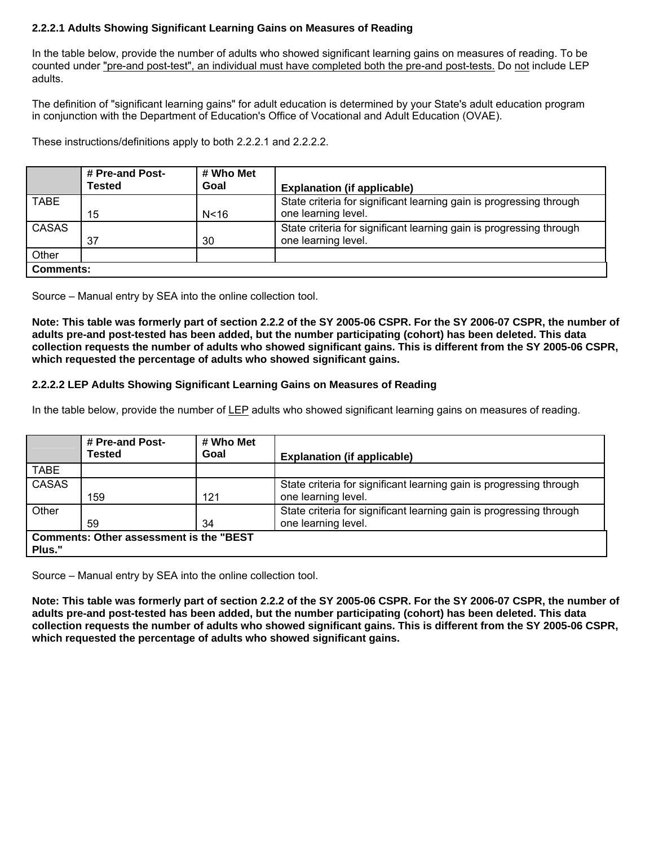# **2.2.2.1 Adults Showing Significant Learning Gains on Measures of Reading**

In the table below, provide the number of adults who showed significant learning gains on measures of reading. To be counted under "pre-and post-test", an individual must have completed both the pre-and post-tests. Do not include LEP adults.

The definition of "significant learning gains" for adult education is determined by your State's adult education program in conjunction with the Department of Education's Office of Vocational and Adult Education (OVAE).

These instructions/definitions apply to both 2.2.2.1 and 2.2.2.2.

|                  | # Pre-and Post-<br><b>Tested</b> | # Who Met<br>Goal | <b>Explanation (if applicable)</b>                                                         |
|------------------|----------------------------------|-------------------|--------------------------------------------------------------------------------------------|
| <b>TABE</b>      | 15                               | N <sub>16</sub>   | State criteria for significant learning gain is progressing through<br>one learning level. |
| CASAS            | 37                               | 30                | State criteria for significant learning gain is progressing through<br>one learning level. |
| Other            |                                  |                   |                                                                                            |
| <b>Comments:</b> |                                  |                   |                                                                                            |

Source – Manual entry by SEA into the online collection tool.

**Note: This table was formerly part of section 2.2.2 of the SY 2005-06 CSPR. For the SY 2006-07 CSPR, the number of adults pre-and post-tested has been added, but the number participating (cohort) has been deleted. This data collection requests the number of adults who showed significant gains. This is different from the SY 2005-06 CSPR, which requested the percentage of adults who showed significant gains.** 

#### **2.2.2.2 LEP Adults Showing Significant Learning Gains on Measures of Reading**

In the table below, provide the number of LEP adults who showed significant learning gains on measures of reading.

|              | # Pre-and Post-<br><b>Tested</b>               | # Who Met<br>Goal | <b>Explanation (if applicable)</b>                                                         |
|--------------|------------------------------------------------|-------------------|--------------------------------------------------------------------------------------------|
| TABE         |                                                |                   |                                                                                            |
| <b>CASAS</b> | 159                                            | 121               | State criteria for significant learning gain is progressing through<br>one learning level. |
| Other        | 59                                             | 34                | State criteria for significant learning gain is progressing through<br>one learning level. |
| Plus."       | <b>Comments: Other assessment is the "BEST</b> |                   |                                                                                            |

Source – Manual entry by SEA into the online collection tool.

**Note: This table was formerly part of section 2.2.2 of the SY 2005-06 CSPR. For the SY 2006-07 CSPR, the number of adults pre-and post-tested has been added, but the number participating (cohort) has been deleted. This data collection requests the number of adults who showed significant gains. This is different from the SY 2005-06 CSPR, which requested the percentage of adults who showed significant gains.**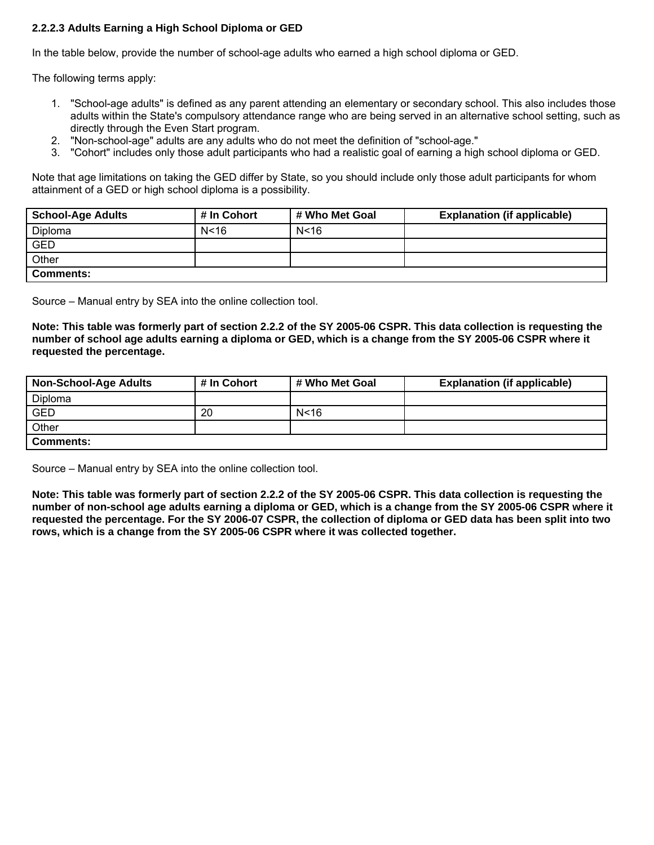# **2.2.2.3 Adults Earning a High School Diploma or GED**

In the table below, provide the number of school-age adults who earned a high school diploma or GED.

The following terms apply:

- 1. "School-age adults" is defined as any parent attending an elementary or secondary school. This also includes those adults within the State's compulsory attendance range who are being served in an alternative school setting, such as directly through the Even Start program.
- 2. "Non-school-age" adults are any adults who do not meet the definition of "school-age."
- 3. "Cohort" includes only those adult participants who had a realistic goal of earning a high school diploma or GED.

Note that age limitations on taking the GED differ by State, so you should include only those adult participants for whom attainment of a GED or high school diploma is a possibility.

| <b>School-Age Adults</b> | # In Cohort | # Who Met Goal | <b>Explanation (if applicable)</b> |
|--------------------------|-------------|----------------|------------------------------------|
| Diploma                  | N < 16      | N < 16         |                                    |
| <b>GED</b>               |             |                |                                    |
| Other                    |             |                |                                    |
| <b>Comments:</b>         |             |                |                                    |

Source – Manual entry by SEA into the online collection tool.

**Note: This table was formerly part of section 2.2.2 of the SY 2005-06 CSPR. This data collection is requesting the number of school age adults earning a diploma or GED, which is a change from the SY 2005-06 CSPR where it requested the percentage.** 

| <b>Non-School-Age Adults</b> | # In Cohort | # Who Met Goal | <b>Explanation (if applicable)</b> |
|------------------------------|-------------|----------------|------------------------------------|
| Diploma                      |             |                |                                    |
| GED                          | 20          | N < 16         |                                    |
| Other                        |             |                |                                    |
| <b>Comments:</b>             |             |                |                                    |

Source – Manual entry by SEA into the online collection tool.

**Note: This table was formerly part of section 2.2.2 of the SY 2005-06 CSPR. This data collection is requesting the number of non-school age adults earning a diploma or GED, which is a change from the SY 2005-06 CSPR where it requested the percentage. For the SY 2006-07 CSPR, the collection of diploma or GED data has been split into two rows, which is a change from the SY 2005-06 CSPR where it was collected together.**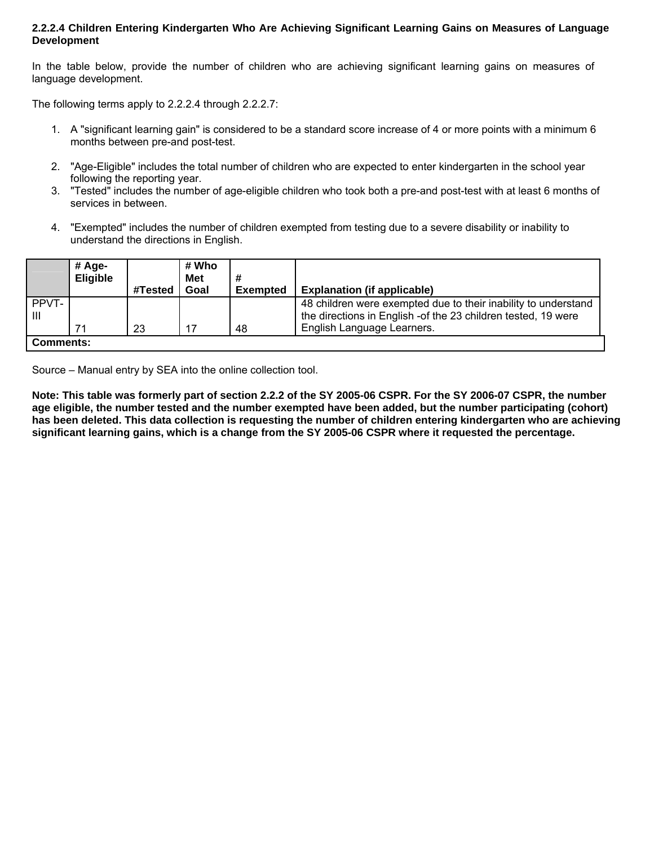#### **2.2.2.4 Children Entering Kindergarten Who Are Achieving Significant Learning Gains on Measures of Language Development**

In the table below, provide the number of children who are achieving significant learning gains on measures of language development.

The following terms apply to 2.2.2.4 through 2.2.2.7:

- 1. A "significant learning gain" is considered to be a standard score increase of 4 or more points with a minimum 6 months between pre-and post-test.
- 2. "Age-Eligible" includes the total number of children who are expected to enter kindergarten in the school year following the reporting year.
- 3. "Tested" includes the number of age-eligible children who took both a pre-and post-test with at least 6 months of services in between.
- 4. "Exempted" includes the number of children exempted from testing due to a severe disability or inability to understand the directions in English.

|                  | # Age-<br><b>Eligible</b> |         | # Who<br><b>Met</b> |                 |                                                                                                                                  |
|------------------|---------------------------|---------|---------------------|-----------------|----------------------------------------------------------------------------------------------------------------------------------|
|                  |                           | #Tested | Goal                | <b>Exempted</b> | <b>Explanation (if applicable)</b>                                                                                               |
| PPVT-<br>Ш       |                           |         |                     |                 | 48 children were exempted due to their inability to understand<br>the directions in English - of the 23 children tested, 19 were |
|                  | 71                        | 23      | 17                  | 48              | English Language Learners.                                                                                                       |
| <b>Comments:</b> |                           |         |                     |                 |                                                                                                                                  |

Source – Manual entry by SEA into the online collection tool.

**Note: This table was formerly part of section 2.2.2 of the SY 2005-06 CSPR. For the SY 2006-07 CSPR, the number age eligible, the number tested and the number exempted have been added, but the number participating (cohort) has been deleted. This data collection is requesting the number of children entering kindergarten who are achieving significant learning gains, which is a change from the SY 2005-06 CSPR where it requested the percentage.**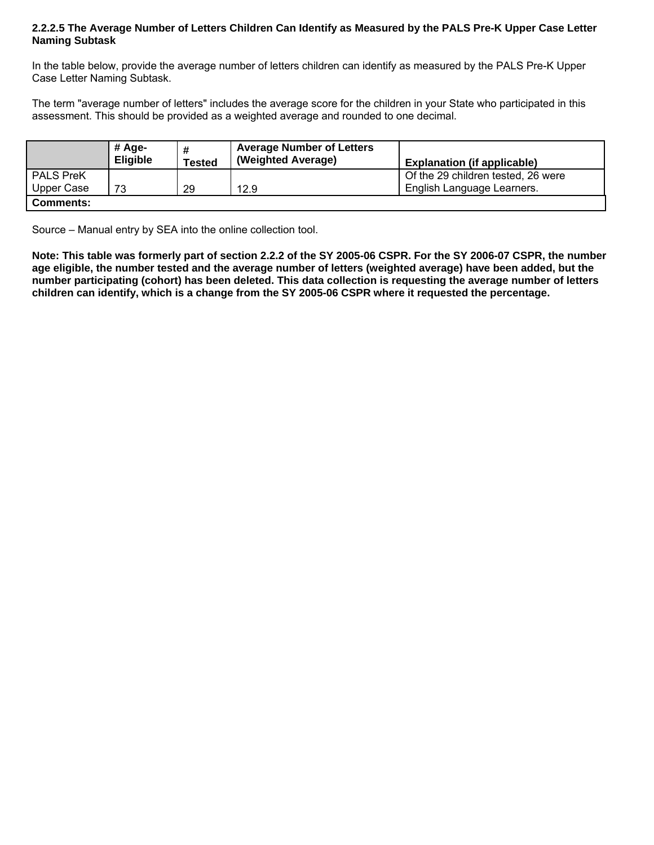#### **2.2.2.5 The Average Number of Letters Children Can Identify as Measured by the PALS Pre-K Upper Case Letter Naming Subtask**

In the table below, provide the average number of letters children can identify as measured by the PALS Pre-K Upper Case Letter Naming Subtask.

The term "average number of letters" includes the average score for the children in your State who participated in this assessment. This should be provided as a weighted average and rounded to one decimal.

|                  | # Age-<br><b>Eligible</b> | #<br><b>Tested</b> | <b>Average Number of Letters</b><br>(Weighted Average) | <b>Explanation (if applicable)</b> |
|------------------|---------------------------|--------------------|--------------------------------------------------------|------------------------------------|
| <b>PALS PreK</b> |                           |                    |                                                        | Of the 29 children tested, 26 were |
| Upper Case       | 73                        | 29                 | 12.9                                                   | English Language Learners.         |
| <b>Comments:</b> |                           |                    |                                                        |                                    |

Source – Manual entry by SEA into the online collection tool.

**Note: This table was formerly part of section 2.2.2 of the SY 2005-06 CSPR. For the SY 2006-07 CSPR, the number age eligible, the number tested and the average number of letters (weighted average) have been added, but the number participating (cohort) has been deleted. This data collection is requesting the average number of letters children can identify, which is a change from the SY 2005-06 CSPR where it requested the percentage.**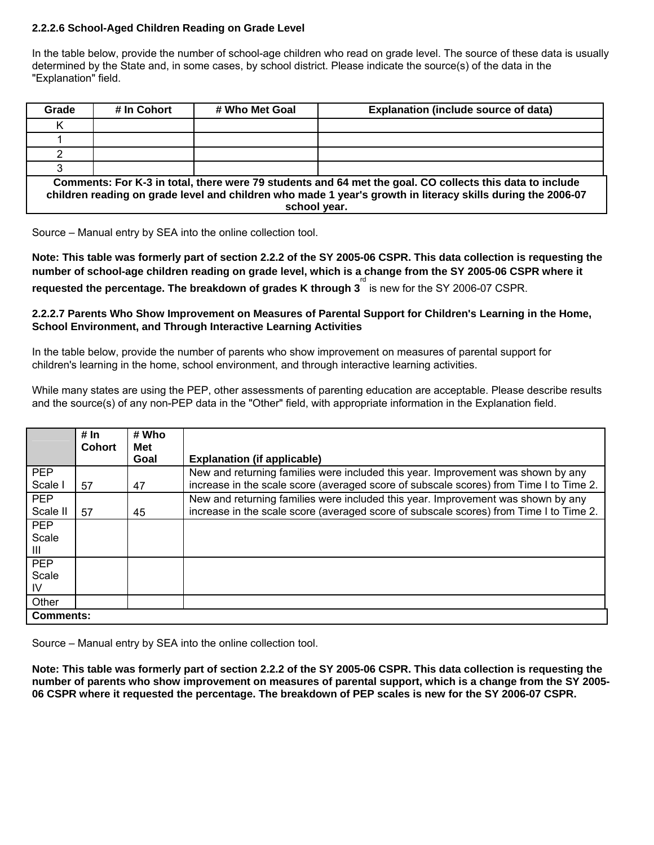#### **2.2.2.6 School-Aged Children Reading on Grade Level**

In the table below, provide the number of school-age children who read on grade level. The source of these data is usually determined by the State and, in some cases, by school district. Please indicate the source(s) of the data in the "Explanation" field.

| Grade                                                                                                                                                                                                                                   | # In Cohort | # Who Met Goal | <b>Explanation (include source of data)</b> |  |  |
|-----------------------------------------------------------------------------------------------------------------------------------------------------------------------------------------------------------------------------------------|-------------|----------------|---------------------------------------------|--|--|
|                                                                                                                                                                                                                                         |             |                |                                             |  |  |
|                                                                                                                                                                                                                                         |             |                |                                             |  |  |
|                                                                                                                                                                                                                                         |             |                |                                             |  |  |
|                                                                                                                                                                                                                                         |             |                |                                             |  |  |
| Comments: For K-3 in total, there were 79 students and 64 met the goal. CO collects this data to include<br>children reading on grade level and children who made 1 year's growth in literacy skills during the 2006-07<br>school year. |             |                |                                             |  |  |

Source – Manual entry by SEA into the online collection tool.

**Note: This table was formerly part of section 2.2.2 of the SY 2005-06 CSPR. This data collection is requesting the number of school-age children reading on grade level, which is a change from the SY 2005-06 CSPR where it**  requested the percentage. The breakdown of grades K through 3<sup>rd</sup> is new for the SY 2006-07 CSPR.

#### **2.2.2.7 Parents Who Show Improvement on Measures of Parental Support for Children's Learning in the Home, School Environment, and Through Interactive Learning Activities**

In the table below, provide the number of parents who show improvement on measures of parental support for children's learning in the home, school environment, and through interactive learning activities.

While many states are using the PEP, other assessments of parenting education are acceptable. Please describe results and the source(s) of any non-PEP data in the "Other" field, with appropriate information in the Explanation field.

|                     | # In<br><b>Cohort</b> | # Who<br><b>Met</b><br>Goal | <b>Explanation (if applicable)</b>                                                                                                                                         |
|---------------------|-----------------------|-----------------------------|----------------------------------------------------------------------------------------------------------------------------------------------------------------------------|
| <b>PEP</b><br>Scale |                       |                             | New and returning families were included this year. Improvement was shown by any<br>increase in the scale score (averaged score of subscale scores) from Time I to Time 2. |
|                     | 57                    | 47                          |                                                                                                                                                                            |
| <b>PEP</b>          |                       |                             | New and returning families were included this year. Improvement was shown by any                                                                                           |
| Scale I             | 57                    | 45                          | increase in the scale score (averaged score of subscale scores) from Time I to Time 2.                                                                                     |
| <b>PEP</b>          |                       |                             |                                                                                                                                                                            |
| Scale               |                       |                             |                                                                                                                                                                            |
| Ш                   |                       |                             |                                                                                                                                                                            |
| <b>PEP</b>          |                       |                             |                                                                                                                                                                            |
| Scale               |                       |                             |                                                                                                                                                                            |
| IV                  |                       |                             |                                                                                                                                                                            |
| Other               |                       |                             |                                                                                                                                                                            |
| <b>Comments:</b>    |                       |                             |                                                                                                                                                                            |

Source – Manual entry by SEA into the online collection tool.

**Note: This table was formerly part of section 2.2.2 of the SY 2005-06 CSPR. This data collection is requesting the number of parents who show improvement on measures of parental support, which is a change from the SY 2005- 06 CSPR where it requested the percentage. The breakdown of PEP scales is new for the SY 2006-07 CSPR.**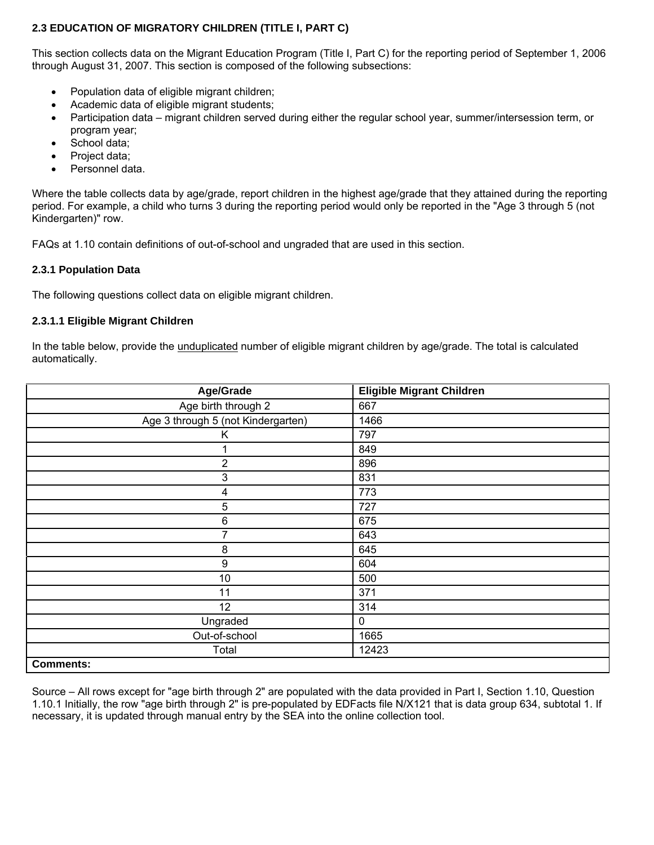# **2.3 EDUCATION OF MIGRATORY CHILDREN (TITLE I, PART C)**

This section collects data on the Migrant Education Program (Title I, Part C) for the reporting period of September 1, 2006 through August 31, 2007. This section is composed of the following subsections:

- Population data of eligible migrant children;
- Academic data of eligible migrant students;
- Participation data migrant children served during either the regular school year, summer/intersession term, or program year;
- School data;
- Project data;
- Personnel data.

Where the table collects data by age/grade, report children in the highest age/grade that they attained during the reporting period. For example, a child who turns 3 during the reporting period would only be reported in the "Age 3 through 5 (not Kindergarten)" row.

FAQs at 1.10 contain definitions of out-of-school and ungraded that are used in this section.

#### **2.3.1 Population Data**

The following questions collect data on eligible migrant children.

#### **2.3.1.1 Eligible Migrant Children**

In the table below, provide the *unduplicated* number of eligible migrant children by age/grade. The total is calculated automatically.

| Age/Grade                          | <b>Eligible Migrant Children</b> |
|------------------------------------|----------------------------------|
| Age birth through 2                | 667                              |
| Age 3 through 5 (not Kindergarten) | 1466                             |
| Κ                                  | 797                              |
|                                    | 849                              |
| 2                                  | 896                              |
| 3                                  | 831                              |
| 4                                  | 773                              |
| 5                                  | 727                              |
| 6                                  | 675                              |
|                                    | 643                              |
| $\bf 8$                            | 645                              |
| $\boldsymbol{9}$                   | 604                              |
| 10                                 | 500                              |
| 11                                 | 371                              |
| 12                                 | 314                              |
| Ungraded                           | 0                                |
| Out-of-school                      | 1665                             |
| Total                              | 12423                            |
| <b>Comments:</b>                   |                                  |

Source – All rows except for "age birth through 2" are populated with the data provided in Part I, Section 1.10, Question 1.10.1 Initially, the row "age birth through 2" is pre-populated by EDFacts file N/X121 that is data group 634, subtotal 1. If necessary, it is updated through manual entry by the SEA into the online collection tool.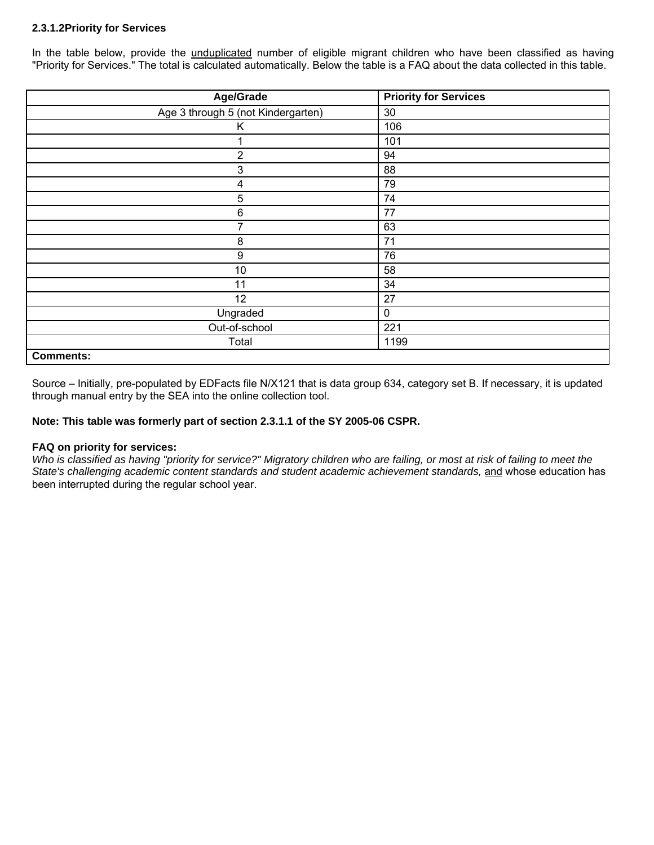#### **2.3.1.2Priority for Services**

In the table below, provide the unduplicated number of eligible migrant children who have been classified as having "Priority for Services." The total is calculated automatically. Below the table is a FAQ about the data collected in this table.

| Age/Grade                          | <b>Priority for Services</b> |
|------------------------------------|------------------------------|
| Age 3 through 5 (not Kindergarten) | 30                           |
| Κ                                  | 106                          |
|                                    | 101                          |
| $\overline{2}$                     | 94                           |
| 3                                  | 88                           |
| 4                                  | 79                           |
| 5                                  | 74                           |
| 6                                  | 77                           |
| 7                                  | 63                           |
| 8                                  | 71                           |
| 9                                  | 76                           |
| 10                                 | 58                           |
| 11                                 | 34                           |
| 12                                 | 27                           |
| Ungraded                           | 0                            |
| Out-of-school                      | 221                          |
| Total                              | 1199                         |
| <b>Comments:</b>                   |                              |

Source – Initially, pre-populated by EDFacts file N/X121 that is data group 634, category set B. If necessary, it is updated through manual entry by the SEA into the online collection tool.

#### **Note: This table was formerly part of section 2.3.1.1 of the SY 2005-06 CSPR.**

#### **FAQ on priority for services:**

*Who is classified as having "priority for service?" Migratory children who are failing, or most at risk of failing to meet the*  State's challenging academic content standards and student academic achievement standards, and whose education has been interrupted during the regular school year.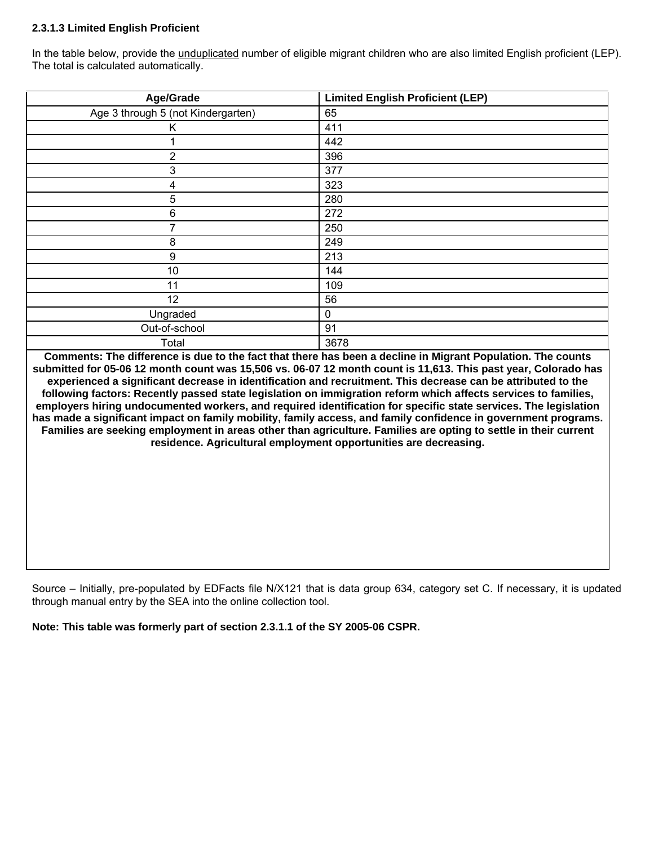# **2.3.1.3 Limited English Proficient**

In the table below, provide the unduplicated number of eligible migrant children who are also limited English proficient (LEP). The total is calculated automatically.

| Age/Grade                          | <b>Limited English Proficient (LEP)</b> |
|------------------------------------|-----------------------------------------|
| Age 3 through 5 (not Kindergarten) | 65                                      |
| Κ                                  | 411                                     |
|                                    | 442                                     |
| 2                                  | 396                                     |
| 3                                  | 377                                     |
| 4                                  | 323                                     |
| 5                                  | 280                                     |
| 6                                  | 272                                     |
|                                    | 250                                     |
| 8                                  | 249                                     |
| 9                                  | 213                                     |
| 10                                 | 144                                     |
| 11                                 | 109                                     |
| 12                                 | 56                                      |
| Ungraded                           | 0                                       |
| Out-of-school                      | 91                                      |
| Total                              | 3678                                    |

**Comments: The difference is due to the fact that there has been a decline in Migrant Population. The counts submitted for 05-06 12 month count was 15,506 vs. 06-07 12 month count is 11,613. This past year, Colorado has experienced a significant decrease in identification and recruitment. This decrease can be attributed to the following factors: Recently passed state legislation on immigration reform which affects services to families, employers hiring undocumented workers, and required identification for specific state services. The legislation has made a significant impact on family mobility, family access, and family confidence in government programs. Families are seeking employment in areas other than agriculture. Families are opting to settle in their current residence. Agricultural employment opportunities are decreasing.** 

Source – Initially, pre-populated by EDFacts file N/X121 that is data group 634, category set C. If necessary, it is updated through manual entry by the SEA into the online collection tool.

**Note: This table was formerly part of section 2.3.1.1 of the SY 2005-06 CSPR.**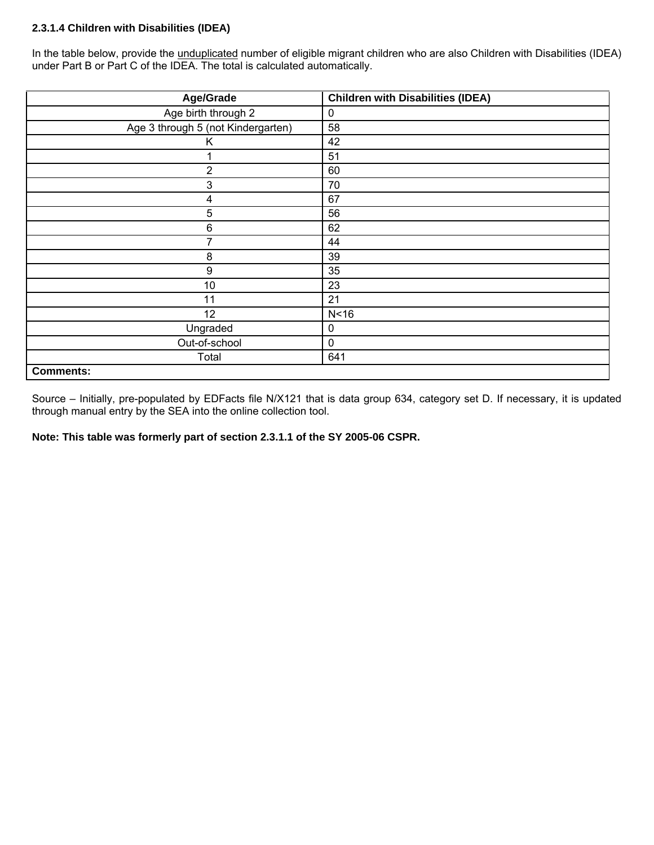# **2.3.1.4 Children with Disabilities (IDEA)**

In the table below, provide the unduplicated number of eligible migrant children who are also Children with Disabilities (IDEA) under Part B or Part C of the IDEA. The total is calculated automatically.

| Age/Grade                          | <b>Children with Disabilities (IDEA)</b> |
|------------------------------------|------------------------------------------|
| Age birth through 2                | 0                                        |
| Age 3 through 5 (not Kindergarten) | 58                                       |
| Κ                                  | 42                                       |
| 1                                  | 51                                       |
| $\overline{2}$                     | 60                                       |
| 3                                  | 70                                       |
| 4                                  | 67                                       |
| 5                                  | 56                                       |
| 6                                  | 62                                       |
| 7                                  | 44                                       |
| 8                                  | 39                                       |
| 9                                  | 35                                       |
| 10                                 | 23                                       |
| 11                                 | 21                                       |
| 12                                 | N <sub>16</sub>                          |
| Ungraded                           | 0                                        |
| Out-of-school                      | $\mathbf 0$                              |
| Total                              | 641                                      |
| <b>Comments:</b>                   |                                          |

Source – Initially, pre-populated by EDFacts file N/X121 that is data group 634, category set D. If necessary, it is updated through manual entry by the SEA into the online collection tool.

**Note: This table was formerly part of section 2.3.1.1 of the SY 2005-06 CSPR.**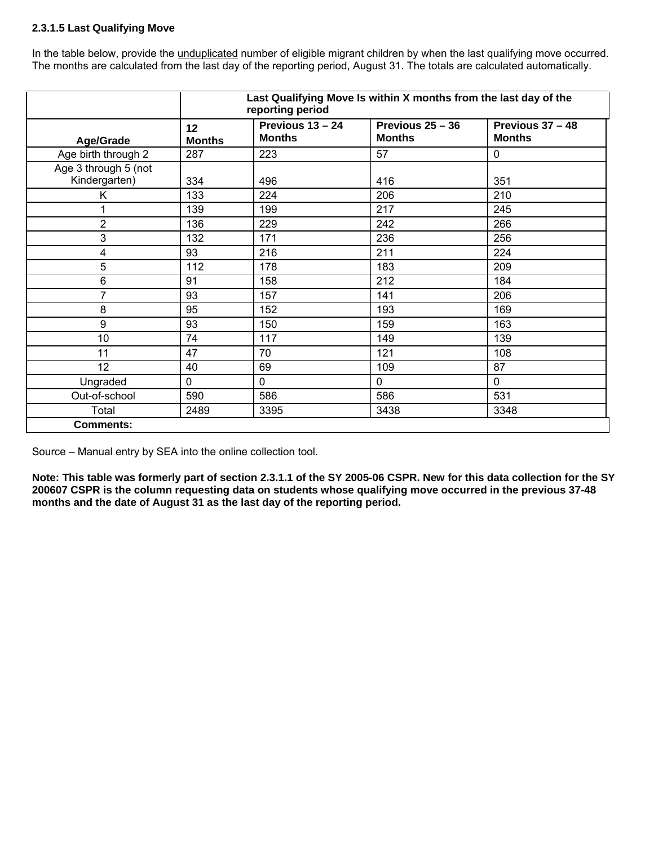# **2.3.1.5 Last Qualifying Move**

In the table below, provide the unduplicated number of eligible migrant children by when the last qualifying move occurred. The months are calculated from the last day of the reporting period, August 31. The totals are calculated automatically.

|                                       |                     | reporting period                  | Last Qualifying Move Is within X months from the last day of the |                                   |
|---------------------------------------|---------------------|-----------------------------------|------------------------------------------------------------------|-----------------------------------|
| <b>Age/Grade</b>                      | 12<br><b>Months</b> | Previous 13 - 24<br><b>Months</b> | Previous 25 - 36<br><b>Months</b>                                | Previous 37 - 48<br><b>Months</b> |
| Age birth through 2                   | 287                 | 223                               | 57                                                               | $\mathbf 0$                       |
| Age 3 through 5 (not<br>Kindergarten) | 334                 | 496                               | 416                                                              | 351                               |
| K.                                    | 133                 | 224                               | 206                                                              | 210                               |
|                                       | 139                 | 199                               | 217                                                              | 245                               |
| $\overline{2}$                        | 136                 | 229                               | 242                                                              | 266                               |
| 3                                     | 132                 | 171                               | 236                                                              | 256                               |
| 4                                     | 93                  | 216                               | 211                                                              | 224                               |
| 5                                     | 112                 | 178                               | 183                                                              | 209                               |
| 6                                     | 91                  | 158                               | 212                                                              | 184                               |
| 7                                     | 93                  | 157                               | 141                                                              | 206                               |
| 8                                     | 95                  | 152                               | 193                                                              | 169                               |
| 9                                     | 93                  | 150                               | 159                                                              | 163                               |
| 10                                    | 74                  | 117                               | 149                                                              | 139                               |
| 11                                    | 47                  | 70                                | 121                                                              | 108                               |
| 12                                    | 40                  | 69                                | 109                                                              | 87                                |
| Ungraded                              | $\mathbf 0$         | $\mathbf 0$                       | $\mathbf 0$                                                      | $\mathbf 0$                       |
| Out-of-school                         | 590                 | 586                               | 586                                                              | 531                               |
| Total                                 | 2489                | 3395                              | 3438                                                             | 3348                              |
| <b>Comments:</b>                      |                     |                                   |                                                                  |                                   |

Source – Manual entry by SEA into the online collection tool.

**Note: This table was formerly part of section 2.3.1.1 of the SY 2005-06 CSPR. New for this data collection for the SY 200607 CSPR is the column requesting data on students whose qualifying move occurred in the previous 37-48 months and the date of August 31 as the last day of the reporting period.**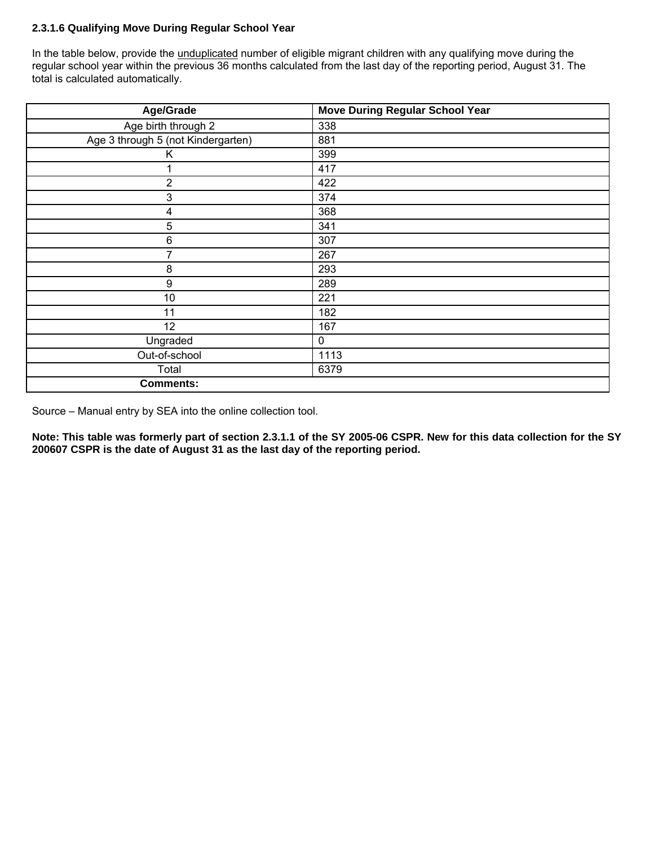# **2.3.1.6 Qualifying Move During Regular School Year**

In the table below, provide the unduplicated number of eligible migrant children with any qualifying move during the regular school year within the previous 36 months calculated from the last day of the reporting period, August 31. The total is calculated automatically.

| Age/Grade                          | <b>Move During Regular School Year</b> |
|------------------------------------|----------------------------------------|
| Age birth through 2                | 338                                    |
| Age 3 through 5 (not Kindergarten) | 881                                    |
| Κ                                  | 399                                    |
| 1                                  | 417                                    |
| $\overline{2}$                     | 422                                    |
| 3                                  | 374                                    |
| $\overline{\mathbf{4}}$            | 368                                    |
| 5                                  | 341                                    |
| $\,6\,$                            | 307                                    |
| 7                                  | 267                                    |
| 8                                  | 293                                    |
| $\boldsymbol{9}$                   | 289                                    |
| 10                                 | 221                                    |
| 11                                 | 182                                    |
| 12                                 | 167                                    |
| Ungraded                           | $\mathbf 0$                            |
| Out-of-school                      | 1113                                   |
| Total                              | 6379                                   |
| <b>Comments:</b>                   |                                        |

Source – Manual entry by SEA into the online collection tool.

**Note: This table was formerly part of section 2.3.1.1 of the SY 2005-06 CSPR. New for this data collection for the SY 200607 CSPR is the date of August 31 as the last day of the reporting period.**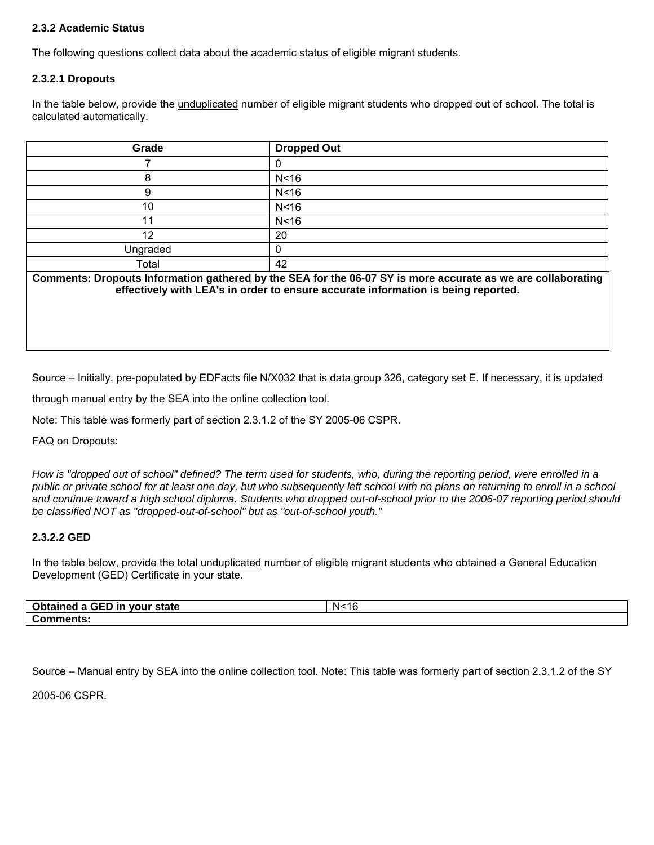# **2.3.2 Academic Status**

The following questions collect data about the academic status of eligible migrant students.

#### **2.3.2.1 Dropouts**

In the table below, provide the unduplicated number of eligible migrant students who dropped out of school. The total is calculated automatically.

| Grade    | <b>Dropped Out</b> |
|----------|--------------------|
|          |                    |
|          | N <sub>16</sub>    |
|          | N <sub>16</sub>    |
| 10       | N <sub>16</sub>    |
| 11       | N <sub>16</sub>    |
| 12       | 20                 |
| Ungraded |                    |
| Total    | 42                 |

**Comments: Dropouts Information gathered by the SEA for the 06-07 SY is more accurate as we are collaborating effectively with LEA's in order to ensure accurate information is being reported.** 

Source – Initially, pre-populated by EDFacts file N/X032 that is data group 326, category set E. If necessary, it is updated

through manual entry by the SEA into the online collection tool.

Note: This table was formerly part of section 2.3.1.2 of the SY 2005-06 CSPR.

FAQ on Dropouts:

*How is "dropped out of school" defined? The term used for students, who, during the reporting period, were enrolled in a public or private school for at least one day, but who subsequently left school with no plans on returning to enroll in a school and continue toward a high school diploma. Students who dropped out-of-school prior to the 2006-07 reporting period should be classified NOT as "dropped-out-of-school" but as "out-of-school youth."* 

#### **2.3.2.2 GED**

In the table below, provide the total *unduplicated* number of eligible migrant students who obtained a General Education Development (GED) Certificate in your state.

| Obtained a GED in your state | N < 16<br>- I G |
|------------------------------|-----------------|
| <b>Comments:</b>             |                 |

Source – Manual entry by SEA into the online collection tool. Note: This table was formerly part of section 2.3.1.2 of the SY

2005-06 CSPR.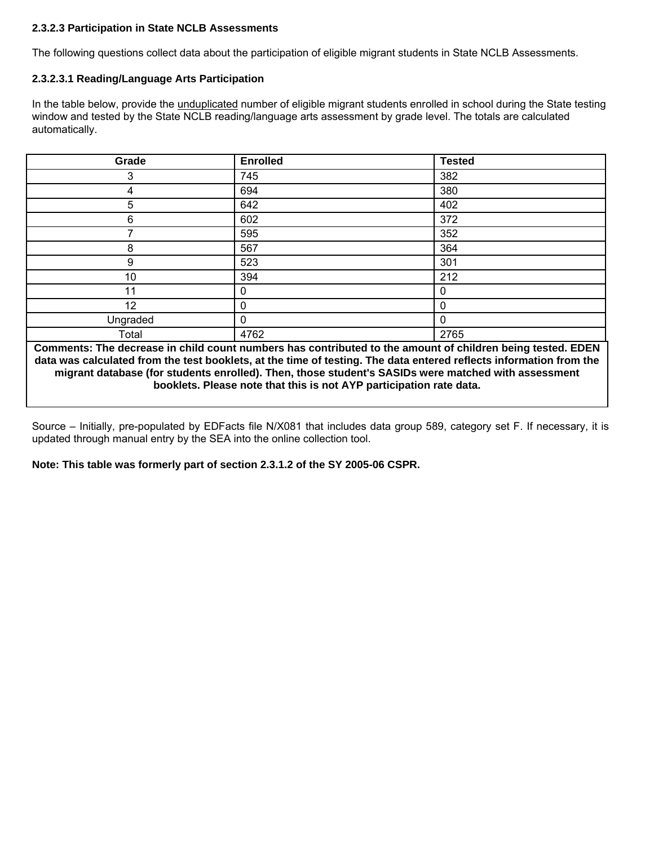### **2.3.2.3 Participation in State NCLB Assessments**

The following questions collect data about the participation of eligible migrant students in State NCLB Assessments.

#### **2.3.2.3.1 Reading/Language Arts Participation**

In the table below, provide the unduplicated number of eligible migrant students enrolled in school during the State testing window and tested by the State NCLB reading/language arts assessment by grade level. The totals are calculated automatically.

| Grade    | <b>Enrolled</b> | <b>Tested</b> |
|----------|-----------------|---------------|
| 3        | 745             | 382           |
| 4        | 694             | 380           |
| 5        | 642             | 402           |
| 6        | 602             | 372           |
|          | 595             | 352           |
| 8        | 567             | 364           |
| 9        | 523             | 301           |
| 10       | 394             | 212           |
| 11       | 0               | 0             |
| 12       | ი               | 0             |
| Ungraded | $\Omega$        | $\mathbf 0$   |
| Total    | 4762            | 2765          |

**Comments: The decrease in child count numbers has contributed to the amount of children being tested. EDEN data was calculated from the test booklets, at the time of testing. The data entered reflects information from the migrant database (for students enrolled). Then, those student's SASIDs were matched with assessment booklets. Please note that this is not AYP participation rate data.** 

Source – Initially, pre-populated by EDFacts file N/X081 that includes data group 589, category set F. If necessary, it is updated through manual entry by the SEA into the online collection tool.

**Note: This table was formerly part of section 2.3.1.2 of the SY 2005-06 CSPR.**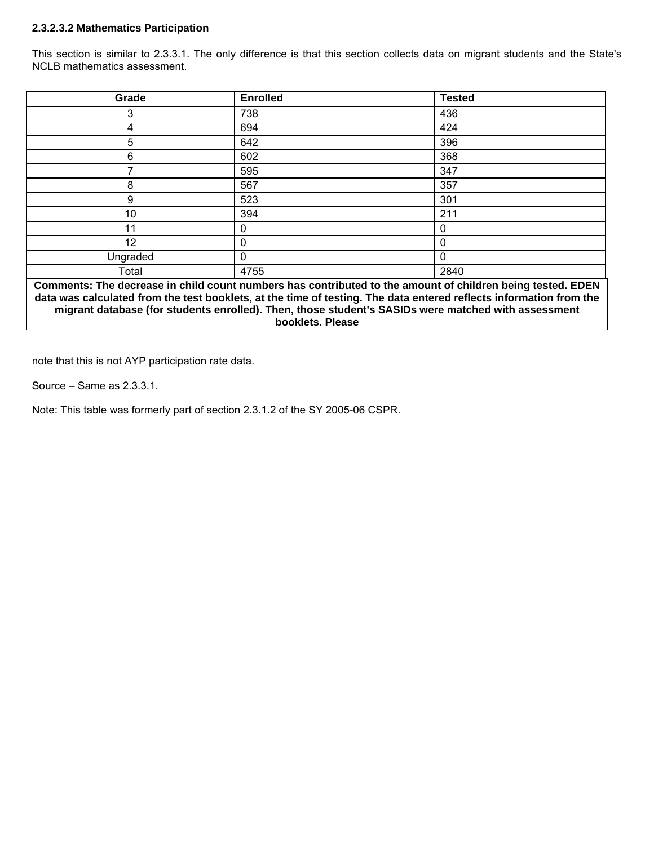#### **2.3.2.3.2 Mathematics Participation**

This section is similar to 2.3.3.1. The only difference is that this section collects data on migrant students and the State's NCLB mathematics assessment.

| Grade    | <b>Enrolled</b> | <b>Tested</b> |
|----------|-----------------|---------------|
| 3        | 738             | 436           |
| 4        | 694             | 424           |
| 5        | 642             | 396           |
| 6        | 602             | 368           |
|          | 595             | 347           |
| 8        | 567             | 357           |
| 9        | 523             | 301           |
| 10       | 394             | 211           |
| 11       | 0               | 0             |
| 12       |                 | 0             |
| Ungraded | 0               | 0             |
| Total    | 4755            | 2840          |

**Comments: The decrease in child count numbers has contributed to the amount of children being tested. EDEN data was calculated from the test booklets, at the time of testing. The data entered reflects information from the migrant database (for students enrolled). Then, those student's SASIDs were matched with assessment booklets. Please** 

note that this is not AYP participation rate data.

Source – Same as 2.3.3.1.

Note: This table was formerly part of section 2.3.1.2 of the SY 2005-06 CSPR.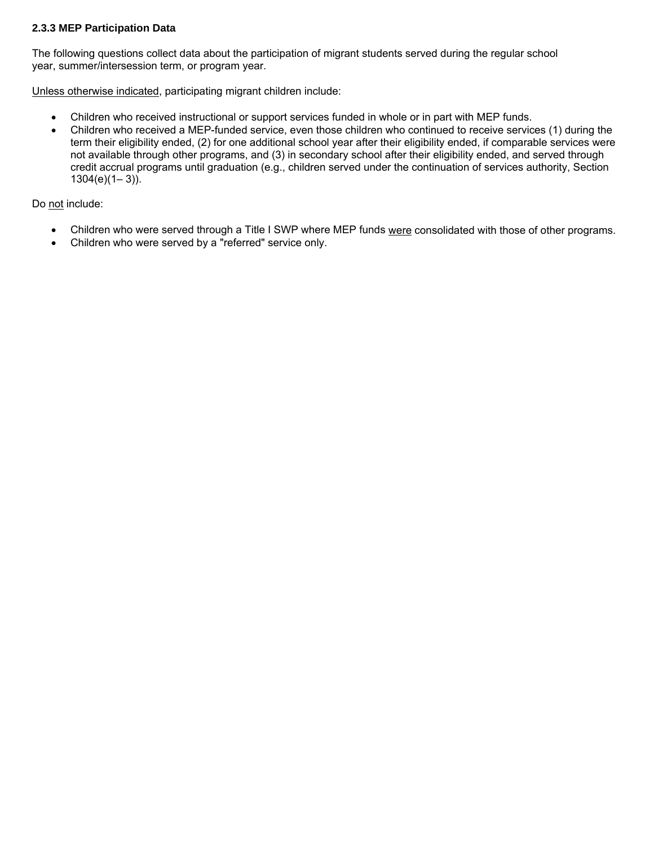# **2.3.3 MEP Participation Data**

The following questions collect data about the participation of migrant students served during the regular school year, summer/intersession term, or program year.

Unless otherwise indicated, participating migrant children include:

- Children who received instructional or support services funded in whole or in part with MEP funds.
- Children who received a MEP-funded service, even those children who continued to receive services (1) during the term their eligibility ended, (2) for one additional school year after their eligibility ended, if comparable services were not available through other programs, and (3) in secondary school after their eligibility ended, and served through credit accrual programs until graduation (e.g., children served under the continuation of services authority, Section  $1304(e)(1-3)$ ).

Do not include:

- Children who were served through a Title I SWP where MEP funds were consolidated with those of other programs.
- Children who were served by a "referred" service only.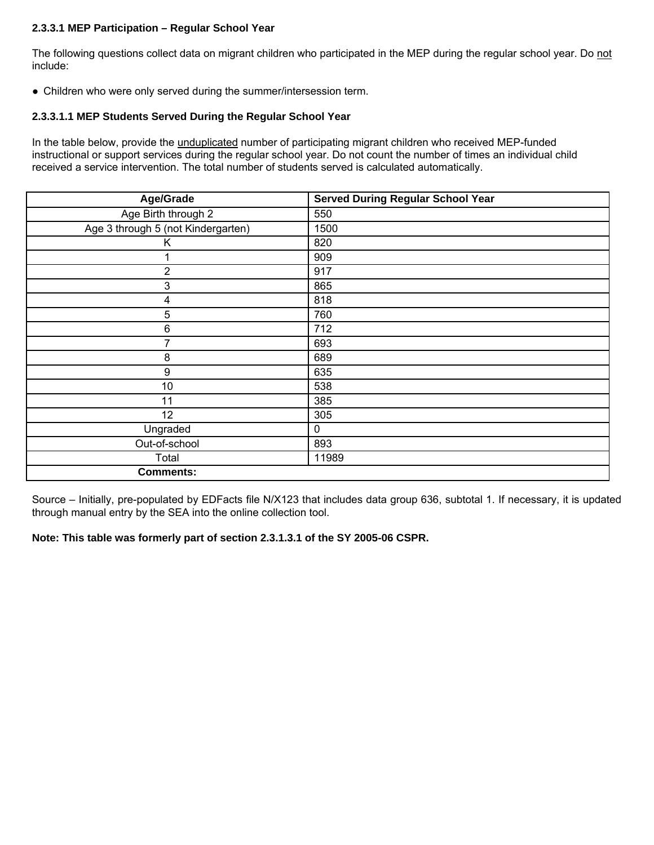#### **2.3.3.1 MEP Participation – Regular School Year**

The following questions collect data on migrant children who participated in the MEP during the regular school year. Do not include:

● Children who were only served during the summer/intersession term.

# **2.3.3.1.1 MEP Students Served During the Regular School Year**

In the table below, provide the unduplicated number of participating migrant children who received MEP-funded instructional or support services during the regular school year. Do not count the number of times an individual child received a service intervention. The total number of students served is calculated automatically.

| Age/Grade                          | <b>Served During Regular School Year</b> |
|------------------------------------|------------------------------------------|
| Age Birth through 2                | 550                                      |
| Age 3 through 5 (not Kindergarten) | 1500                                     |
| Κ                                  | 820                                      |
|                                    | 909                                      |
| $\overline{2}$                     | 917                                      |
| 3                                  | 865                                      |
| 4                                  | 818                                      |
| 5                                  | 760                                      |
| $\,6$                              | 712                                      |
| 7                                  | 693                                      |
| 8                                  | 689                                      |
| $\boldsymbol{9}$                   | 635                                      |
| 10                                 | 538                                      |
| 11                                 | 385                                      |
| 12                                 | 305                                      |
| Ungraded                           | 0                                        |
| Out-of-school                      | 893                                      |
| Total                              | 11989                                    |
| <b>Comments:</b>                   |                                          |

Source – Initially, pre-populated by EDFacts file N/X123 that includes data group 636, subtotal 1. If necessary, it is updated through manual entry by the SEA into the online collection tool.

**Note: This table was formerly part of section 2.3.1.3.1 of the SY 2005-06 CSPR.**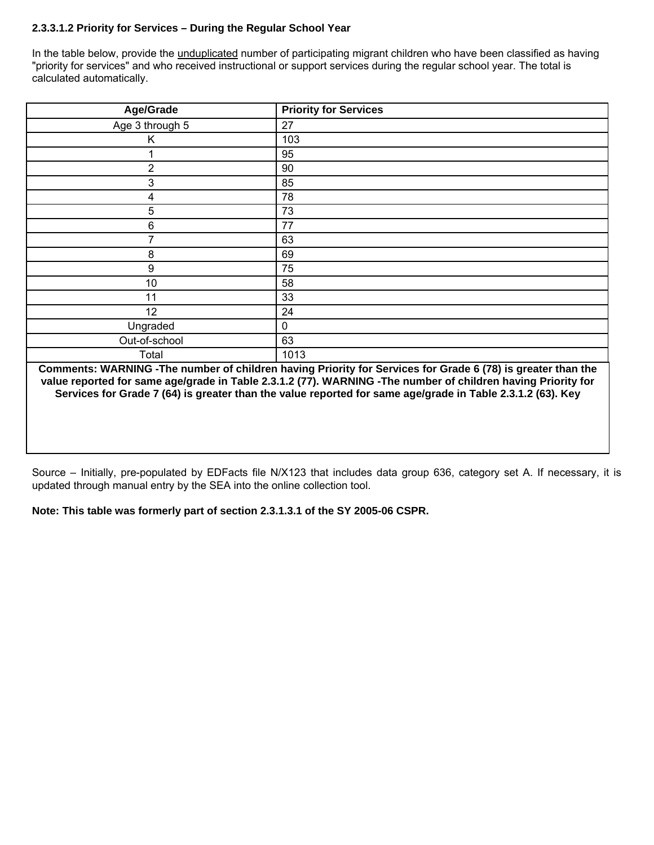# **2.3.3.1.2 Priority for Services – During the Regular School Year**

In the table below, provide the *unduplicated* number of participating migrant children who have been classified as having "priority for services" and who received instructional or support services during the regular school year. The total is calculated automatically.

| Age/Grade               | <b>Priority for Services</b>                      |
|-------------------------|---------------------------------------------------|
| Age 3 through 5         | 27                                                |
| K                       | 103                                               |
|                         | 95                                                |
| $\overline{2}$          | 90                                                |
| 3                       | 85                                                |
| $\overline{\mathbf{4}}$ | 78                                                |
| 5                       | 73                                                |
| 6                       | 77                                                |
| 7                       | 63                                                |
| 8                       | 69                                                |
| $\boldsymbol{9}$        | 75                                                |
| 10                      | 58                                                |
| 11                      | 33                                                |
| 12                      | 24                                                |
| Ungraded                | 0                                                 |
| Out-of-school           | 63                                                |
| Total                   | 1013<br>$\sim$ $\sim$ $\sim$ $\sim$ $\sim$ $\sim$ |

**Comments: WARNING -The number of children having Priority for Services for Grade 6 (78) is greater than the value reported for same age/grade in Table 2.3.1.2 (77). WARNING -The number of children having Priority for Services for Grade 7 (64) is greater than the value reported for same age/grade in Table 2.3.1.2 (63). Key** 

Source – Initially, pre-populated by EDFacts file N/X123 that includes data group 636, category set A. If necessary, it is updated through manual entry by the SEA into the online collection tool.

**Note: This table was formerly part of section 2.3.1.3.1 of the SY 2005-06 CSPR.**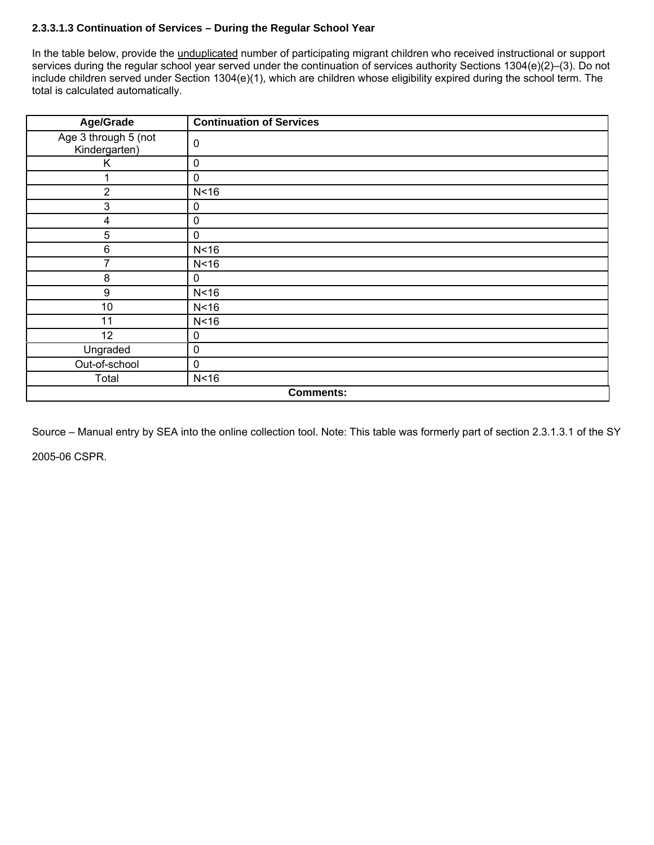# **2.3.3.1.3 Continuation of Services – During the Regular School Year**

In the table below, provide the *unduplicated* number of participating migrant children who received instructional or support services during the regular school year served under the continuation of services authority Sections 1304(e)(2)–(3). Do not include children served under Section 1304(e)(1), which are children whose eligibility expired during the school term. The total is calculated automatically.

| Age/Grade                             | <b>Continuation of Services</b> |
|---------------------------------------|---------------------------------|
| Age 3 through 5 (not<br>Kindergarten) | $\mathbf 0$                     |
| Κ                                     | 0                               |
|                                       | $\pmb{0}$                       |
| $\overline{2}$                        | N <sub>16</sub>                 |
| 3                                     | 0                               |
| 4                                     | 0                               |
| 5                                     | $\pmb{0}$                       |
| 6                                     | N <sub>16</sub>                 |
| 7                                     | N <sub>16</sub>                 |
| 8                                     | 0                               |
| $\boldsymbol{9}$                      | N <sub>16</sub>                 |
| 10                                    | N <sub>16</sub>                 |
| 11                                    | N <sub>16</sub>                 |
| 12                                    | $\mathbf 0$                     |
| Ungraded                              | $\mathbf 0$                     |
| Out-of-school                         | $\pmb{0}$                       |
| Total                                 | N <sub>16</sub>                 |
| <b>Comments:</b>                      |                                 |

Source – Manual entry by SEA into the online collection tool. Note: This table was formerly part of section 2.3.1.3.1 of the SY 2005-06 CSPR.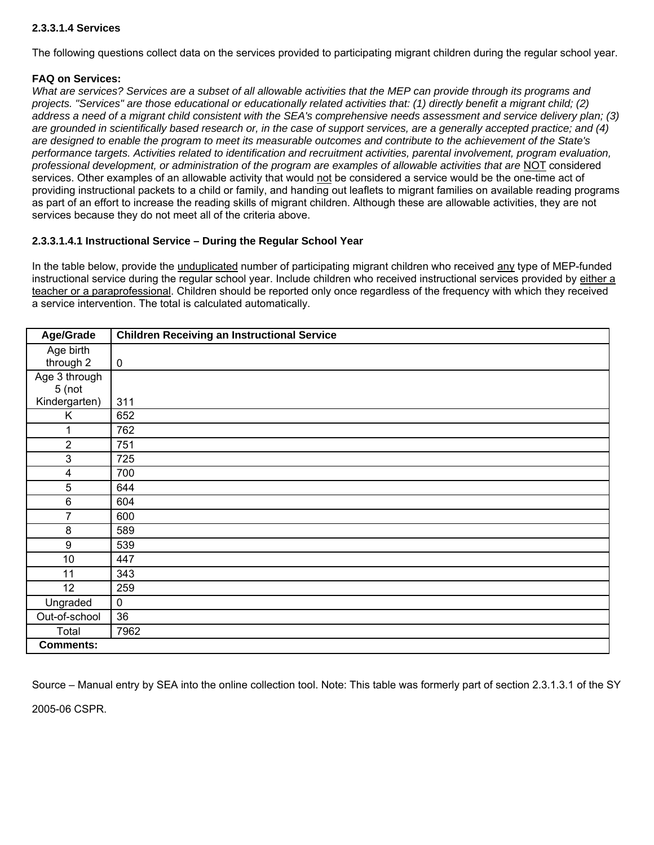# **2.3.3.1.4 Services**

The following questions collect data on the services provided to participating migrant children during the regular school year.

#### **FAQ on Services:**

*What are services? Services are a subset of all allowable activities that the MEP can provide through its programs and projects. "Services" are those educational or educationally related activities that: (1) directly benefit a migrant child; (2) address a need of a migrant child consistent with the SEA's comprehensive needs assessment and service delivery plan; (3) are grounded in scientifically based research or, in the case of support services, are a generally accepted practice; and (4) are designed to enable the program to meet its measurable outcomes and contribute to the achievement of the State's performance targets. Activities related to identification and recruitment activities, parental involvement, program evaluation, professional development, or administration of the program are examples of allowable activities that are* NOT considered services. Other examples of an allowable activity that would not be considered a service would be the one-time act of providing instructional packets to a child or family, and handing out leaflets to migrant families on available reading programs as part of an effort to increase the reading skills of migrant children. Although these are allowable activities, they are not services because they do not meet all of the criteria above.

#### **2.3.3.1.4.1 Instructional Service – During the Regular School Year**

In the table below, provide the unduplicated number of participating migrant children who received any type of MEP-funded instructional service during the regular school year. Include children who received instructional services provided by either a teacher or a paraprofessional. Children should be reported only once regardless of the frequency with which they received a service intervention. The total is calculated automatically.

| Age/Grade        | <b>Children Receiving an Instructional Service</b> |
|------------------|----------------------------------------------------|
| Age birth        |                                                    |
| through 2        | $\pmb{0}$                                          |
| Age 3 through    |                                                    |
| 5(not            |                                                    |
| Kindergarten)    | 311                                                |
| Κ                | 652                                                |
|                  | 762                                                |
| $\overline{2}$   | 751                                                |
| 3                | 725                                                |
| 4                | 700                                                |
| 5                | 644                                                |
| 6                | 604                                                |
| 7                | 600                                                |
| 8                | 589                                                |
| 9                | 539                                                |
| 10               | 447                                                |
| 11               | 343                                                |
| 12               | 259                                                |
| Ungraded         | $\pmb{0}$                                          |
| Out-of-school    | 36                                                 |
| Total            | 7962                                               |
| <b>Comments:</b> |                                                    |

Source – Manual entry by SEA into the online collection tool. Note: This table was formerly part of section 2.3.1.3.1 of the SY

2005-06 CSPR.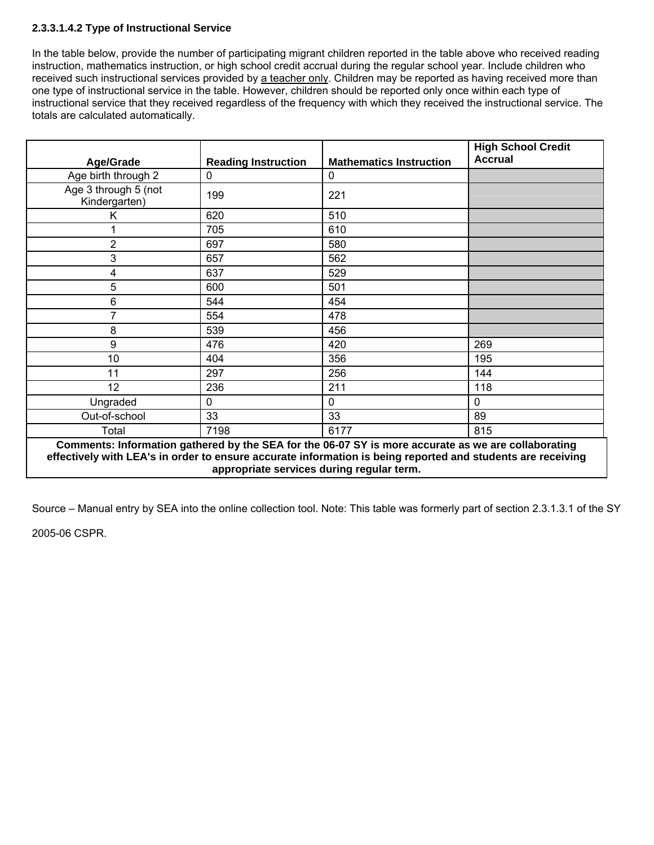# **2.3.3.1.4.2 Type of Instructional Service**

In the table below, provide the number of participating migrant children reported in the table above who received reading instruction, mathematics instruction, or high school credit accrual during the regular school year. Include children who received such instructional services provided by a teacher only. Children may be reported as having received more than one type of instructional service in the table. However, children should be reported only once within each type of instructional service that they received regardless of the frequency with which they received the instructional service. The totals are calculated automatically.

| Age/Grade                                                                                                                                                                                                                                                       | <b>Reading Instruction</b> | <b>Mathematics Instruction</b> | <b>High School Credit</b><br><b>Accrual</b> |  |
|-----------------------------------------------------------------------------------------------------------------------------------------------------------------------------------------------------------------------------------------------------------------|----------------------------|--------------------------------|---------------------------------------------|--|
| Age birth through 2                                                                                                                                                                                                                                             | $\mathbf 0$                | 0                              |                                             |  |
| Age 3 through 5 (not<br>Kindergarten)                                                                                                                                                                                                                           | 199                        | 221                            |                                             |  |
| Κ                                                                                                                                                                                                                                                               | 620                        | 510                            |                                             |  |
|                                                                                                                                                                                                                                                                 | 705                        | 610                            |                                             |  |
| 2                                                                                                                                                                                                                                                               | 697                        | 580                            |                                             |  |
| 3                                                                                                                                                                                                                                                               | 657                        | 562                            |                                             |  |
| 4                                                                                                                                                                                                                                                               | 637                        | 529                            |                                             |  |
| 5                                                                                                                                                                                                                                                               | 600                        | 501                            |                                             |  |
| 6                                                                                                                                                                                                                                                               | 544                        | 454                            |                                             |  |
|                                                                                                                                                                                                                                                                 | 554                        | 478                            |                                             |  |
| 8                                                                                                                                                                                                                                                               | 539                        | 456                            |                                             |  |
| 9                                                                                                                                                                                                                                                               | 476                        | 420                            | 269                                         |  |
| 10                                                                                                                                                                                                                                                              | 404                        | 356                            | 195                                         |  |
| 11                                                                                                                                                                                                                                                              | 297                        | 256                            | 144                                         |  |
| 12                                                                                                                                                                                                                                                              | 236                        | 211                            | 118                                         |  |
| Ungraded                                                                                                                                                                                                                                                        | $\mathbf 0$                | 0                              | 0                                           |  |
| Out-of-school                                                                                                                                                                                                                                                   | 33                         | 33                             | 89                                          |  |
| Total                                                                                                                                                                                                                                                           | 7198                       | 6177                           | 815                                         |  |
| Comments: Information gathered by the SEA for the 06-07 SY is more accurate as we are collaborating<br>effectively with LEA's in order to ensure accurate information is being reported and students are receiving<br>appropriate services during regular term. |                            |                                |                                             |  |

Source – Manual entry by SEA into the online collection tool. Note: This table was formerly part of section 2.3.1.3.1 of the SY

2005-06 CSPR.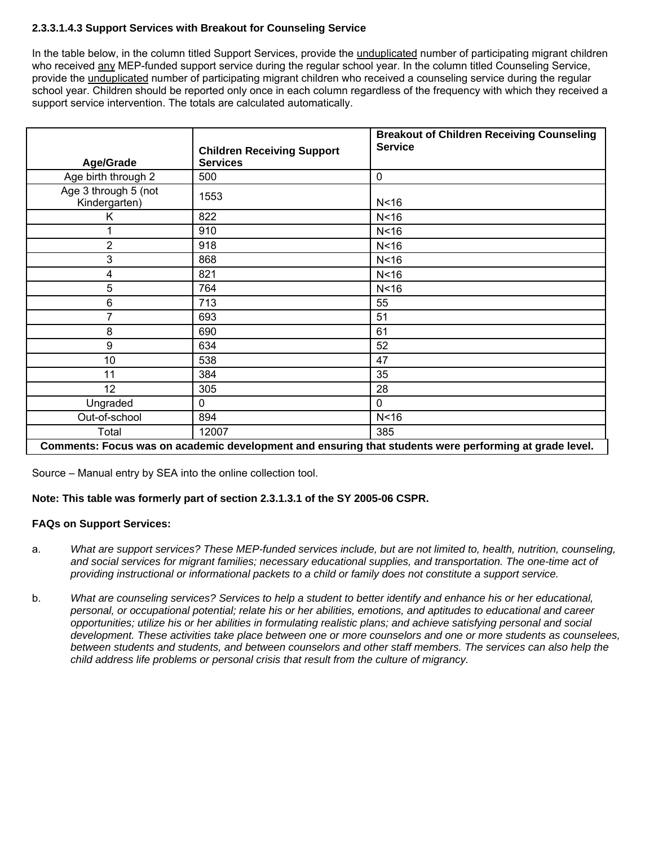# **2.3.3.1.4.3 Support Services with Breakout for Counseling Service**

In the table below, in the column titled Support Services, provide the unduplicated number of participating migrant children who received any MEP-funded support service during the regular school year. In the column titled Counseling Service, provide the unduplicated number of participating migrant children who received a counseling service during the regular school year. Children should be reported only once in each column regardless of the frequency with which they received a support service intervention. The totals are calculated automatically.

|                                                                                                        |                                                      | <b>Breakout of Children Receiving Counseling</b><br><b>Service</b> |
|--------------------------------------------------------------------------------------------------------|------------------------------------------------------|--------------------------------------------------------------------|
| Age/Grade                                                                                              | <b>Children Receiving Support</b><br><b>Services</b> |                                                                    |
| Age birth through 2                                                                                    | 500                                                  | 0                                                                  |
| Age 3 through 5 (not<br>Kindergarten)                                                                  | 1553                                                 | N <sub>16</sub>                                                    |
| Κ                                                                                                      | 822                                                  | N <sub>16</sub>                                                    |
| 1                                                                                                      | 910                                                  | N <sub>16</sub>                                                    |
| $\overline{2}$                                                                                         | 918                                                  | N <sub>16</sub>                                                    |
| 3                                                                                                      | 868                                                  | N <sub>16</sub>                                                    |
| 4                                                                                                      | 821                                                  | N <sub>16</sub>                                                    |
| 5                                                                                                      | 764                                                  | N <sub>16</sub>                                                    |
| 6                                                                                                      | 713                                                  | 55                                                                 |
| 7                                                                                                      | 693                                                  | 51                                                                 |
| 8                                                                                                      | 690                                                  | 61                                                                 |
| 9                                                                                                      | 634                                                  | 52                                                                 |
| 10                                                                                                     | 538                                                  | 47                                                                 |
| 11                                                                                                     | 384                                                  | 35                                                                 |
| 12                                                                                                     | 305                                                  | 28                                                                 |
| Ungraded                                                                                               | 0                                                    | 0                                                                  |
| Out-of-school                                                                                          | 894                                                  | N <sub>16</sub>                                                    |
| Total                                                                                                  | 12007                                                | 385                                                                |
| Comments: Focus was on academic development and ensuring that students were performing at grade level. |                                                      |                                                                    |

Source – Manual entry by SEA into the online collection tool.

# **Note: This table was formerly part of section 2.3.1.3.1 of the SY 2005-06 CSPR.**

# **FAQs on Support Services:**

- a. *What are support services? These MEP-funded services include, but are not limited to, health, nutrition, counseling, and social services for migrant families; necessary educational supplies, and transportation. The one-time act of providing instructional or informational packets to a child or family does not constitute a support service.*
- b. *What are counseling services? Services to help a student to better identify and enhance his or her educational, personal, or occupational potential; relate his or her abilities, emotions, and aptitudes to educational and career opportunities; utilize his or her abilities in formulating realistic plans; and achieve satisfying personal and social development. These activities take place between one or more counselors and one or more students as counselees, between students and students, and between counselors and other staff members. The services can also help the child address life problems or personal crisis that result from the culture of migrancy.*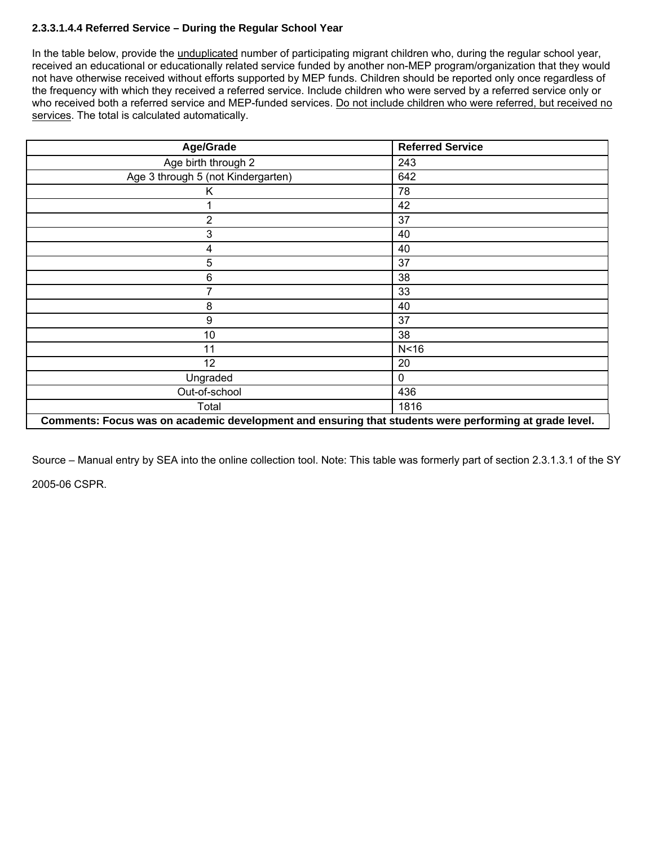# **2.3.3.1.4.4 Referred Service – During the Regular School Year**

In the table below, provide the unduplicated number of participating migrant children who, during the regular school year, received an educational or educationally related service funded by another non-MEP program/organization that they would not have otherwise received without efforts supported by MEP funds. Children should be reported only once regardless of the frequency with which they received a referred service. Include children who were served by a referred service only or who received both a referred service and MEP-funded services. Do not include children who were referred, but received no services. The total is calculated automatically.

| Age/Grade                                                                                              | <b>Referred Service</b> |  |
|--------------------------------------------------------------------------------------------------------|-------------------------|--|
| Age birth through 2                                                                                    | 243                     |  |
| Age 3 through 5 (not Kindergarten)                                                                     | 642                     |  |
| K                                                                                                      | 78                      |  |
|                                                                                                        | 42                      |  |
| $\overline{2}$                                                                                         | 37                      |  |
| 3                                                                                                      | 40                      |  |
| 4                                                                                                      | 40                      |  |
| 5                                                                                                      | 37                      |  |
| 6                                                                                                      | 38                      |  |
|                                                                                                        | 33                      |  |
| 8                                                                                                      | 40                      |  |
| 9                                                                                                      | 37                      |  |
| 10                                                                                                     | 38                      |  |
| 11                                                                                                     | N <sub>16</sub>         |  |
| 12                                                                                                     | 20                      |  |
| Ungraded                                                                                               | 0                       |  |
| Out-of-school                                                                                          | 436                     |  |
| Total                                                                                                  | 1816                    |  |
| Comments: Focus was on academic development and ensuring that students were performing at grade level. |                         |  |

Source – Manual entry by SEA into the online collection tool. Note: This table was formerly part of section 2.3.1.3.1 of the SY 2005-06 CSPR.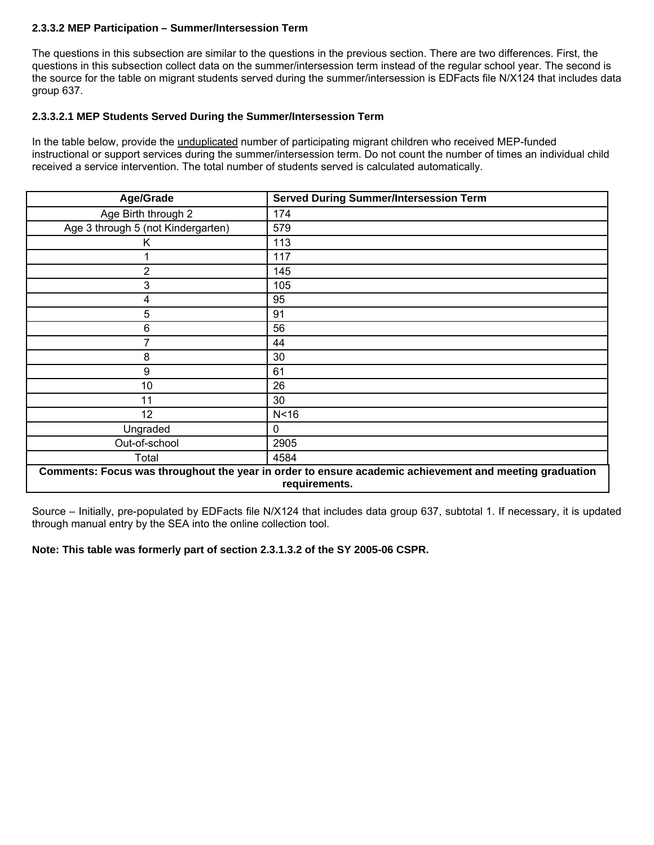# **2.3.3.2 MEP Participation – Summer/Intersession Term**

The questions in this subsection are similar to the questions in the previous section. There are two differences. First, the questions in this subsection collect data on the summer/intersession term instead of the regular school year. The second is the source for the table on migrant students served during the summer/intersession is EDFacts file N/X124 that includes data group 637.

#### **2.3.3.2.1 MEP Students Served During the Summer/Intersession Term**

In the table below, provide the unduplicated number of participating migrant children who received MEP-funded instructional or support services during the summer/intersession term. Do not count the number of times an individual child received a service intervention. The total number of students served is calculated automatically.

| Age/Grade                                                                                                               | <b>Served During Summer/Intersession Term</b> |
|-------------------------------------------------------------------------------------------------------------------------|-----------------------------------------------|
| Age Birth through 2                                                                                                     | 174                                           |
| Age 3 through 5 (not Kindergarten)                                                                                      | 579                                           |
| Κ                                                                                                                       | 113                                           |
|                                                                                                                         | 117                                           |
| 2                                                                                                                       | 145                                           |
| 3                                                                                                                       | 105                                           |
| 4                                                                                                                       | 95                                            |
| 5                                                                                                                       | 91                                            |
| 6                                                                                                                       | 56                                            |
| 7                                                                                                                       | 44                                            |
| 8                                                                                                                       | 30                                            |
| 9                                                                                                                       | 61                                            |
| 10                                                                                                                      | 26                                            |
| 11                                                                                                                      | 30                                            |
| 12                                                                                                                      | N <sub>16</sub>                               |
| Ungraded                                                                                                                | $\mathbf{0}$                                  |
| Out-of-school                                                                                                           | 2905                                          |
| Total                                                                                                                   | 4584                                          |
| Comments: Focus was throughout the year in order to ensure academic achievement and meeting graduation<br>requirements. |                                               |

Source – Initially, pre-populated by EDFacts file N/X124 that includes data group 637, subtotal 1. If necessary, it is updated through manual entry by the SEA into the online collection tool.

**Note: This table was formerly part of section 2.3.1.3.2 of the SY 2005-06 CSPR.**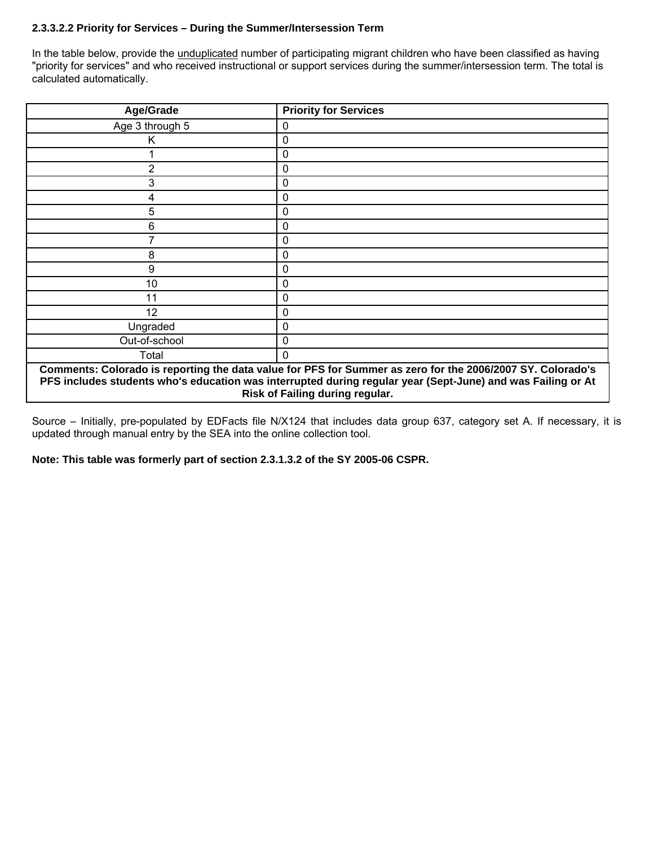# **2.3.3.2.2 Priority for Services – During the Summer/Intersession Term**

In the table below, provide the unduplicated number of participating migrant children who have been classified as having "priority for services" and who received instructional or support services during the summer/intersession term. The total is calculated automatically.

| Age/Grade                                                                                                                                                                                                                                                    | <b>Priority for Services</b> |  |
|--------------------------------------------------------------------------------------------------------------------------------------------------------------------------------------------------------------------------------------------------------------|------------------------------|--|
| Age 3 through 5                                                                                                                                                                                                                                              | 0                            |  |
| ĸ                                                                                                                                                                                                                                                            | 0                            |  |
|                                                                                                                                                                                                                                                              | $\mathbf 0$                  |  |
| 2                                                                                                                                                                                                                                                            | 0                            |  |
| 3                                                                                                                                                                                                                                                            | 0                            |  |
| 4                                                                                                                                                                                                                                                            | 0                            |  |
| 5                                                                                                                                                                                                                                                            | 0                            |  |
| 6                                                                                                                                                                                                                                                            | 0                            |  |
|                                                                                                                                                                                                                                                              | $\mathbf{0}$                 |  |
| 8                                                                                                                                                                                                                                                            | 0                            |  |
| 9                                                                                                                                                                                                                                                            | 0                            |  |
| 10                                                                                                                                                                                                                                                           | 0                            |  |
| 11                                                                                                                                                                                                                                                           | 0                            |  |
| 12                                                                                                                                                                                                                                                           | 0                            |  |
| Ungraded                                                                                                                                                                                                                                                     | 0                            |  |
| Out-of-school                                                                                                                                                                                                                                                | 0                            |  |
| Total                                                                                                                                                                                                                                                        | 0                            |  |
| Comments: Colorado is reporting the data value for PFS for Summer as zero for the 2006/2007 SY. Colorado's<br>PFS includes students who's education was interrupted during regular year (Sept-June) and was Failing or At<br>Risk of Failing during regular. |                              |  |

Source – Initially, pre-populated by EDFacts file N/X124 that includes data group 637, category set A. If necessary, it is updated through manual entry by the SEA into the online collection tool.

**Note: This table was formerly part of section 2.3.1.3.2 of the SY 2005-06 CSPR.**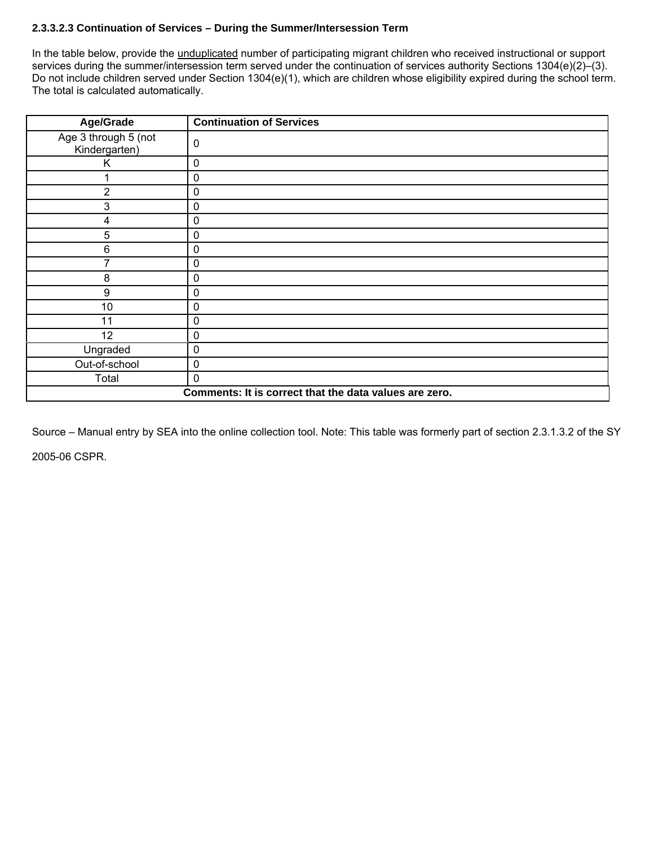# **2.3.3.2.3 Continuation of Services – During the Summer/Intersession Term**

In the table below, provide the *unduplicated* number of participating migrant children who received instructional or support services during the summer/intersession term served under the continuation of services authority Sections 1304(e)(2)–(3). Do not include children served under Section 1304(e)(1), which are children whose eligibility expired during the school term. The total is calculated automatically.

| Age/Grade                                              | <b>Continuation of Services</b> |  |
|--------------------------------------------------------|---------------------------------|--|
| Age 3 through 5 (not<br>Kindergarten)                  | 0                               |  |
| Κ                                                      | $\pmb{0}$                       |  |
|                                                        | 0                               |  |
| $\overline{2}$                                         | $\mathbf 0$                     |  |
| 3                                                      | 0                               |  |
| 4                                                      | 0                               |  |
| 5                                                      | $\mathbf 0$                     |  |
| 6                                                      | 0                               |  |
| 7                                                      | $\mathbf 0$                     |  |
| 8                                                      | 0                               |  |
| 9                                                      | 0                               |  |
| 10                                                     | $\mathbf 0$                     |  |
| 11                                                     | 0                               |  |
| 12                                                     | $\pmb{0}$                       |  |
| Ungraded                                               | $\mathbf 0$                     |  |
| Out-of-school                                          | 0                               |  |
| Total                                                  | $\Omega$                        |  |
| Comments: It is correct that the data values are zero. |                                 |  |

Source – Manual entry by SEA into the online collection tool. Note: This table was formerly part of section 2.3.1.3.2 of the SY 2005-06 CSPR.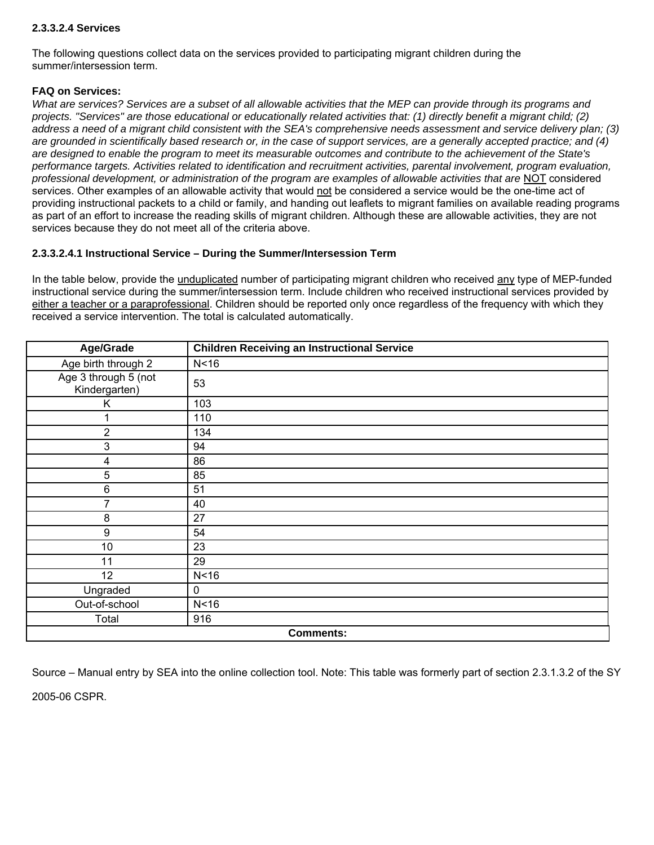## **2.3.3.2.4 Services**

The following questions collect data on the services provided to participating migrant children during the summer/intersession term.

## **FAQ on Services:**

*What are services? Services are a subset of all allowable activities that the MEP can provide through its programs and projects. "Services" are those educational or educationally related activities that: (1) directly benefit a migrant child; (2) address a need of a migrant child consistent with the SEA's comprehensive needs assessment and service delivery plan; (3) are grounded in scientifically based research or, in the case of support services, are a generally accepted practice; and (4) are designed to enable the program to meet its measurable outcomes and contribute to the achievement of the State's performance targets. Activities related to identification and recruitment activities, parental involvement, program evaluation, professional development, or administration of the program are examples of allowable activities that are* NOT considered services. Other examples of an allowable activity that would not be considered a service would be the one-time act of providing instructional packets to a child or family, and handing out leaflets to migrant families on available reading programs as part of an effort to increase the reading skills of migrant children. Although these are allowable activities, they are not services because they do not meet all of the criteria above.

## **2.3.3.2.4.1 Instructional Service – During the Summer/Intersession Term**

In the table below, provide the unduplicated number of participating migrant children who received any type of MEP-funded instructional service during the summer/intersession term. Include children who received instructional services provided by either a teacher or a paraprofessional. Children should be reported only once regardless of the frequency with which they received a service intervention. The total is calculated automatically.

| Age/Grade                             | <b>Children Receiving an Instructional Service</b> |  |
|---------------------------------------|----------------------------------------------------|--|
| Age birth through 2                   | N <sub>16</sub>                                    |  |
| Age 3 through 5 (not<br>Kindergarten) | 53                                                 |  |
| Κ                                     | 103                                                |  |
|                                       | 110                                                |  |
| $\overline{2}$                        | 134                                                |  |
| 3                                     | 94                                                 |  |
| $\overline{\mathbf{4}}$               | 86                                                 |  |
| 5                                     | 85                                                 |  |
| $\,6$                                 | 51                                                 |  |
| 7                                     | 40                                                 |  |
| 8                                     | 27                                                 |  |
| $\boldsymbol{9}$                      | 54                                                 |  |
| 10                                    | 23                                                 |  |
| 11                                    | 29                                                 |  |
| 12                                    | N <sub>16</sub>                                    |  |
| Ungraded                              | $\mathbf 0$                                        |  |
| Out-of-school                         | N <sub>16</sub>                                    |  |
| Total                                 | 916                                                |  |
| <b>Comments:</b>                      |                                                    |  |

Source – Manual entry by SEA into the online collection tool. Note: This table was formerly part of section 2.3.1.3.2 of the SY

2005-06 CSPR.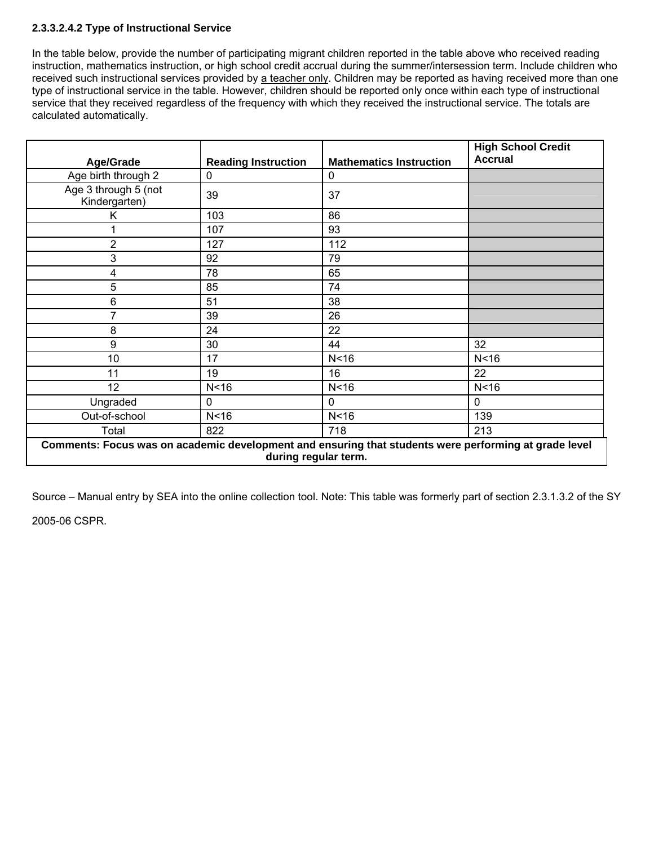# **2.3.3.2.4.2 Type of Instructional Service**

In the table below, provide the number of participating migrant children reported in the table above who received reading instruction, mathematics instruction, or high school credit accrual during the summer/intersession term. Include children who received such instructional services provided by a teacher only. Children may be reported as having received more than one type of instructional service in the table. However, children should be reported only once within each type of instructional service that they received regardless of the frequency with which they received the instructional service. The totals are calculated automatically.

| <b>Age/Grade</b>                                                                                                              | <b>Reading Instruction</b> | <b>Mathematics Instruction</b> | <b>High School Credit</b><br><b>Accrual</b> |
|-------------------------------------------------------------------------------------------------------------------------------|----------------------------|--------------------------------|---------------------------------------------|
| Age birth through 2                                                                                                           | 0                          | 0                              |                                             |
| Age 3 through 5 (not<br>Kindergarten)                                                                                         | 39                         | 37                             |                                             |
| Κ                                                                                                                             | 103                        | 86                             |                                             |
|                                                                                                                               | 107                        | 93                             |                                             |
| $\overline{2}$                                                                                                                | 127                        | 112                            |                                             |
| 3                                                                                                                             | 92                         | 79                             |                                             |
| 4                                                                                                                             | 78                         | 65                             |                                             |
| 5                                                                                                                             | 85                         | 74                             |                                             |
| 6                                                                                                                             | 51                         | 38                             |                                             |
| 7                                                                                                                             | 39                         | 26                             |                                             |
| 8                                                                                                                             | 24                         | 22                             |                                             |
| 9                                                                                                                             | 30                         | 44                             | 32                                          |
| 10                                                                                                                            | 17                         | N <sub>16</sub>                | N <sub>16</sub>                             |
| 11                                                                                                                            | 19                         | 16                             | 22                                          |
| 12                                                                                                                            | N < 16                     | N <sub>16</sub>                | N <sub>16</sub>                             |
| Ungraded                                                                                                                      | 0                          | 0                              | 0                                           |
| Out-of-school                                                                                                                 | N <sub>16</sub>            | N <sub>16</sub>                | 139                                         |
| Total                                                                                                                         | 822                        | 718                            | 213                                         |
| Comments: Focus was on academic development and ensuring that students were performing at grade level<br>during regular term. |                            |                                |                                             |

Source – Manual entry by SEA into the online collection tool. Note: This table was formerly part of section 2.3.1.3.2 of the SY

2005-06 CSPR.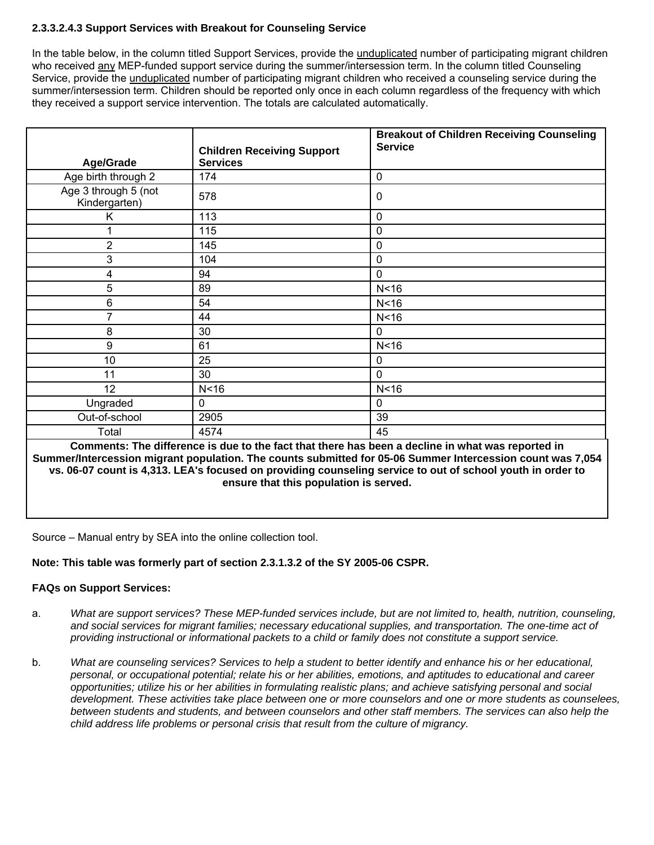# **2.3.3.2.4.3 Support Services with Breakout for Counseling Service**

In the table below, in the column titled Support Services, provide the unduplicated number of participating migrant children who received any MEP-funded support service during the summer/intersession term. In the column titled Counseling Service, provide the unduplicated number of participating migrant children who received a counseling service during the summer/intersession term. Children should be reported only once in each column regardless of the frequency with which they received a support service intervention. The totals are calculated automatically.

|                                       |                                                      | <b>Breakout of Children Receiving Counseling</b><br><b>Service</b>                                |
|---------------------------------------|------------------------------------------------------|---------------------------------------------------------------------------------------------------|
| Age/Grade                             | <b>Children Receiving Support</b><br><b>Services</b> |                                                                                                   |
| Age birth through 2                   | 174                                                  | $\mathbf 0$                                                                                       |
| Age 3 through 5 (not<br>Kindergarten) | 578                                                  | 0                                                                                                 |
| Κ                                     | 113                                                  | 0                                                                                                 |
|                                       | 115                                                  | 0                                                                                                 |
| $\overline{2}$                        | 145                                                  | $\mathbf 0$                                                                                       |
| 3                                     | 104                                                  | 0                                                                                                 |
| 4                                     | 94                                                   | 0                                                                                                 |
| 5                                     | 89                                                   | N <sub>16</sub>                                                                                   |
| 6                                     | 54                                                   | N<16                                                                                              |
| 7                                     | 44                                                   | N <sub>16</sub>                                                                                   |
| 8                                     | 30                                                   | $\mathbf 0$                                                                                       |
| $\boldsymbol{9}$                      | 61                                                   | N <sub>16</sub>                                                                                   |
| 10                                    | 25                                                   | 0                                                                                                 |
| 11                                    | 30                                                   | $\mathbf 0$                                                                                       |
| 12                                    | N <sub>16</sub>                                      | N <sub>16</sub>                                                                                   |
| Ungraded                              | 0                                                    | 0                                                                                                 |
| Out-of-school                         | 2905                                                 | 39                                                                                                |
| Total                                 | 4574                                                 | 45                                                                                                |
|                                       |                                                      | Commonte: The difference is due to the fact that there has been a decline in what was reported in |

**Comments: The difference is due to the fact that there has been a decline in what was reported in Summer/Intercession migrant population. The counts submitted for 05-06 Summer Intercession count was 7,054 vs. 06-07 count is 4,313. LEA's focused on providing counseling service to out of school youth in order to ensure that this population is served.** 

Source – Manual entry by SEA into the online collection tool.

# **Note: This table was formerly part of section 2.3.1.3.2 of the SY 2005-06 CSPR.**

# **FAQs on Support Services:**

- a. *What are support services? These MEP-funded services include, but are not limited to, health, nutrition, counseling, and social services for migrant families; necessary educational supplies, and transportation. The one-time act of providing instructional or informational packets to a child or family does not constitute a support service.*
- b. *What are counseling services? Services to help a student to better identify and enhance his or her educational, personal, or occupational potential; relate his or her abilities, emotions, and aptitudes to educational and career opportunities; utilize his or her abilities in formulating realistic plans; and achieve satisfying personal and social development. These activities take place between one or more counselors and one or more students as counselees, between students and students, and between counselors and other staff members. The services can also help the child address life problems or personal crisis that result from the culture of migrancy.*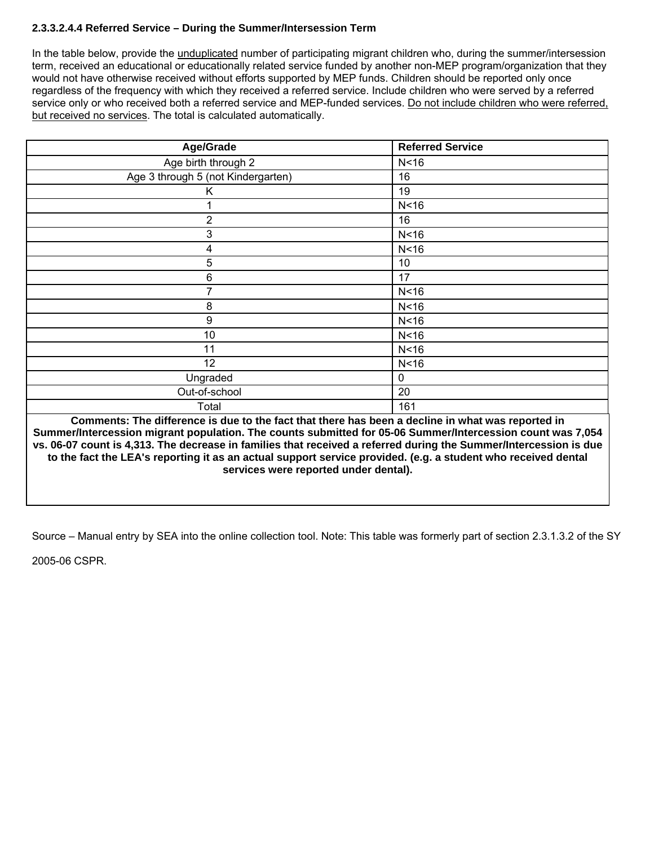# **2.3.3.2.4.4 Referred Service – During the Summer/Intersession Term**

In the table below, provide the unduplicated number of participating migrant children who, during the summer/intersession term, received an educational or educationally related service funded by another non-MEP program/organization that they would not have otherwise received without efforts supported by MEP funds. Children should be reported only once regardless of the frequency with which they received a referred service. Include children who were served by a referred service only or who received both a referred service and MEP-funded services. Do not include children who were referred, but received no services. The total is calculated automatically.

| Age/Grade                          | <b>Referred Service</b> |
|------------------------------------|-------------------------|
| Age birth through 2                | N <sub>16</sub>         |
| Age 3 through 5 (not Kindergarten) | 16                      |
| Κ                                  | 19                      |
|                                    | N < 16                  |
| $\overline{2}$                     | 16                      |
| 3                                  | N <sub>16</sub>         |
| 4                                  | N <sub>16</sub>         |
| 5                                  | 10                      |
| 6                                  | 17                      |
| 7                                  | N < 16                  |
| 8                                  | N < 16                  |
| 9                                  | N <sub>16</sub>         |
| 10                                 | N <sub>16</sub>         |
| 11                                 | N <sub>16</sub>         |
| 12                                 | N <sub>16</sub>         |
| Ungraded                           | $\mathsf 0$             |
| Out-of-school                      | 20                      |
| Total                              | 161                     |

**Comments: The difference is due to the fact that there has been a decline in what was reported in Summer/Intercession migrant population. The counts submitted for 05-06 Summer/Intercession count was 7,054 vs. 06-07 count is 4,313. The decrease in families that received a referred during the Summer/Intercession is due to the fact the LEA's reporting it as an actual support service provided. (e.g. a student who received dental services were reported under dental).** 

Source – Manual entry by SEA into the online collection tool. Note: This table was formerly part of section 2.3.1.3.2 of the SY

2005-06 CSPR.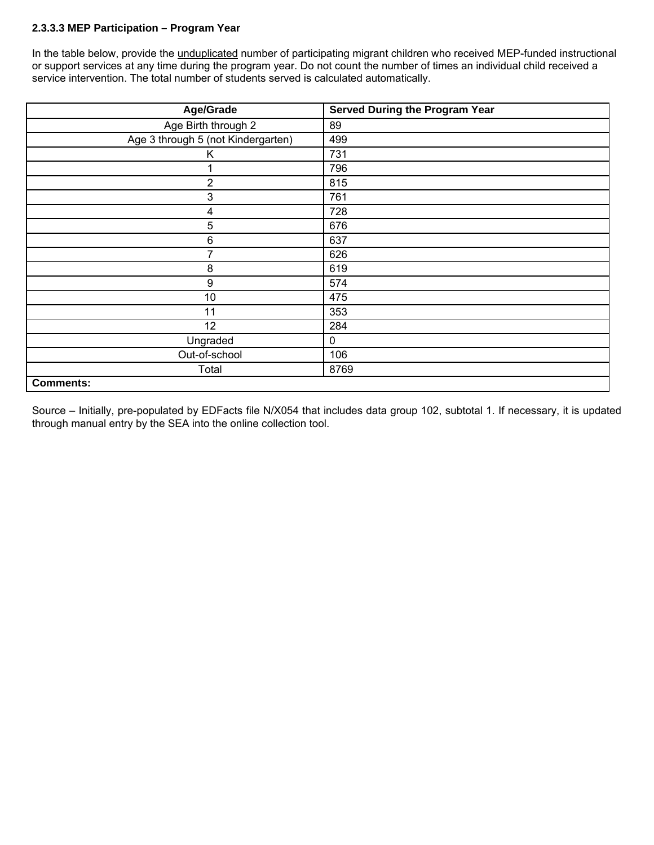# **2.3.3.3 MEP Participation – Program Year**

In the table below, provide the unduplicated number of participating migrant children who received MEP-funded instructional or support services at any time during the program year. Do not count the number of times an individual child received a service intervention. The total number of students served is calculated automatically.

| Age/Grade                          | <b>Served During the Program Year</b> |
|------------------------------------|---------------------------------------|
| Age Birth through 2                | 89                                    |
| Age 3 through 5 (not Kindergarten) | 499                                   |
| Κ                                  | 731                                   |
|                                    | 796                                   |
| $\overline{2}$                     | 815                                   |
| 3                                  | 761                                   |
| 4                                  | 728                                   |
| 5                                  | 676                                   |
| 6                                  | 637                                   |
| 7                                  | 626                                   |
| 8                                  | 619                                   |
| 9                                  | 574                                   |
| 10                                 | 475                                   |
| 11                                 | 353                                   |
| 12                                 | 284                                   |
| Ungraded                           | 0                                     |
| Out-of-school                      | 106                                   |
| Total                              | 8769                                  |
| <b>Comments:</b>                   |                                       |

Source – Initially, pre-populated by EDFacts file N/X054 that includes data group 102, subtotal 1. If necessary, it is updated through manual entry by the SEA into the online collection tool.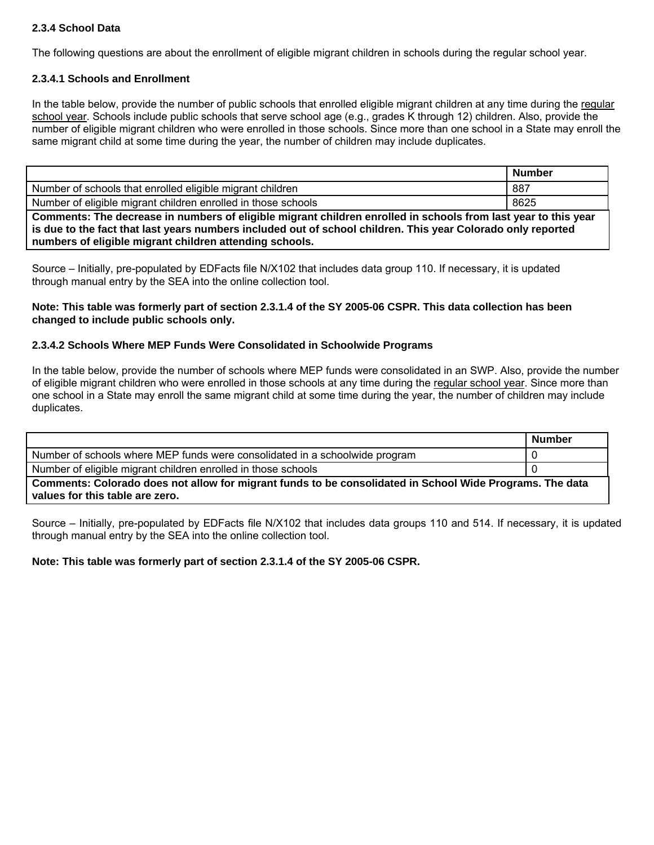# **2.3.4 School Data**

The following questions are about the enrollment of eligible migrant children in schools during the regular school year.

## **2.3.4.1 Schools and Enrollment**

In the table below, provide the number of public schools that enrolled eligible migrant children at any time during the regular school year. Schools include public schools that serve school age (e.g., grades K through 12) children. Also, provide the number of eligible migrant children who were enrolled in those schools. Since more than one school in a State may enroll the same migrant child at some time during the year, the number of children may include duplicates.

|                                                                                                                | <b>Number</b> |  |
|----------------------------------------------------------------------------------------------------------------|---------------|--|
| Number of schools that enrolled eligible migrant children                                                      | 887           |  |
| Number of eligible migrant children enrolled in those schools                                                  | 8625          |  |
| Comments: The decrease in numbers of eligible migrant children enrolled in schools from last year to this year |               |  |

**is due to the fact that last years numbers included out of school children. This year Colorado only reported numbers of eligible migrant children attending schools.** 

Source – Initially, pre-populated by EDFacts file N/X102 that includes data group 110. If necessary, it is updated through manual entry by the SEA into the online collection tool.

### **Note: This table was formerly part of section 2.3.1.4 of the SY 2005-06 CSPR. This data collection has been changed to include public schools only.**

## **2.3.4.2 Schools Where MEP Funds Were Consolidated in Schoolwide Programs**

In the table below, provide the number of schools where MEP funds were consolidated in an SWP. Also, provide the number of eligible migrant children who were enrolled in those schools at any time during the regular school year. Since more than one school in a State may enroll the same migrant child at some time during the year, the number of children may include duplicates.

|                                                                                                          | <b>Number</b> |  |
|----------------------------------------------------------------------------------------------------------|---------------|--|
| Number of schools where MEP funds were consolidated in a schoolwide program                              |               |  |
| Number of eligible migrant children enrolled in those schools                                            |               |  |
| Comments: Colorado does not allow for migrant funds to be consolidated in School Wide Programs. The data |               |  |
| values for this table are zero.                                                                          |               |  |

Source – Initially, pre-populated by EDFacts file N/X102 that includes data groups 110 and 514. If necessary, it is updated through manual entry by the SEA into the online collection tool.

**Note: This table was formerly part of section 2.3.1.4 of the SY 2005-06 CSPR.**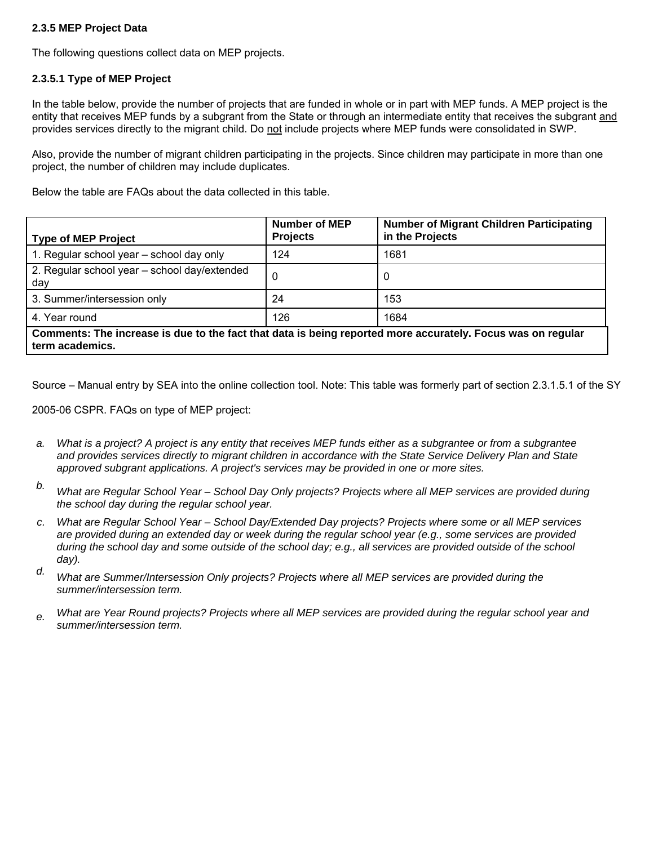# **2.3.5 MEP Project Data**

The following questions collect data on MEP projects.

# **2.3.5.1 Type of MEP Project**

In the table below, provide the number of projects that are funded in whole or in part with MEP funds. A MEP project is the entity that receives MEP funds by a subgrant from the State or through an intermediate entity that receives the subgrant and provides services directly to the migrant child. Do not include projects where MEP funds were consolidated in SWP.

Also, provide the number of migrant children participating in the projects. Since children may participate in more than one project, the number of children may include duplicates.

Below the table are FAQs about the data collected in this table.

| <b>Type of MEP Project</b>                                                                                                     | <b>Number of MEP</b><br><b>Projects</b> | <b>Number of Migrant Children Participating</b><br>in the Projects |  |  |  |
|--------------------------------------------------------------------------------------------------------------------------------|-----------------------------------------|--------------------------------------------------------------------|--|--|--|
| 1. Regular school year - school day only                                                                                       | 124                                     | 1681                                                               |  |  |  |
| 2. Regular school year - school day/extended<br>day                                                                            | 0                                       | 0                                                                  |  |  |  |
| 3. Summer/intersession only                                                                                                    | 24                                      | 153                                                                |  |  |  |
| 4. Year round                                                                                                                  | 126                                     | 1684                                                               |  |  |  |
| Comments: The increase is due to the fact that data is being reported more accurately. Focus was on regular<br>term academics. |                                         |                                                                    |  |  |  |

Source – Manual entry by SEA into the online collection tool. Note: This table was formerly part of section 2.3.1.5.1 of the SY

2005-06 CSPR. FAQs on type of MEP project:

- *a. What is a project? A project is any entity that receives MEP funds either as a subgrantee or from a subgrantee and provides services directly to migrant children in accordance with the State Service Delivery Plan and State approved subgrant applications. A project's services may be provided in one or more sites.*
- *b. What are Regular School Year School Day Only projects? Projects where all MEP services are provided during the school day during the regular school year.*
- *c. What are Regular School Year School Day/Extended Day projects? Projects where some or all MEP services are provided during an extended day or week during the regular school year (e.g., some services are provided during the school day and some outside of the school day; e.g., all services are provided outside of the school day).*
- *d. What are Summer/Intersession Only projects? Projects where all MEP services are provided during the summer/intersession term.*
- *e. What are Year Round projects? Projects where all MEP services are provided during the regular school year and summer/intersession term.*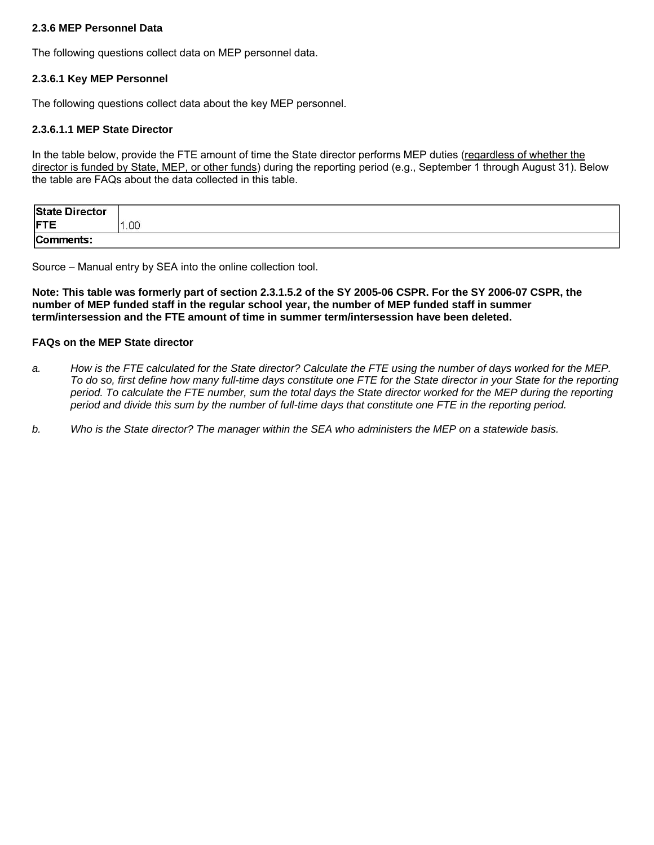## **2.3.6 MEP Personnel Data**

The following questions collect data on MEP personnel data.

#### **2.3.6.1 Key MEP Personnel**

The following questions collect data about the key MEP personnel.

## **2.3.6.1.1 MEP State Director**

In the table below, provide the FTE amount of time the State director performs MEP duties (regardless of whether the director is funded by State, MEP, or other funds) during the reporting period (e.g., September 1 through August 31). Below the table are FAQs about the data collected in this table.

| <b>State Director</b> |      |
|-----------------------|------|
| <b>FTE</b>            | .00. |
| Comments:             |      |

Source – Manual entry by SEA into the online collection tool.

**Note: This table was formerly part of section 2.3.1.5.2 of the SY 2005-06 CSPR. For the SY 2006-07 CSPR, the number of MEP funded staff in the regular school year, the number of MEP funded staff in summer term/intersession and the FTE amount of time in summer term/intersession have been deleted.** 

#### **FAQs on the MEP State director**

- *a. How is the FTE calculated for the State director? Calculate the FTE using the number of days worked for the MEP. To do so, first define how many full-time days constitute one FTE for the State director in your State for the reporting period. To calculate the FTE number, sum the total days the State director worked for the MEP during the reporting period and divide this sum by the number of full-time days that constitute one FTE in the reporting period.*
- *b. Who is the State director? The manager within the SEA who administers the MEP on a statewide basis.*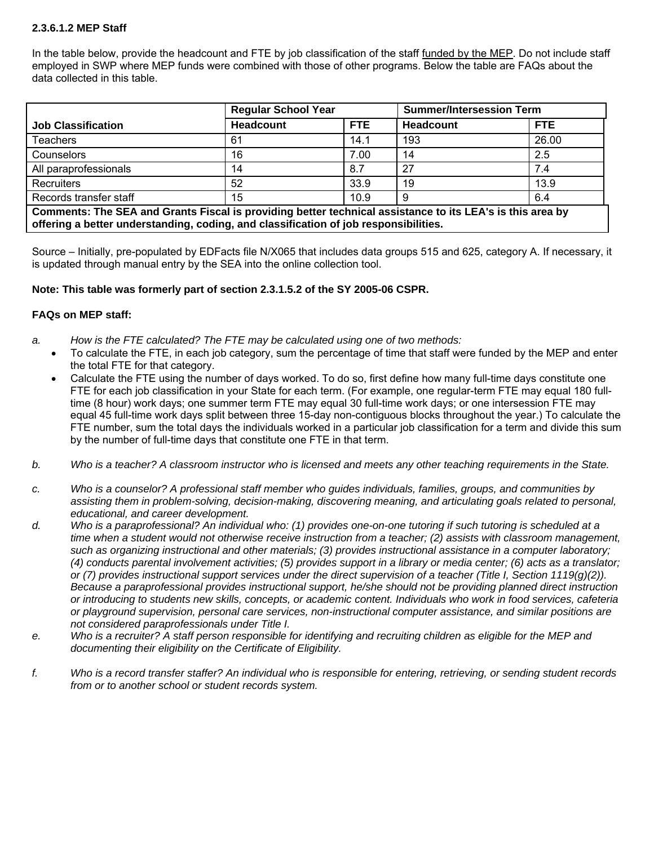# **2.3.6.1.2 MEP Staff**

In the table below, provide the headcount and FTE by job classification of the staff funded by the MEP. Do not include staff employed in SWP where MEP funds were combined with those of other programs. Below the table are FAQs about the data collected in this table.

|                                                                                                                                                                                                   | <b>Regular School Year</b> |      | <b>Summer/Intersession Term</b> |            |  |
|---------------------------------------------------------------------------------------------------------------------------------------------------------------------------------------------------|----------------------------|------|---------------------------------|------------|--|
| <b>Job Classification</b>                                                                                                                                                                         | <b>Headcount</b>           | FTE  | Headcount                       | <b>FTE</b> |  |
| <b>Teachers</b>                                                                                                                                                                                   | 61                         | 14.1 | 193                             | 26.00      |  |
| Counselors                                                                                                                                                                                        | 16                         | 7.00 | 14                              | 2.5        |  |
| All paraprofessionals                                                                                                                                                                             | 14                         | 8.7  | 27                              | 7.4        |  |
| Recruiters                                                                                                                                                                                        | 52                         | 33.9 | 19                              | 13.9       |  |
| Records transfer staff                                                                                                                                                                            | 15                         | 10.9 |                                 | 6.4        |  |
| Comments: The SEA and Grants Fiscal is providing better technical assistance to its LEA's is this area by<br>offering a better understanding, coding, and classification of job responsibilities. |                            |      |                                 |            |  |

Source – Initially, pre-populated by EDFacts file N/X065 that includes data groups 515 and 625, category A. If necessary, it is updated through manual entry by the SEA into the online collection tool.

## **Note: This table was formerly part of section 2.3.1.5.2 of the SY 2005-06 CSPR.**

## **FAQs on MEP staff:**

- *a. How is the FTE calculated? The FTE may be calculated using one of two methods:* 
	- To calculate the FTE, in each job category, sum the percentage of time that staff were funded by the MEP and enter the total FTE for that category.
	- Calculate the FTE using the number of days worked. To do so, first define how many full-time days constitute one FTE for each job classification in your State for each term. (For example, one regular-term FTE may equal 180 fulltime (8 hour) work days; one summer term FTE may equal 30 full-time work days; or one intersession FTE may equal 45 full-time work days split between three 15-day non-contiguous blocks throughout the year.) To calculate the FTE number, sum the total days the individuals worked in a particular job classification for a term and divide this sum by the number of full-time days that constitute one FTE in that term.
- *b. Who is a teacher? A classroom instructor who is licensed and meets any other teaching requirements in the State.*
- *c. Who is a counselor? A professional staff member who guides individuals, families, groups, and communities by assisting them in problem-solving, decision-making, discovering meaning, and articulating goals related to personal, educational, and career development.*
- *d. Who is a paraprofessional? An individual who: (1) provides one-on-one tutoring if such tutoring is scheduled at a time when a student would not otherwise receive instruction from a teacher; (2) assists with classroom management, such as organizing instructional and other materials; (3) provides instructional assistance in a computer laboratory; (4) conducts parental involvement activities; (5) provides support in a library or media center; (6) acts as a translator; or (7) provides instructional support services under the direct supervision of a teacher (Title I, Section 1119(g)(2)). Because a paraprofessional provides instructional support, he/she should not be providing planned direct instruction or introducing to students new skills, concepts, or academic content. Individuals who work in food services, cafeteria or playground supervision, personal care services, non-instructional computer assistance, and similar positions are not considered paraprofessionals under Title I.*
- *e. Who is a recruiter? A staff person responsible for identifying and recruiting children as eligible for the MEP and documenting their eligibility on the Certificate of Eligibility.*
- *f. Who is a record transfer staffer? An individual who is responsible for entering, retrieving, or sending student records from or to another school or student records system.*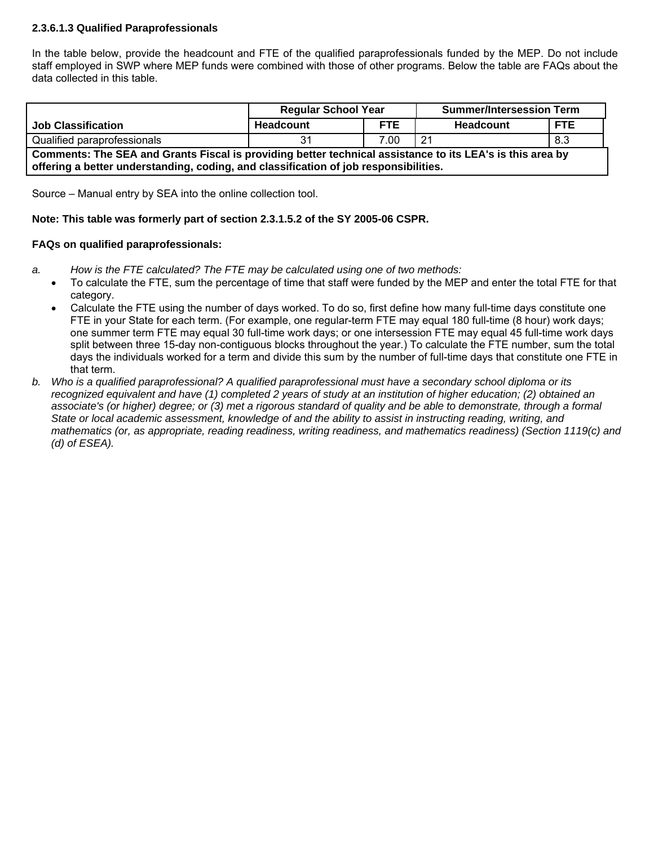# **2.3.6.1.3 Qualified Paraprofessionals**

In the table below, provide the headcount and FTE of the qualified paraprofessionals funded by the MEP. Do not include staff employed in SWP where MEP funds were combined with those of other programs. Below the table are FAQs about the data collected in this table.

|                                                                                                                                                                                                   | <b>Regular School Year</b> |            | <b>Summer/Intersession Term</b> |            |  |
|---------------------------------------------------------------------------------------------------------------------------------------------------------------------------------------------------|----------------------------|------------|---------------------------------|------------|--|
| <b>Job Classification</b>                                                                                                                                                                         | Headcount                  | <b>FTE</b> | Headcount                       | <b>FTE</b> |  |
| Qualified paraprofessionals                                                                                                                                                                       |                            | 7.00       | 21                              | 8.3        |  |
| Comments: The SEA and Grants Fiscal is providing better technical assistance to its LEA's is this area by<br>offering a better understanding, coding, and classification of job responsibilities. |                            |            |                                 |            |  |

Source – Manual entry by SEA into the online collection tool.

## **Note: This table was formerly part of section 2.3.1.5.2 of the SY 2005-06 CSPR.**

## **FAQs on qualified paraprofessionals:**

- *a. How is the FTE calculated? The FTE may be calculated using one of two methods:* 
	- To calculate the FTE, sum the percentage of time that staff were funded by the MEP and enter the total FTE for that category.
	- Calculate the FTE using the number of days worked. To do so, first define how many full-time days constitute one FTE in your State for each term. (For example, one regular-term FTE may equal 180 full-time (8 hour) work days; one summer term FTE may equal 30 full-time work days; or one intersession FTE may equal 45 full-time work days split between three 15-day non-contiguous blocks throughout the year.) To calculate the FTE number, sum the total days the individuals worked for a term and divide this sum by the number of full-time days that constitute one FTE in that term.
- *b. Who is a qualified paraprofessional? A qualified paraprofessional must have a secondary school diploma or its recognized equivalent and have (1) completed 2 years of study at an institution of higher education; (2) obtained an associate's (or higher) degree; or (3) met a rigorous standard of quality and be able to demonstrate, through a formal State or local academic assessment, knowledge of and the ability to assist in instructing reading, writing, and mathematics (or, as appropriate, reading readiness, writing readiness, and mathematics readiness) (Section 1119(c) and (d) of ESEA).*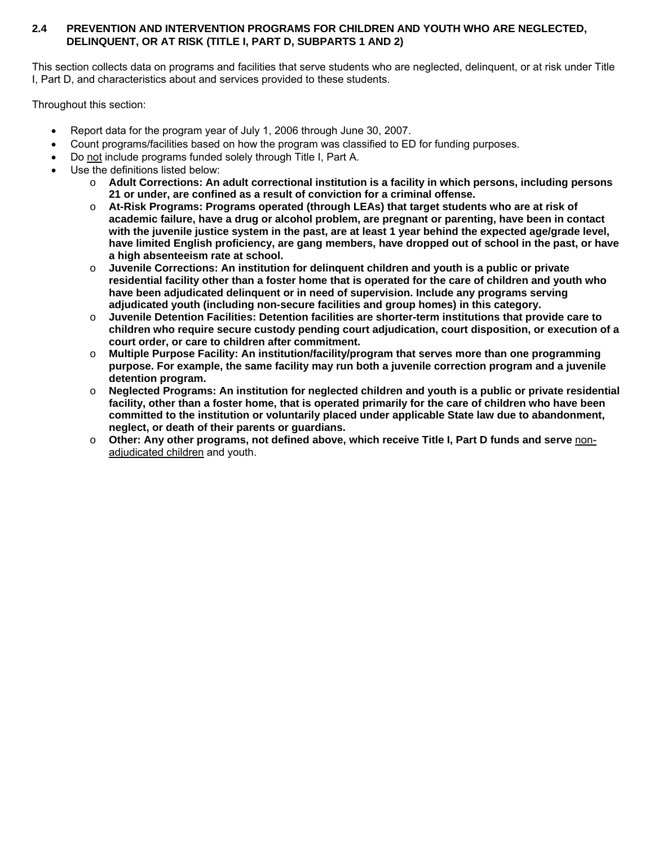# **2.4 PREVENTION AND INTERVENTION PROGRAMS FOR CHILDREN AND YOUTH WHO ARE NEGLECTED, DELINQUENT, OR AT RISK (TITLE I, PART D, SUBPARTS 1 AND 2)**

This section collects data on programs and facilities that serve students who are neglected, delinquent, or at risk under Title I, Part D, and characteristics about and services provided to these students.

Throughout this section:

- Report data for the program year of July 1, 2006 through June 30, 2007.
- Count programs/facilities based on how the program was classified to ED for funding purposes.
- Do not include programs funded solely through Title I, Part A.
- Use the definitions listed below:
	- o **Adult Corrections: An adult correctional institution is a facility in which persons, including persons 21 or under, are confined as a result of conviction for a criminal offense.**
	- o **At-Risk Programs: Programs operated (through LEAs) that target students who are at risk of academic failure, have a drug or alcohol problem, are pregnant or parenting, have been in contact with the juvenile justice system in the past, are at least 1 year behind the expected age/grade level, have limited English proficiency, are gang members, have dropped out of school in the past, or have a high absenteeism rate at school.**
	- o **Juvenile Corrections: An institution for delinquent children and youth is a public or private residential facility other than a foster home that is operated for the care of children and youth who have been adjudicated delinquent or in need of supervision. Include any programs serving adjudicated youth (including non-secure facilities and group homes) in this category.**
	- o **Juvenile Detention Facilities: Detention facilities are shorter-term institutions that provide care to children who require secure custody pending court adjudication, court disposition, or execution of a court order, or care to children after commitment.**
	- o **Multiple Purpose Facility: An institution/facility/program that serves more than one programming purpose. For example, the same facility may run both a juvenile correction program and a juvenile detention program.**
	- o **Neglected Programs: An institution for neglected children and youth is a public or private residential facility, other than a foster home, that is operated primarily for the care of children who have been committed to the institution or voluntarily placed under applicable State law due to abandonment, neglect, or death of their parents or guardians.**
	- o **Other: Any other programs, not defined above, which receive Title I, Part D funds and serve** nonadjudicated children and youth.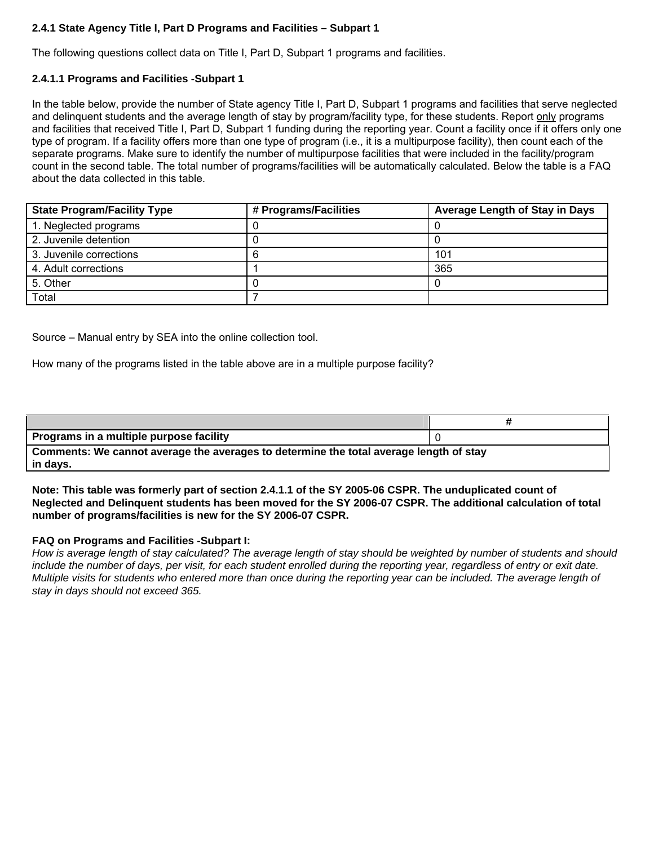# **2.4.1 State Agency Title I, Part D Programs and Facilities – Subpart 1**

The following questions collect data on Title I, Part D, Subpart 1 programs and facilities.

## **2.4.1.1 Programs and Facilities -Subpart 1**

In the table below, provide the number of State agency Title I, Part D, Subpart 1 programs and facilities that serve neglected and delinquent students and the average length of stay by program/facility type, for these students. Report only programs and facilities that received Title I, Part D, Subpart 1 funding during the reporting year. Count a facility once if it offers only one type of program. If a facility offers more than one type of program (i.e., it is a multipurpose facility), then count each of the separate programs. Make sure to identify the number of multipurpose facilities that were included in the facility/program count in the second table. The total number of programs/facilities will be automatically calculated. Below the table is a FAQ about the data collected in this table.

| <b>State Program/Facility Type</b> | # Programs/Facilities | <b>Average Length of Stay in Days</b> |
|------------------------------------|-----------------------|---------------------------------------|
| 1. Neglected programs              |                       |                                       |
| 2. Juvenile detention              |                       |                                       |
| 3. Juvenile corrections            |                       | 101                                   |
| 4. Adult corrections               |                       | 365                                   |
| 5. Other                           |                       |                                       |
| Total                              |                       |                                       |

Source – Manual entry by SEA into the online collection tool.

How many of the programs listed in the table above are in a multiple purpose facility?

| Programs in a multiple purpose facility                                                            |  |
|----------------------------------------------------------------------------------------------------|--|
| Comments: We cannot average the averages to determine the total average length of stay<br>in days. |  |

**Note: This table was formerly part of section 2.4.1.1 of the SY 2005-06 CSPR. The unduplicated count of Neglected and Delinquent students has been moved for the SY 2006-07 CSPR. The additional calculation of total number of programs/facilities is new for the SY 2006-07 CSPR.** 

#### **FAQ on Programs and Facilities -Subpart I:**

*How is average length of stay calculated? The average length of stay should be weighted by number of students and should include the number of days, per visit, for each student enrolled during the reporting year, regardless of entry or exit date. Multiple visits for students who entered more than once during the reporting year can be included. The average length of stay in days should not exceed 365.*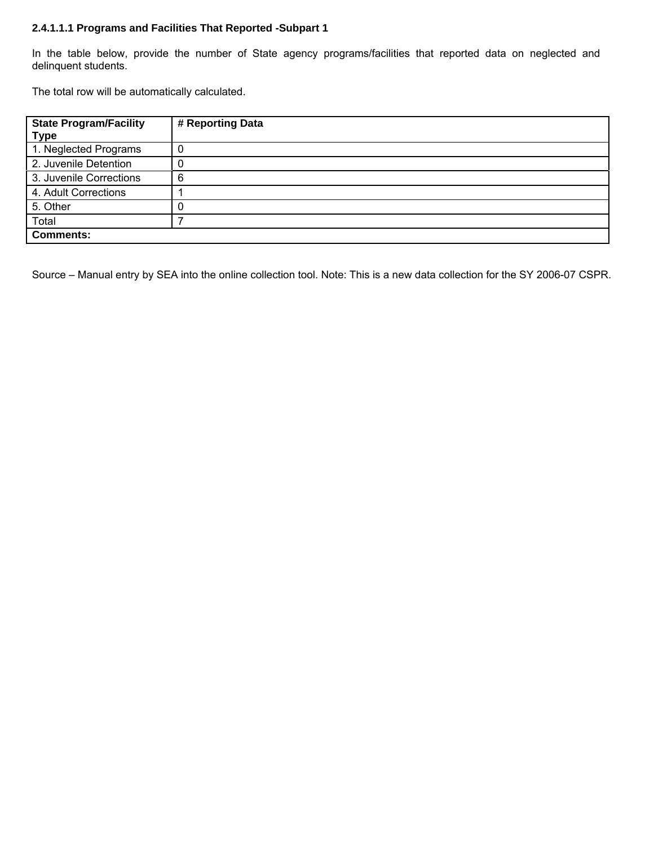## **2.4.1.1.1 Programs and Facilities That Reported -Subpart 1**

In the table below, provide the number of State agency programs/facilities that reported data on neglected and delinquent students.

The total row will be automatically calculated.

| <b>State Program/Facility</b><br><b>Type</b> | # Reporting Data |
|----------------------------------------------|------------------|
| 1. Neglected Programs                        |                  |
| 2. Juvenile Detention                        |                  |
| 3. Juvenile Corrections                      | 6                |
| 4. Adult Corrections                         |                  |
| 5. Other                                     |                  |
| Total                                        |                  |
| <b>Comments:</b>                             |                  |

Source – Manual entry by SEA into the online collection tool. Note: This is a new data collection for the SY 2006-07 CSPR.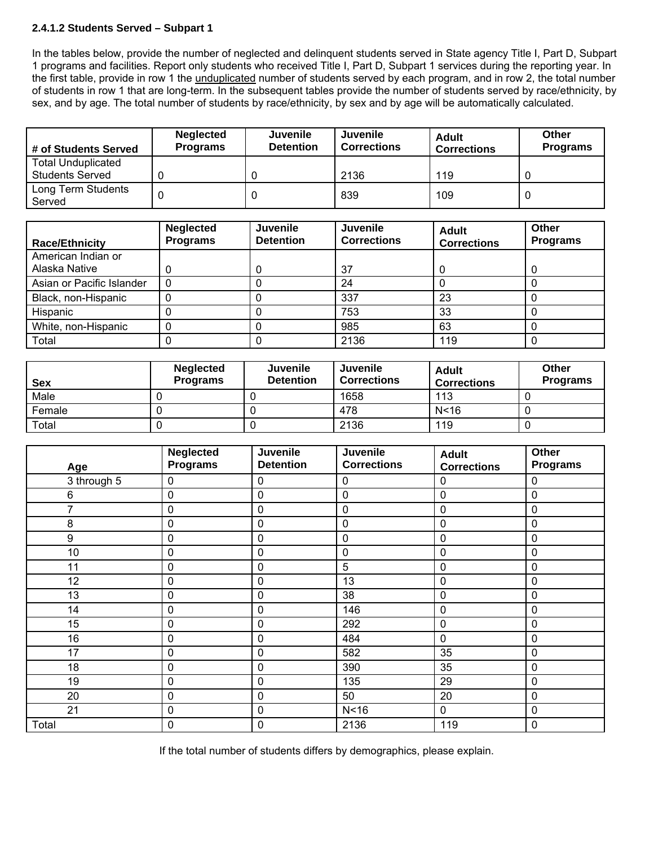# **2.4.1.2 Students Served – Subpart 1**

In the tables below, provide the number of neglected and delinquent students served in State agency Title I, Part D, Subpart 1 programs and facilities. Report only students who received Title I, Part D, Subpart 1 services during the reporting year. In the first table, provide in row 1 the unduplicated number of students served by each program, and in row 2, the total number of students in row 1 that are long-term. In the subsequent tables provide the number of students served by race/ethnicity, by sex, and by age. The total number of students by race/ethnicity, by sex and by age will be automatically calculated.

| # of Students Served                                | <b>Neglected</b><br><b>Programs</b> | <b>Juvenile</b><br><b>Detention</b> | Juvenile<br><b>Corrections</b> | <b>Adult</b><br><b>Corrections</b> | Other<br><b>Programs</b> |
|-----------------------------------------------------|-------------------------------------|-------------------------------------|--------------------------------|------------------------------------|--------------------------|
| <b>Total Unduplicated</b><br><b>Students Served</b> |                                     |                                     |                                |                                    |                          |
|                                                     |                                     |                                     | 2136                           | 119                                |                          |
| Long Term Students<br>Served                        |                                     |                                     | 839                            | 109                                |                          |

| <b>Race/Ethnicity</b>     | <b>Neglected</b><br><b>Programs</b> | Juvenile<br><b>Detention</b> | <b>Juvenile</b><br><b>Corrections</b> | <b>Adult</b><br><b>Corrections</b> | Other<br><b>Programs</b> |
|---------------------------|-------------------------------------|------------------------------|---------------------------------------|------------------------------------|--------------------------|
| American Indian or        |                                     |                              |                                       |                                    |                          |
| Alaska Native             |                                     |                              | 37                                    |                                    |                          |
| Asian or Pacific Islander |                                     |                              | 24                                    |                                    |                          |
| Black, non-Hispanic       |                                     |                              | 337                                   | 23                                 |                          |
| Hispanic                  |                                     |                              | 753                                   | 33                                 |                          |
| White, non-Hispanic       |                                     |                              | 985                                   | 63                                 |                          |
| Total                     |                                     |                              | 2136                                  | 119                                |                          |

| <b>Sex</b> | <b>Neglected</b><br><b>Programs</b> | <b>Juvenile</b><br><b>Detention</b> | Juvenile<br><b>Corrections</b> | Adult<br><b>Corrections</b> | Other<br><b>Programs</b> |
|------------|-------------------------------------|-------------------------------------|--------------------------------|-----------------------------|--------------------------|
| Male       |                                     |                                     | 1658                           | 113                         |                          |
| Female     |                                     |                                     | 478                            | N < 16                      |                          |
| Total      |                                     |                                     | 2136                           | 119                         |                          |

| Age            | <b>Neglected</b><br><b>Programs</b> | Juvenile<br><b>Detention</b> | <b>Juvenile</b><br><b>Corrections</b> | <b>Adult</b><br><b>Corrections</b> | Other<br><b>Programs</b> |
|----------------|-------------------------------------|------------------------------|---------------------------------------|------------------------------------|--------------------------|
| 3 through 5    | 0                                   | $\pmb{0}$                    | 0                                     | 0                                  | $\mathbf 0$              |
| 6              | $\mathbf 0$                         | 0                            | 0                                     | $\mathbf 0$                        | $\mathbf 0$              |
| $\overline{7}$ | $\mathbf 0$                         | 0                            | 0                                     | $\mathbf 0$                        | $\mathbf 0$              |
| 8              | $\mathbf 0$                         | 0                            | 0                                     | $\mathbf 0$                        | $\mathbf 0$              |
| 9              | $\mathbf 0$                         | 0                            | 0                                     | $\mathbf 0$                        | $\mathbf 0$              |
| 10             | $\mathbf 0$                         | 0                            | $\pmb{0}$                             | $\mathbf 0$                        | $\mathbf 0$              |
| 11             | $\pmb{0}$                           | 0                            | 5                                     | $\mathbf 0$                        | $\mathbf 0$              |
| 12             | $\pmb{0}$                           | 0                            | 13                                    | $\pmb{0}$                          | $\mathbf 0$              |
| 13             | $\mathbf 0$                         | 0                            | 38                                    | $\mathbf 0$                        | $\mathbf 0$              |
| 14             | $\mathbf 0$                         | 0                            | 146                                   | $\mathbf 0$                        | $\mathbf 0$              |
| 15             | $\mathbf 0$                         | 0                            | 292                                   | $\mathbf 0$                        | $\mathbf 0$              |
| 16             | $\pmb{0}$                           | 0                            | 484                                   | $\mathbf 0$                        | $\mathbf 0$              |
| 17             | 0                                   | 0                            | 582                                   | 35                                 | $\mathbf 0$              |
| 18             | $\pmb{0}$                           | 0                            | 390                                   | 35                                 | $\mathbf 0$              |
| 19             | $\pmb{0}$                           | 0                            | 135                                   | 29                                 | $\mathbf 0$              |
| 20             | $\mathbf 0$                         | $\mathbf 0$                  | 50                                    | 20                                 | $\mathbf 0$              |
| 21             | 0                                   | 0                            | N <sub>16</sub>                       | $\mathbf 0$                        | $\pmb{0}$                |
| Total          | $\mathbf 0$                         | 0                            | 2136                                  | 119                                | $\mathbf 0$              |

If the total number of students differs by demographics, please explain.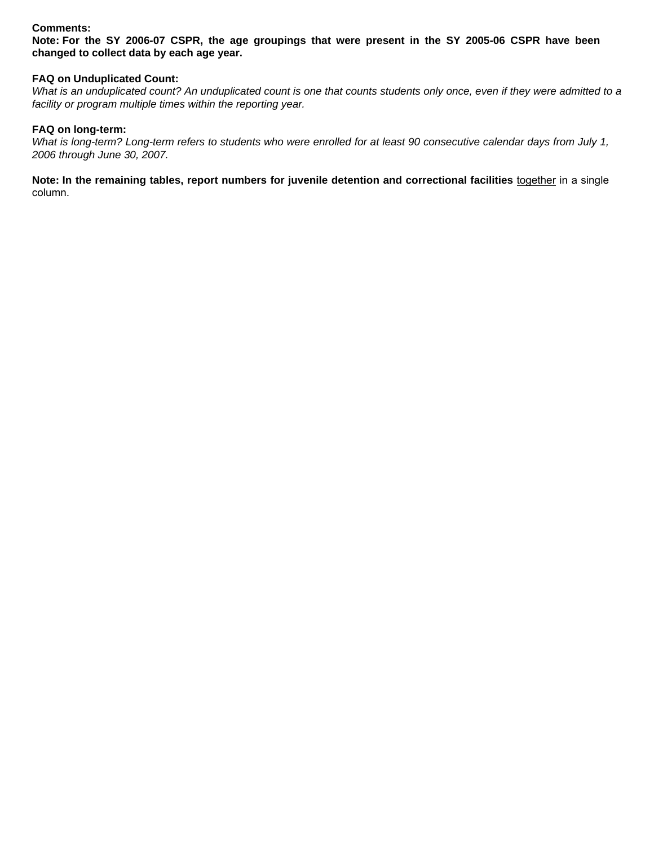## **Comments:**

**Note: For the SY 2006-07 CSPR, the age groupings that were present in the SY 2005-06 CSPR have been changed to collect data by each age year.** 

## **FAQ on Unduplicated Count:**

*What is an unduplicated count? An unduplicated count is one that counts students only once, even if they were admitted to a facility or program multiple times within the reporting year.* 

## **FAQ on long-term:**

*What is long-term? Long-term refers to students who were enrolled for at least 90 consecutive calendar days from July 1, 2006 through June 30, 2007.* 

Note: In the remaining tables, report numbers for juvenile detention and correctional facilities **together in a single** column.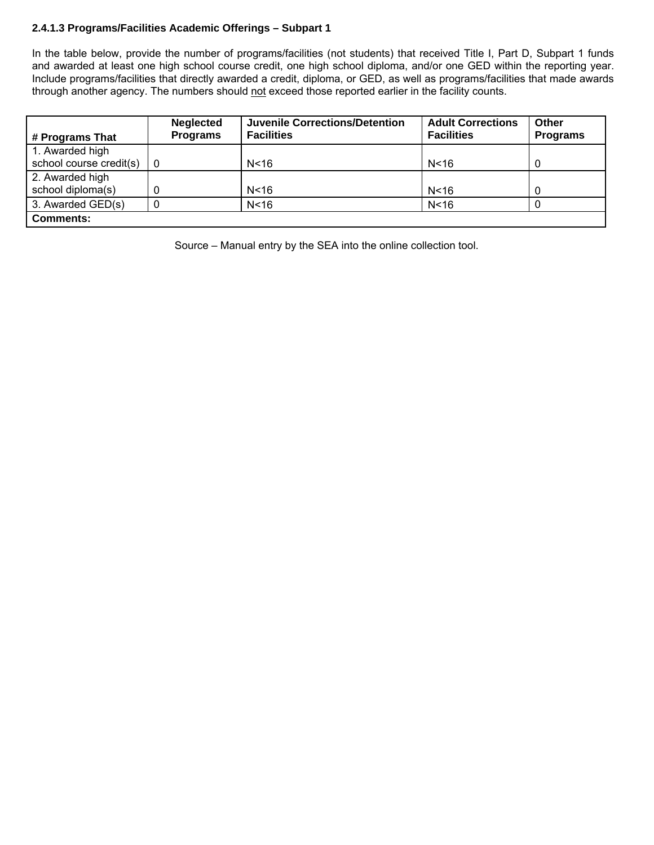# **2.4.1.3 Programs/Facilities Academic Offerings – Subpart 1**

In the table below, provide the number of programs/facilities (not students) that received Title I, Part D, Subpart 1 funds and awarded at least one high school course credit, one high school diploma, and/or one GED within the reporting year. Include programs/facilities that directly awarded a credit, diploma, or GED, as well as programs/facilities that made awards through another agency. The numbers should not exceed those reported earlier in the facility counts.

| # Programs That         | <b>Neglected</b><br><b>Programs</b> | <b>Juvenile Corrections/Detention</b><br><b>Facilities</b> | <b>Adult Corrections</b><br><b>Facilities</b> | Other<br><b>Programs</b> |
|-------------------------|-------------------------------------|------------------------------------------------------------|-----------------------------------------------|--------------------------|
| 1. Awarded high         |                                     |                                                            |                                               |                          |
| school course credit(s) |                                     | N <sub>16</sub>                                            | N <sub>16</sub>                               |                          |
| 2. Awarded high         |                                     |                                                            |                                               |                          |
| school diploma(s)       |                                     | N < 16                                                     | N <sub>16</sub>                               |                          |
| 3. Awarded GED(s)       |                                     | N <sub>16</sub>                                            | N <sub>16</sub>                               |                          |
| <b>Comments:</b>        |                                     |                                                            |                                               |                          |

Source – Manual entry by the SEA into the online collection tool.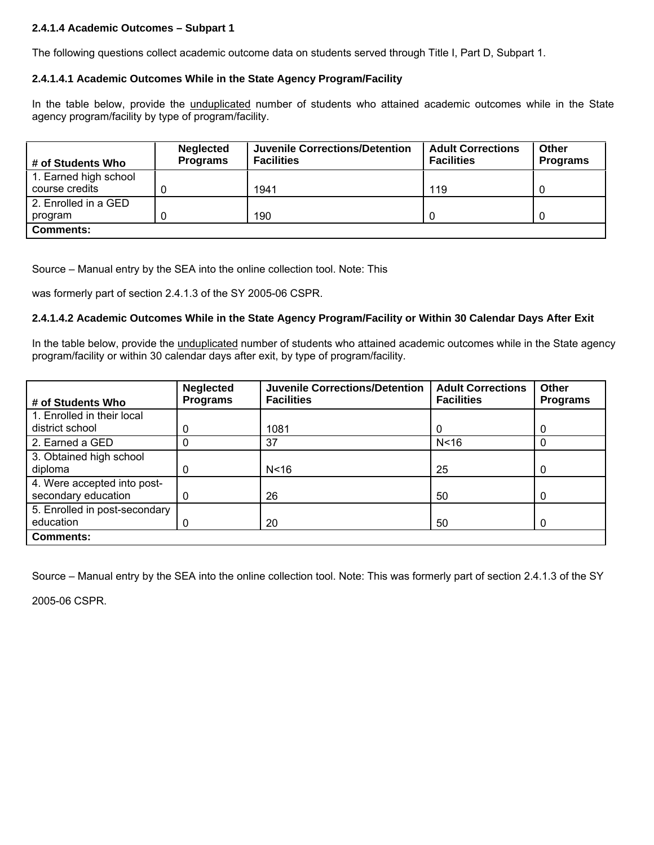# **2.4.1.4 Academic Outcomes – Subpart 1**

The following questions collect academic outcome data on students served through Title I, Part D, Subpart 1.

## **2.4.1.4.1 Academic Outcomes While in the State Agency Program/Facility**

In the table below, provide the *unduplicated* number of students who attained academic outcomes while in the State agency program/facility by type of program/facility.

| # of Students Who                       | <b>Neglected</b><br><b>Programs</b> | <b>Juvenile Corrections/Detention</b><br><b>Facilities</b> | <b>Adult Corrections</b><br><b>Facilities</b> | Other<br><b>Programs</b> |
|-----------------------------------------|-------------------------------------|------------------------------------------------------------|-----------------------------------------------|--------------------------|
| 1. Earned high school<br>course credits |                                     | 1941                                                       | 119                                           |                          |
| 2. Enrolled in a GED                    |                                     |                                                            |                                               |                          |
| program                                 |                                     | 190                                                        | 0                                             |                          |
| <b>Comments:</b>                        |                                     |                                                            |                                               |                          |

Source – Manual entry by the SEA into the online collection tool. Note: This

was formerly part of section 2.4.1.3 of the SY 2005-06 CSPR.

## **2.4.1.4.2 Academic Outcomes While in the State Agency Program/Facility or Within 30 Calendar Days After Exit**

In the table below, provide the unduplicated number of students who attained academic outcomes while in the State agency program/facility or within 30 calendar days after exit, by type of program/facility.

| # of Students Who             | <b>Neglected</b><br><b>Programs</b> | <b>Juvenile Corrections/Detention</b><br><b>Facilities</b> | <b>Adult Corrections</b><br><b>Facilities</b> | Other<br><b>Programs</b> |
|-------------------------------|-------------------------------------|------------------------------------------------------------|-----------------------------------------------|--------------------------|
| 1. Enrolled in their local    |                                     |                                                            |                                               |                          |
| district school               | 0                                   | 1081                                                       | O                                             | 0                        |
| 2. Earned a GED               | 0                                   | 37                                                         | N < 16                                        | 0                        |
| 3. Obtained high school       |                                     |                                                            |                                               |                          |
| diploma                       | 0                                   | N <sub>16</sub>                                            | 25                                            | 0                        |
| 4. Were accepted into post-   |                                     |                                                            |                                               |                          |
| secondary education           | 0                                   | 26                                                         | 50                                            | 0                        |
| 5. Enrolled in post-secondary |                                     |                                                            |                                               |                          |
| education                     | 0                                   | 20                                                         | 50                                            | 0                        |
| <b>Comments:</b>              |                                     |                                                            |                                               |                          |

Source – Manual entry by the SEA into the online collection tool. Note: This was formerly part of section 2.4.1.3 of the SY

2005-06 CSPR.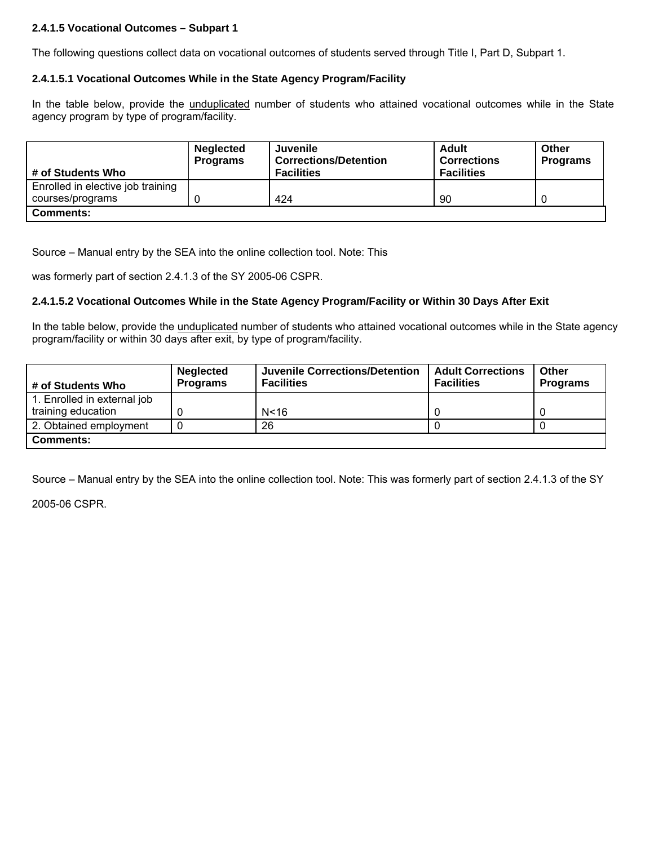# **2.4.1.5 Vocational Outcomes – Subpart 1**

The following questions collect data on vocational outcomes of students served through Title I, Part D, Subpart 1.

## **2.4.1.5.1 Vocational Outcomes While in the State Agency Program/Facility**

In the table below, provide the *unduplicated* number of students who attained vocational outcomes while in the State agency program by type of program/facility.

| # of Students Who                 | <b>Neglected</b><br><b>Programs</b> | Juvenile<br><b>Corrections/Detention</b><br><b>Facilities</b> | Adult<br><b>Corrections</b><br><b>Facilities</b> | Other<br><b>Programs</b> |
|-----------------------------------|-------------------------------------|---------------------------------------------------------------|--------------------------------------------------|--------------------------|
| Enrolled in elective job training |                                     |                                                               |                                                  |                          |
| courses/programs                  |                                     | 424                                                           | 90                                               |                          |
| <b>Comments:</b>                  |                                     |                                                               |                                                  |                          |

Source – Manual entry by the SEA into the online collection tool. Note: This

was formerly part of section 2.4.1.3 of the SY 2005-06 CSPR.

## **2.4.1.5.2 Vocational Outcomes While in the State Agency Program/Facility or Within 30 Days After Exit**

In the table below, provide the unduplicated number of students who attained vocational outcomes while in the State agency program/facility or within 30 days after exit, by type of program/facility.

| # of Students Who                                 | <b>Neglected</b><br><b>Programs</b> | Juvenile Corrections/Detention<br><b>Facilities</b> | <b>Adult Corrections</b><br><b>Facilities</b> | Other<br><b>Programs</b> |
|---------------------------------------------------|-------------------------------------|-----------------------------------------------------|-----------------------------------------------|--------------------------|
| 1. Enrolled in external job<br>training education |                                     | N < 16                                              |                                               |                          |
| 2. Obtained employment                            |                                     | 26                                                  |                                               |                          |
| <b>Comments:</b>                                  |                                     |                                                     |                                               |                          |

Source – Manual entry by the SEA into the online collection tool. Note: This was formerly part of section 2.4.1.3 of the SY

2005-06 CSPR.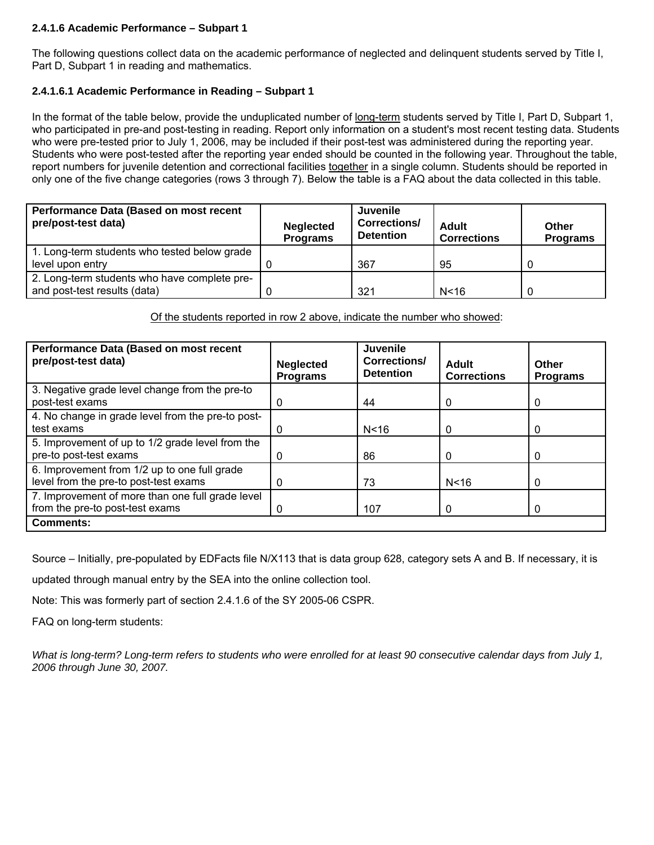## **2.4.1.6 Academic Performance – Subpart 1**

The following questions collect data on the academic performance of neglected and delinquent students served by Title I, Part D, Subpart 1 in reading and mathematics.

# **2.4.1.6.1 Academic Performance in Reading – Subpart 1**

In the format of the table below, provide the unduplicated number of long-term students served by Title I, Part D, Subpart 1, who participated in pre-and post-testing in reading. Report only information on a student's most recent testing data. Students who were pre-tested prior to July 1, 2006, may be included if their post-test was administered during the reporting year. Students who were post-tested after the reporting year ended should be counted in the following year. Throughout the table, report numbers for juvenile detention and correctional facilities together in a single column. Students should be reported in only one of the five change categories (rows 3 through 7). Below the table is a FAQ about the data collected in this table.

| Performance Data (Based on most recent<br>pre/post-test data)                | <b>Neglected</b><br><b>Programs</b> | Juvenile<br>Corrections/<br><b>Detention</b> | <b>Adult</b><br><b>Corrections</b> | Other<br><b>Programs</b> |
|------------------------------------------------------------------------------|-------------------------------------|----------------------------------------------|------------------------------------|--------------------------|
| 1. Long-term students who tested below grade<br>level upon entry             |                                     | 367                                          | 95                                 |                          |
| 2. Long-term students who have complete pre-<br>and post-test results (data) |                                     | 321                                          | N < 16                             |                          |

Of the students reported in row 2 above, indicate the number who showed:

| Performance Data (Based on most recent<br>pre/post-test data)                         | <b>Neglected</b><br><b>Programs</b> | Juvenile<br>Corrections/<br><b>Detention</b> | Adult<br><b>Corrections</b> | Other<br><b>Programs</b> |
|---------------------------------------------------------------------------------------|-------------------------------------|----------------------------------------------|-----------------------------|--------------------------|
| 3. Negative grade level change from the pre-to<br>post-test exams                     | 0                                   | 44                                           | 0                           | 0                        |
| 4. No change in grade level from the pre-to post-<br>test exams                       |                                     | N < 16                                       | 0                           | 0                        |
| 5. Improvement of up to 1/2 grade level from the<br>pre-to post-test exams            | 0                                   | 86                                           | 0                           | $\Omega$                 |
| 6. Improvement from 1/2 up to one full grade<br>level from the pre-to post-test exams | O                                   | 73                                           | N <sub>16</sub>             | $\Omega$                 |
| 7. Improvement of more than one full grade level<br>from the pre-to post-test exams   | O                                   | 107                                          | 0                           | $\Omega$                 |
| <b>Comments:</b>                                                                      |                                     |                                              |                             |                          |

Source – Initially, pre-populated by EDFacts file N/X113 that is data group 628, category sets A and B. If necessary, it is

updated through manual entry by the SEA into the online collection tool.

Note: This was formerly part of section 2.4.1.6 of the SY 2005-06 CSPR.

FAQ on long-term students:

*What is long-term? Long-term refers to students who were enrolled for at least 90 consecutive calendar days from July 1, 2006 through June 30, 2007.*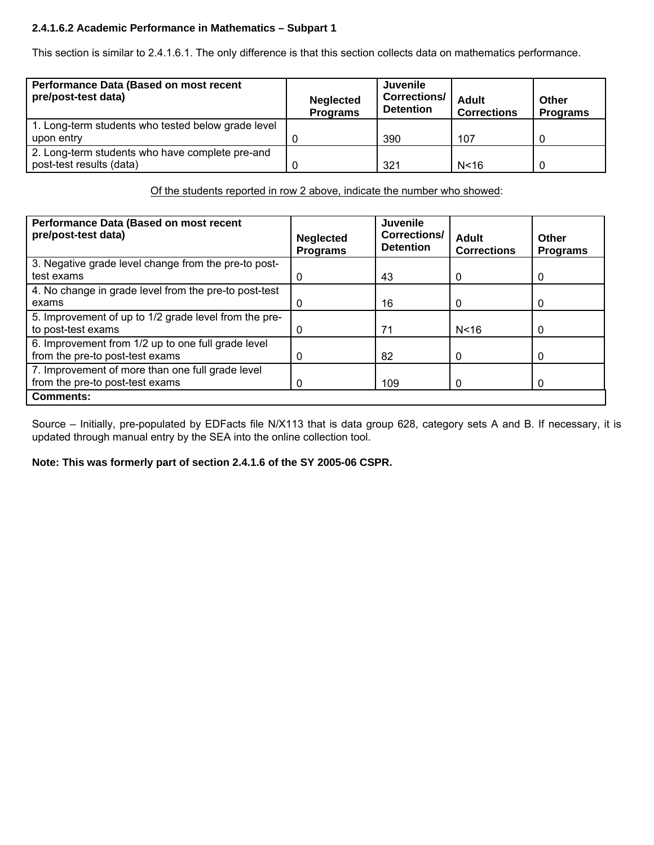# **2.4.1.6.2 Academic Performance in Mathematics – Subpart 1**

This section is similar to 2.4.1.6.1. The only difference is that this section collects data on mathematics performance.

| Performance Data (Based on most recent<br>pre/post-test data) | <b>Neglected</b><br><b>Programs</b> | <b>Juvenile</b><br>Corrections/<br><b>Detention</b> | Adult<br><b>Corrections</b> | Other<br><b>Programs</b> |
|---------------------------------------------------------------|-------------------------------------|-----------------------------------------------------|-----------------------------|--------------------------|
| 1. Long-term students who tested below grade level            |                                     |                                                     |                             |                          |
| upon entry                                                    |                                     | 390                                                 | 107                         |                          |
| 2. Long-term students who have complete pre-and               |                                     |                                                     |                             |                          |
| post-test results (data)                                      |                                     | 321                                                 | N < 16                      |                          |

Of the students reported in row 2 above, indicate the number who showed:

| Performance Data (Based on most recent<br>pre/post-test data) | <b>Neglected</b><br><b>Programs</b> | <b>Juvenile</b><br><b>Corrections/</b><br><b>Detention</b> | Adult<br><b>Corrections</b> | <b>Other</b><br><b>Programs</b> |
|---------------------------------------------------------------|-------------------------------------|------------------------------------------------------------|-----------------------------|---------------------------------|
| 3. Negative grade level change from the pre-to post-          |                                     |                                                            |                             |                                 |
| test exams                                                    |                                     | 43                                                         | 0                           | O                               |
| 4. No change in grade level from the pre-to post-test         |                                     |                                                            |                             |                                 |
| exams                                                         |                                     | 16                                                         | 0                           | 0                               |
| 5. Improvement of up to 1/2 grade level from the pre-         |                                     |                                                            |                             |                                 |
| to post-test exams                                            |                                     | 71                                                         | N <sub>16</sub>             | 0                               |
| 6. Improvement from 1/2 up to one full grade level            |                                     |                                                            |                             |                                 |
| from the pre-to post-test exams                               | 0                                   | 82                                                         |                             | 0                               |
| 7. Improvement of more than one full grade level              |                                     |                                                            |                             |                                 |
| from the pre-to post-test exams                               |                                     | 109                                                        |                             |                                 |
| <b>Comments:</b>                                              |                                     |                                                            |                             |                                 |

Source – Initially, pre-populated by EDFacts file N/X113 that is data group 628, category sets A and B. If necessary, it is updated through manual entry by the SEA into the online collection tool.

**Note: This was formerly part of section 2.4.1.6 of the SY 2005-06 CSPR.**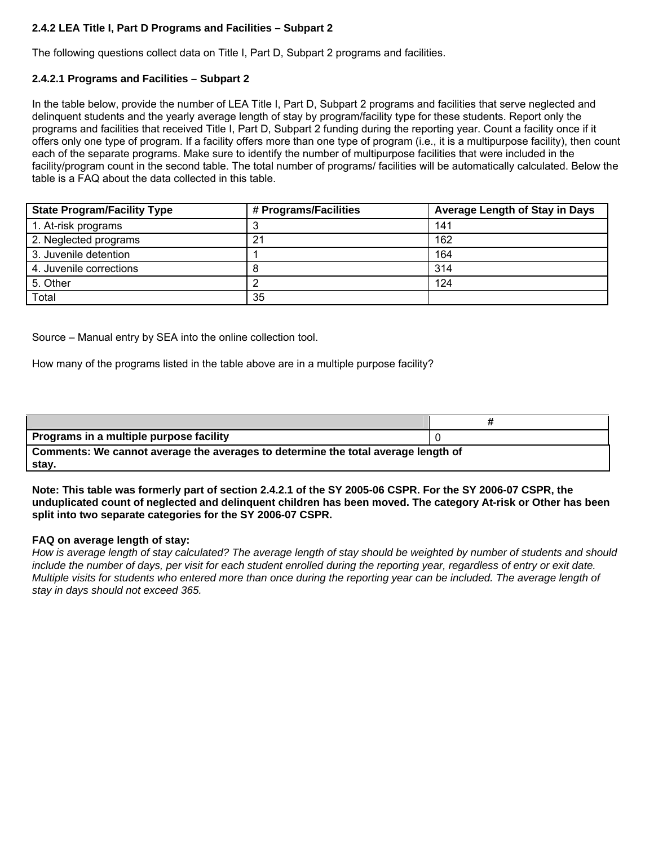# **2.4.2 LEA Title I, Part D Programs and Facilities – Subpart 2**

The following questions collect data on Title I, Part D, Subpart 2 programs and facilities.

## **2.4.2.1 Programs and Facilities – Subpart 2**

In the table below, provide the number of LEA Title I, Part D, Subpart 2 programs and facilities that serve neglected and delinquent students and the yearly average length of stay by program/facility type for these students. Report only the programs and facilities that received Title I, Part D, Subpart 2 funding during the reporting year. Count a facility once if it offers only one type of program. If a facility offers more than one type of program (i.e., it is a multipurpose facility), then count each of the separate programs. Make sure to identify the number of multipurpose facilities that were included in the facility/program count in the second table. The total number of programs/ facilities will be automatically calculated. Below the table is a FAQ about the data collected in this table.

| <b>State Program/Facility Type</b> | # Programs/Facilities | <b>Average Length of Stay in Days</b> |
|------------------------------------|-----------------------|---------------------------------------|
| 1. At-risk programs                |                       | 141                                   |
| 2. Neglected programs              | 21                    | 162                                   |
| 3. Juvenile detention              |                       | 164                                   |
| 4. Juvenile corrections            |                       | 314                                   |
| 5. Other                           |                       | 124                                   |
| Total                              | 35                    |                                       |

Source – Manual entry by SEA into the online collection tool.

How many of the programs listed in the table above are in a multiple purpose facility?

| Programs in a multiple purpose facility                                           |  |  |  |  |
|-----------------------------------------------------------------------------------|--|--|--|--|
| Comments: We cannot average the averages to determine the total average length of |  |  |  |  |
| stay.                                                                             |  |  |  |  |

**Note: This table was formerly part of section 2.4.2.1 of the SY 2005-06 CSPR. For the SY 2006-07 CSPR, the unduplicated count of neglected and delinquent children has been moved. The category At-risk or Other has been split into two separate categories for the SY 2006-07 CSPR.** 

#### **FAQ on average length of stay:**

*How is average length of stay calculated? The average length of stay should be weighted by number of students and should include the number of days, per visit for each student enrolled during the reporting year, regardless of entry or exit date. Multiple visits for students who entered more than once during the reporting year can be included. The average length of stay in days should not exceed 365.*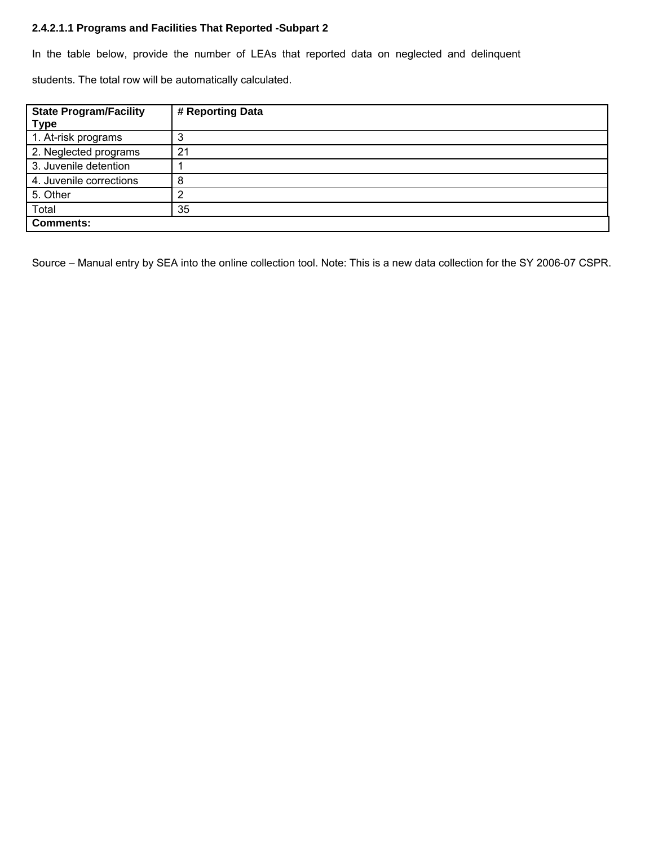## **2.4.2.1.1 Programs and Facilities That Reported -Subpart 2**

In the table below, provide the number of LEAs that reported data on neglected and delinquent

students. The total row will be automatically calculated.

| <b>State Program/Facility</b><br><b>Type</b> | # Reporting Data |
|----------------------------------------------|------------------|
| 1. At-risk programs                          |                  |
| 2. Neglected programs                        | 21               |
| 3. Juvenile detention                        |                  |
| 4. Juvenile corrections                      |                  |
| 5. Other                                     |                  |
| Total                                        | 35               |
| <b>Comments:</b>                             |                  |

Source – Manual entry by SEA into the online collection tool. Note: This is a new data collection for the SY 2006-07 CSPR.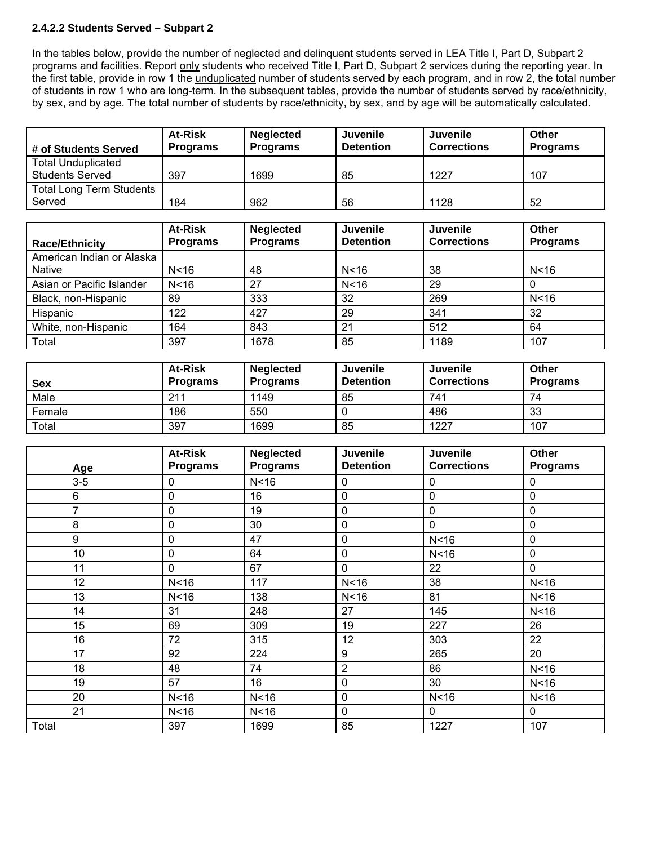## **2.4.2.2 Students Served – Subpart 2**

In the tables below, provide the number of neglected and delinquent students served in LEA Title I, Part D, Subpart 2 programs and facilities. Report only students who received Title I, Part D, Subpart 2 services during the reporting year. In the first table, provide in row 1 the unduplicated number of students served by each program, and in row 2, the total number of students in row 1 who are long-term. In the subsequent tables, provide the number of students served by race/ethnicity, by sex, and by age. The total number of students by race/ethnicity, by sex, and by age will be automatically calculated.

| # of Students Served            | <b>At-Risk</b><br><b>Programs</b> | <b>Neglected</b><br><b>Programs</b> | <b>Juvenile</b><br><b>Detention</b> | <b>Juvenile</b><br><b>Corrections</b> | Other<br><b>Programs</b> |
|---------------------------------|-----------------------------------|-------------------------------------|-------------------------------------|---------------------------------------|--------------------------|
| <b>Total Unduplicated</b>       |                                   |                                     |                                     |                                       |                          |
| <b>Students Served</b>          | 397                               | 1699                                | 85                                  | 1227                                  | 107                      |
| <b>Total Long Term Students</b> |                                   |                                     |                                     |                                       |                          |
| Served                          | 184                               | 962                                 | 56                                  | 1128                                  | 52                       |
|                                 |                                   |                                     |                                     |                                       |                          |
|                                 | <b>At-Risk</b>                    | <b>Neglected</b>                    | Juvenile                            | <b>Juvenile</b>                       | <b>Other</b>             |
| <b>Race/Ethnicity</b>           | <b>Programs</b>                   | <b>Programs</b>                     | <b>Detention</b>                    | <b>Corrections</b>                    | <b>Programs</b>          |
| American Indian or Alaska       |                                   |                                     |                                     |                                       |                          |
| <b>Native</b>                   | N <sub>16</sub>                   | 48                                  | N <sub>16</sub>                     | 38                                    | N < 16                   |
| Asian or Pacific Islander       | N <sub>16</sub>                   | 27                                  | N <sub>16</sub>                     | 29                                    | $\mathbf 0$              |
| Black, non-Hispanic             | 89                                | 333                                 | 32                                  | 269                                   | N < 16                   |
| Hispanic                        | 122                               | 427                                 | 29                                  | 341                                   | 32                       |
| White, non-Hispanic             | 164                               | 843                                 | 21                                  | 512                                   | 64                       |
| Total                           | 397                               | 1678                                | 85                                  | 1189                                  | 107                      |
|                                 |                                   |                                     |                                     |                                       |                          |
|                                 | <b>At-Risk</b>                    | <b>Neglected</b>                    | Juvenile                            | <b>Juvenile</b>                       | <b>Other</b>             |
| <b>Sex</b>                      | <b>Programs</b>                   | <b>Programs</b>                     | <b>Detention</b>                    | <b>Corrections</b>                    | <b>Programs</b>          |
| Male                            | 211                               | 1149                                | 85                                  | 741                                   | 74                       |
| Female                          | 186                               | 550                                 | $\mathbf 0$                         | 486                                   | 33                       |
| Total                           | 397                               | 1699                                | 85                                  | 1227                                  | 107                      |
|                                 |                                   |                                     |                                     |                                       |                          |
|                                 | <b>At-Risk</b>                    | <b>Neglected</b>                    | Juvenile                            | <b>Juvenile</b>                       | <b>Other</b>             |
|                                 |                                   |                                     |                                     | <b>Corrections</b>                    |                          |
| Age                             | <b>Programs</b>                   | <b>Programs</b>                     | <b>Detention</b>                    |                                       | <b>Programs</b>          |
| $3 - 5$                         | 0                                 | N < 16                              | $\mathbf 0$                         | $\mathbf 0$                           | $\mathbf 0$              |
| 6                               | 0                                 | 16                                  | 0                                   | $\mathbf 0$                           | $\mathbf 0$              |
| $\overline{7}$                  | 0                                 | 19                                  | 0                                   | $\mathbf 0$                           | $\mathbf 0$              |
| 8                               | 0                                 | 30                                  | 0                                   | 0                                     | $\mathbf 0$              |
| 9                               | $\mathbf 0$                       | 47                                  | 0                                   | N <sub>16</sub>                       | $\mathbf 0$              |
| 10                              | $\mathbf 0$                       | 64                                  | 0                                   | N <sub>16</sub>                       | $\mathbf 0$              |
| 11                              | 0                                 | 67                                  | 0                                   | 22                                    | $\mathbf 0$              |
| 12                              | N <sub>16</sub>                   | 117                                 | N <sub>16</sub>                     | 38                                    | N <sub>16</sub>          |
| 13                              | N <sub>16</sub>                   | 138                                 | N <sub>16</sub>                     | 81                                    | N <sub>16</sub>          |
| $\overline{14}$                 | $\overline{31}$                   | 248                                 | $\overline{27}$                     | $\frac{145}{145}$                     | N <sub>16</sub>          |
| 15                              | 69                                | 309                                 | 19                                  | 227                                   | 26                       |
| 16                              | 72                                | 315                                 | 12                                  | 303                                   | 22                       |
| 17                              | 92                                | 224                                 | 9                                   | 265                                   | 20                       |
| 18                              | 48                                | 74                                  | $\overline{2}$                      | 86                                    | N <sub>16</sub>          |
| 19                              | 57                                | 16                                  | $\mathbf 0$                         | 30                                    | N <sub>16</sub>          |
| 20                              | N <sub>16</sub>                   | N<16                                | $\mathbf 0$                         | N <sub>16</sub>                       | N <sub>16</sub>          |

Total 397 1699 85 1227 107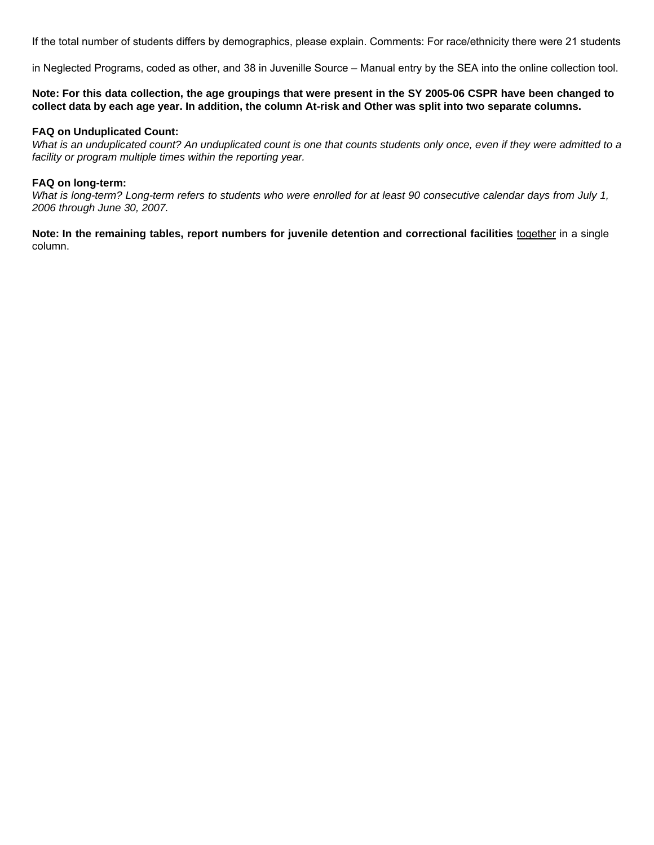If the total number of students differs by demographics, please explain. Comments: For race/ethnicity there were 21 students

in Neglected Programs, coded as other, and 38 in Juvenille Source – Manual entry by the SEA into the online collection tool.

**Note: For this data collection, the age groupings that were present in the SY 2005-06 CSPR have been changed to collect data by each age year. In addition, the column At-risk and Other was split into two separate columns.** 

#### **FAQ on Unduplicated Count:**

*What is an unduplicated count? An unduplicated count is one that counts students only once, even if they were admitted to a facility or program multiple times within the reporting year.* 

#### **FAQ on long-term:**

*What is long-term? Long-term refers to students who were enrolled for at least 90 consecutive calendar days from July 1, 2006 through June 30, 2007.* 

**Note: In the remaining tables, report numbers for juvenile detention and correctional facilities** together in a single column.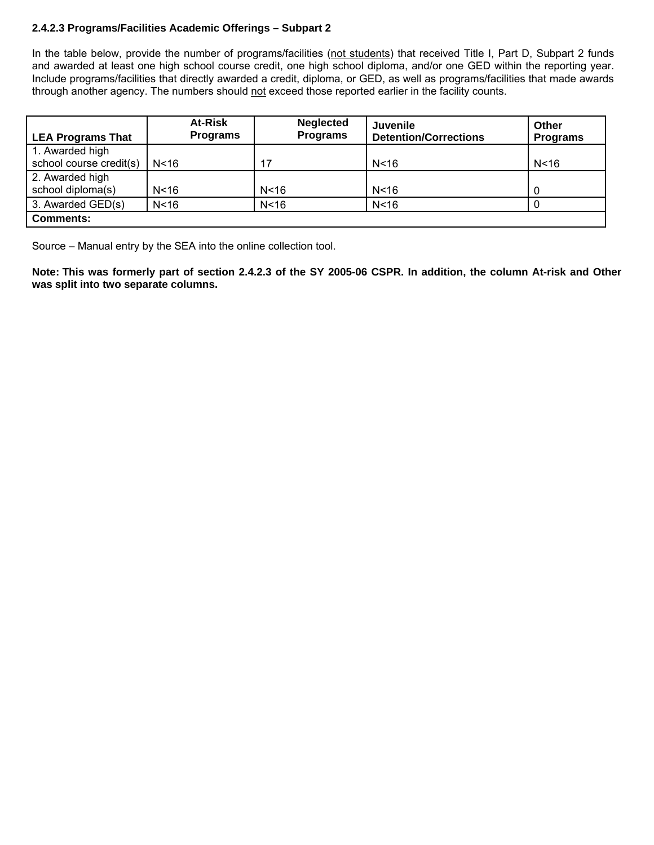# **2.4.2.3 Programs/Facilities Academic Offerings – Subpart 2**

In the table below, provide the number of programs/facilities (not students) that received Title I, Part D, Subpart 2 funds and awarded at least one high school course credit, one high school diploma, and/or one GED within the reporting year. Include programs/facilities that directly awarded a credit, diploma, or GED, as well as programs/facilities that made awards through another agency. The numbers should not exceed those reported earlier in the facility counts.

| <b>LEA Programs That</b>             |                 | At-Risk<br><b>Programs</b> | <b>Neglected</b><br><b>Programs</b> | Juvenile<br><b>Detention/Corrections</b> | <b>Other</b><br><b>Programs</b> |
|--------------------------------------|-----------------|----------------------------|-------------------------------------|------------------------------------------|---------------------------------|
| 1. Awarded high                      |                 |                            |                                     |                                          |                                 |
| school course credit(s)              | N <sub>16</sub> |                            | 17                                  | N <sub>16</sub>                          | N <sub>16</sub>                 |
| 2. Awarded high<br>school diploma(s) | N <sub>16</sub> |                            | N <sub>16</sub>                     | N <sub>16</sub>                          | 0                               |
| 3. Awarded GED(s)                    | N <sub>16</sub> |                            | N < 16                              | N <sub>16</sub>                          |                                 |
| <b>Comments:</b>                     |                 |                            |                                     |                                          |                                 |

Source – Manual entry by the SEA into the online collection tool.

**Note: This was formerly part of section 2.4.2.3 of the SY 2005-06 CSPR. In addition, the column At-risk and Other was split into two separate columns.**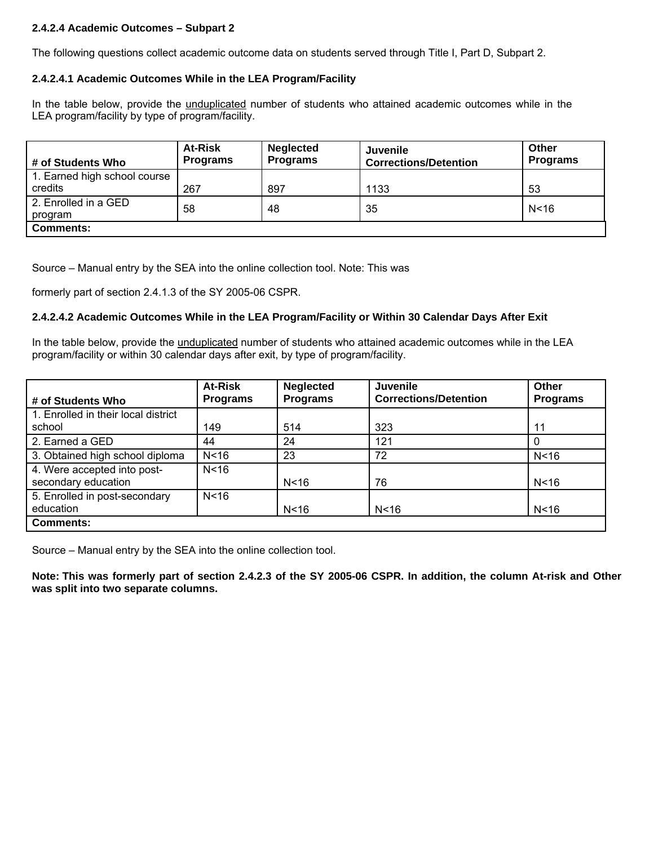# **2.4.2.4 Academic Outcomes – Subpart 2**

The following questions collect academic outcome data on students served through Title I, Part D, Subpart 2.

## **2.4.2.4.1 Academic Outcomes While in the LEA Program/Facility**

In the table below, provide the unduplicated number of students who attained academic outcomes while in the LEA program/facility by type of program/facility.

| # of Students Who                       | <b>At-Risk</b><br><b>Programs</b> | <b>Neglected</b><br><b>Programs</b> | <b>Juvenile</b><br><b>Corrections/Detention</b> | Other<br><b>Programs</b> |
|-----------------------------------------|-----------------------------------|-------------------------------------|-------------------------------------------------|--------------------------|
| 1. Earned high school course<br>credits | 267                               | 897                                 | 1133                                            | 53                       |
| 2. Enrolled in a GED<br>program         | 58                                | 48                                  | 35                                              | N < 16                   |
| <b>Comments:</b>                        |                                   |                                     |                                                 |                          |

Source – Manual entry by the SEA into the online collection tool. Note: This was

formerly part of section 2.4.1.3 of the SY 2005-06 CSPR.

## **2.4.2.4.2 Academic Outcomes While in the LEA Program/Facility or Within 30 Calendar Days After Exit**

In the table below, provide the unduplicated number of students who attained academic outcomes while in the LEA program/facility or within 30 calendar days after exit, by type of program/facility.

|                                     | <b>At-Risk</b>  | <b>Neglected</b> | <b>Juvenile</b>              | Other           |
|-------------------------------------|-----------------|------------------|------------------------------|-----------------|
| # of Students Who                   | <b>Programs</b> | <b>Programs</b>  | <b>Corrections/Detention</b> | <b>Programs</b> |
| 1. Enrolled in their local district |                 |                  |                              |                 |
| school                              | 149             | 514              | 323                          | 11              |
| 2. Earned a GED                     | 44              | 24               | 121                          |                 |
| 3. Obtained high school diploma     | N <sub>16</sub> | 23               | 72                           | N <sub>16</sub> |
| 4. Were accepted into post-         | N <sub>16</sub> |                  |                              |                 |
| secondary education                 |                 | N <sub>16</sub>  | 76                           | N <sub>16</sub> |
| 5. Enrolled in post-secondary       | N <sub>16</sub> |                  |                              |                 |
| education                           |                 | N <sub>16</sub>  | N <sub>16</sub>              | N <sub>16</sub> |
| <b>Comments:</b>                    |                 |                  |                              |                 |

Source – Manual entry by the SEA into the online collection tool.

**Note: This was formerly part of section 2.4.2.3 of the SY 2005-06 CSPR. In addition, the column At-risk and Other was split into two separate columns.**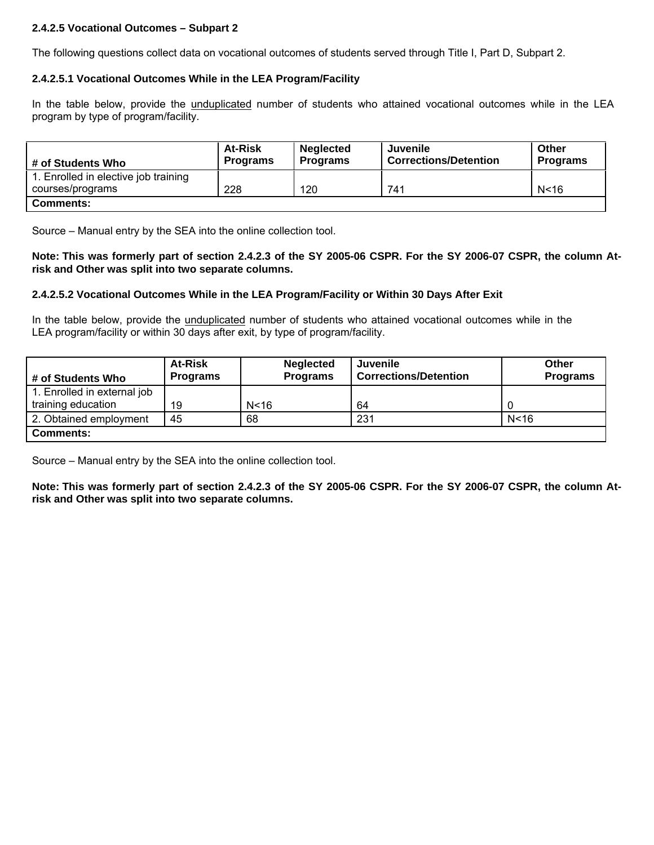# **2.4.2.5 Vocational Outcomes – Subpart 2**

The following questions collect data on vocational outcomes of students served through Title I, Part D, Subpart 2.

#### **2.4.2.5.1 Vocational Outcomes While in the LEA Program/Facility**

In the table below, provide the *unduplicated* number of students who attained vocational outcomes while in the LEA program by type of program/facility.

| # of Students Who                    | <b>At-Risk</b><br><b>Programs</b> | <b>Neglected</b><br><b>Programs</b> | Juvenile<br><b>Corrections/Detention</b> | Other<br><b>Programs</b> |
|--------------------------------------|-----------------------------------|-------------------------------------|------------------------------------------|--------------------------|
| 1. Enrolled in elective job training |                                   |                                     |                                          |                          |
| courses/programs                     | 228                               | 120                                 | 741                                      | N <sub>16</sub>          |
| <b>Comments:</b>                     |                                   |                                     |                                          |                          |

Source – Manual entry by the SEA into the online collection tool.

**Note: This was formerly part of section 2.4.2.3 of the SY 2005-06 CSPR. For the SY 2006-07 CSPR, the column Atrisk and Other was split into two separate columns.** 

## **2.4.2.5.2 Vocational Outcomes While in the LEA Program/Facility or Within 30 Days After Exit**

In the table below, provide the unduplicated number of students who attained vocational outcomes while in the LEA program/facility or within 30 days after exit, by type of program/facility.

| # of Students Who           | <b>At-Risk</b><br><b>Programs</b> | <b>Neglected</b><br><b>Programs</b> | Juvenile<br><b>Corrections/Detention</b> | Other<br><b>Programs</b> |
|-----------------------------|-----------------------------------|-------------------------------------|------------------------------------------|--------------------------|
| 1. Enrolled in external job |                                   |                                     |                                          |                          |
| training education          | 19                                | N < 16                              | 64                                       |                          |
| 2. Obtained employment      | 45                                | 68                                  | 231                                      | N <sub>16</sub>          |
| <b>Comments:</b>            |                                   |                                     |                                          |                          |

Source – Manual entry by the SEA into the online collection tool.

**Note: This was formerly part of section 2.4.2.3 of the SY 2005-06 CSPR. For the SY 2006-07 CSPR, the column Atrisk and Other was split into two separate columns.**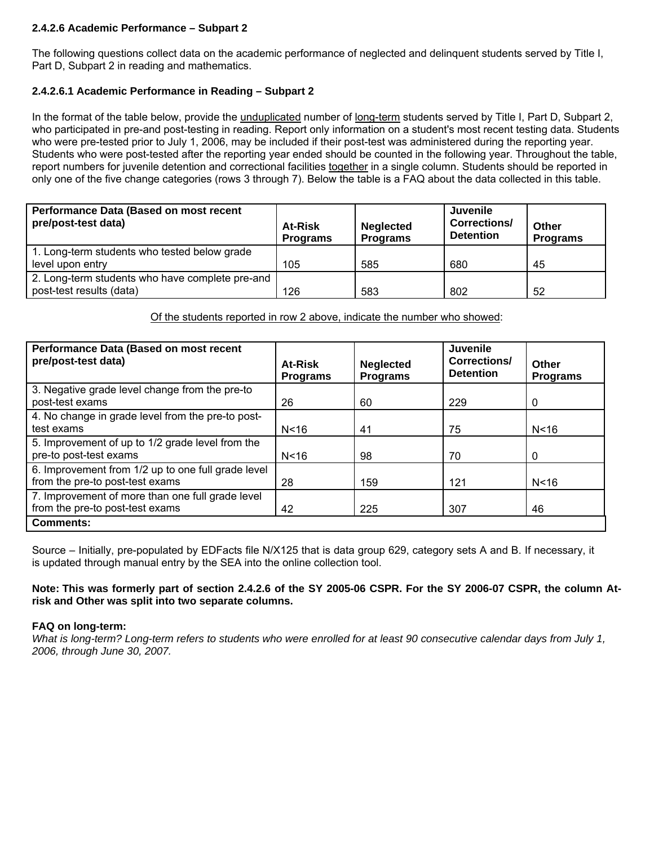## **2.4.2.6 Academic Performance – Subpart 2**

The following questions collect data on the academic performance of neglected and delinquent students served by Title I, Part D, Subpart 2 in reading and mathematics.

# **2.4.2.6.1 Academic Performance in Reading – Subpart 2**

In the format of the table below, provide the *unduplicated* number of long-term students served by Title I, Part D, Subpart 2, who participated in pre-and post-testing in reading. Report only information on a student's most recent testing data. Students who were pre-tested prior to July 1, 2006, may be included if their post-test was administered during the reporting year. Students who were post-tested after the reporting year ended should be counted in the following year. Throughout the table, report numbers for juvenile detention and correctional facilities together in a single column. Students should be reported in only one of the five change categories (rows 3 through 7). Below the table is a FAQ about the data collected in this table.

| Performance Data (Based on most recent<br>pre/post-test data)               | <b>At-Risk</b><br><b>Programs</b> | <b>Neglected</b><br><b>Programs</b> | <b>Juvenile</b><br>Corrections/<br><b>Detention</b> | Other<br><b>Programs</b> |
|-----------------------------------------------------------------------------|-----------------------------------|-------------------------------------|-----------------------------------------------------|--------------------------|
| 1. Long-term students who tested below grade<br>level upon entry            | 105                               | 585                                 | 680                                                 | 45                       |
| 2. Long-term students who have complete pre-and<br>post-test results (data) | 126                               | 583                                 | 802                                                 | 52                       |

Of the students reported in row 2 above, indicate the number who showed:

| Performance Data (Based on most recent<br>pre/post-test data)                         | At-Risk<br><b>Programs</b> | <b>Neglected</b><br><b>Programs</b> | Juvenile<br>Corrections/<br><b>Detention</b> | Other<br><b>Programs</b> |
|---------------------------------------------------------------------------------------|----------------------------|-------------------------------------|----------------------------------------------|--------------------------|
| 3. Negative grade level change from the pre-to<br>post-test exams                     | 26                         | 60                                  | 229                                          | 0                        |
| 4. No change in grade level from the pre-to post-<br>test exams                       | N <sub>16</sub>            | 41                                  | 75                                           | N < 16                   |
| 5. Improvement of up to 1/2 grade level from the<br>pre-to post-test exams            | N <sub>16</sub>            | 98                                  | 70                                           | 0                        |
| 6. Improvement from 1/2 up to one full grade level<br>from the pre-to post-test exams | 28                         | 159                                 | 121                                          | N <sub>16</sub>          |
| 7. Improvement of more than one full grade level<br>from the pre-to post-test exams   | 42                         | 225                                 | 307                                          | 46                       |
| <b>Comments:</b>                                                                      |                            |                                     |                                              |                          |

Source – Initially, pre-populated by EDFacts file N/X125 that is data group 629, category sets A and B. If necessary, it is updated through manual entry by the SEA into the online collection tool.

## **Note: This was formerly part of section 2.4.2.6 of the SY 2005-06 CSPR. For the SY 2006-07 CSPR, the column Atrisk and Other was split into two separate columns.**

#### **FAQ on long-term:**

*What is long-term? Long-term refers to students who were enrolled for at least 90 consecutive calendar days from July 1, 2006, through June 30, 2007.*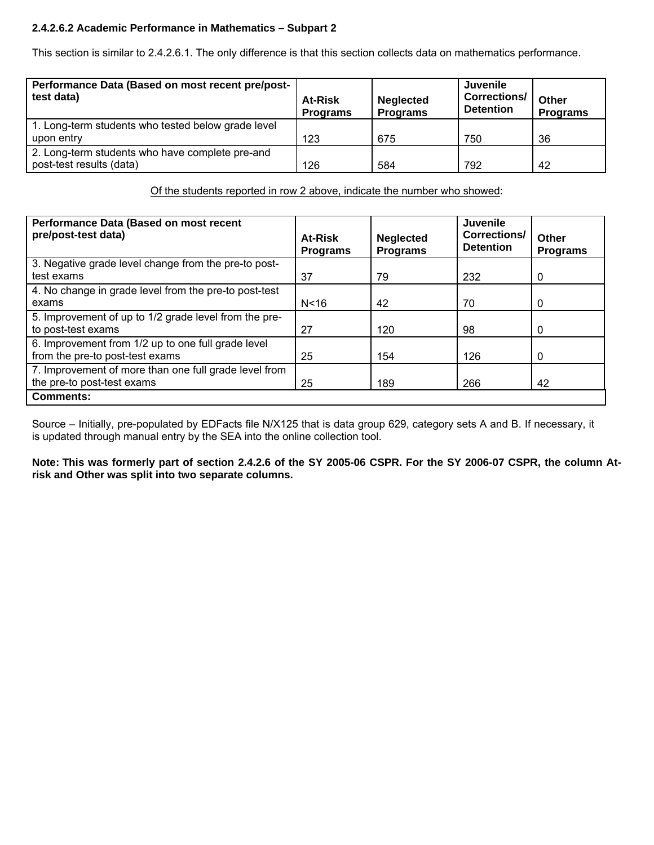# **2.4.2.6.2 Academic Performance in Mathematics – Subpart 2**

This section is similar to 2.4.2.6.1. The only difference is that this section collects data on mathematics performance.

| Performance Data (Based on most recent pre/post-<br>test data)              | <b>At-Risk</b><br><b>Programs</b> | <b>Neglected</b><br><b>Programs</b> | <b>Juvenile</b><br><b>Corrections/</b><br><b>Detention</b> | Other<br><b>Programs</b> |
|-----------------------------------------------------------------------------|-----------------------------------|-------------------------------------|------------------------------------------------------------|--------------------------|
| 1. Long-term students who tested below grade level<br>upon entry            | 123                               | 675                                 | 750                                                        | 36                       |
| 2. Long-term students who have complete pre-and<br>post-test results (data) | 126                               | 584                                 | 792                                                        | 42                       |

Of the students reported in row 2 above, indicate the number who showed:

| Performance Data (Based on most recent<br>pre/post-test data)                         | At-Risk<br><b>Programs</b> | <b>Neglected</b><br><b>Programs</b> | Juvenile<br><b>Corrections/</b><br><b>Detention</b> | Other<br><b>Programs</b> |
|---------------------------------------------------------------------------------------|----------------------------|-------------------------------------|-----------------------------------------------------|--------------------------|
| 3. Negative grade level change from the pre-to post-                                  |                            |                                     |                                                     |                          |
| test exams                                                                            | 37                         | 79                                  | 232                                                 | 0                        |
| 4. No change in grade level from the pre-to post-test<br>exams                        | N <sub>16</sub>            | 42                                  | 70                                                  | 0                        |
| 5. Improvement of up to 1/2 grade level from the pre-<br>to post-test exams           | 27                         | 120                                 | 98                                                  | 0                        |
| 6. Improvement from 1/2 up to one full grade level<br>from the pre-to post-test exams | 25                         | 154                                 | 126                                                 | 0                        |
| 7. Improvement of more than one full grade level from<br>the pre-to post-test exams   | 25                         | 189                                 | 266                                                 | 42                       |
| <b>Comments:</b>                                                                      |                            |                                     |                                                     |                          |

Source – Initially, pre-populated by EDFacts file N/X125 that is data group 629, category sets A and B. If necessary, it is updated through manual entry by the SEA into the online collection tool.

**Note: This was formerly part of section 2.4.2.6 of the SY 2005-06 CSPR. For the SY 2006-07 CSPR, the column Atrisk and Other was split into two separate columns.**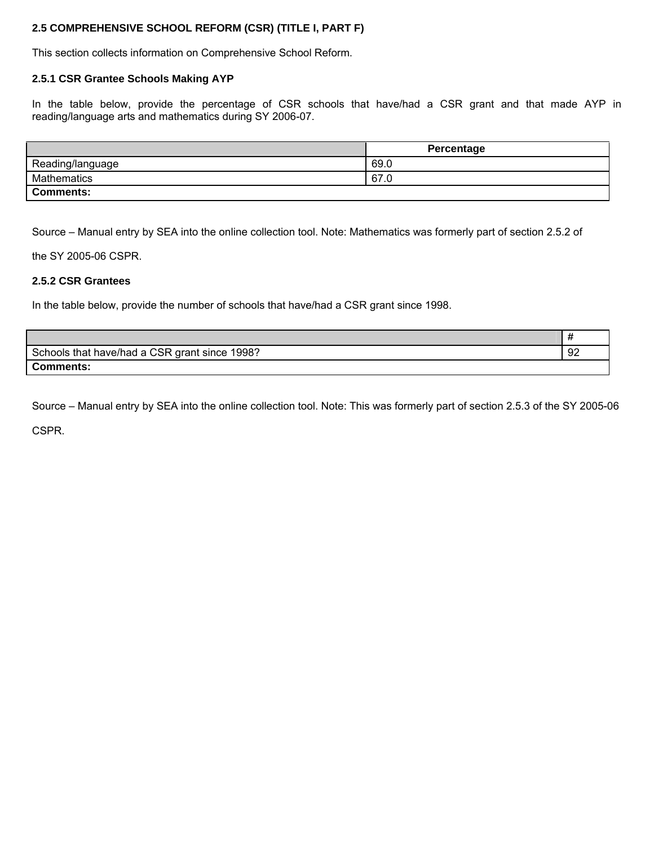# **2.5 COMPREHENSIVE SCHOOL REFORM (CSR) (TITLE I, PART F)**

This section collects information on Comprehensive School Reform.

#### **2.5.1 CSR Grantee Schools Making AYP**

In the table below, provide the percentage of CSR schools that have/had a CSR grant and that made AYP in reading/language arts and mathematics during SY 2006-07.

|                    | Percentage |
|--------------------|------------|
| Reading/language   | 69.0       |
| <b>Mathematics</b> | 67.0       |
| <b>Comments:</b>   |            |

Source – Manual entry by SEA into the online collection tool. Note: Mathematics was formerly part of section 2.5.2 of

the SY 2005-06 CSPR.

## **2.5.2 CSR Grantees**

In the table below, provide the number of schools that have/had a CSR grant since 1998.

| Schools that have/had a CSR grant since 1998? | 92 |
|-----------------------------------------------|----|
| Comments:                                     |    |

Source – Manual entry by SEA into the online collection tool. Note: This was formerly part of section 2.5.3 of the SY 2005-06

CSPR.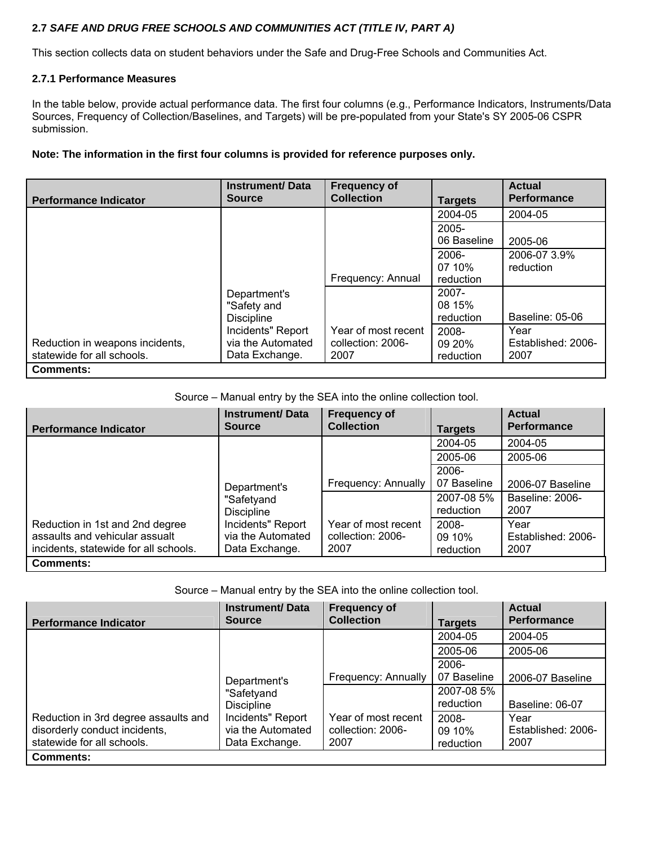# **2.7** *SAFE AND DRUG FREE SCHOOLS AND COMMUNITIES ACT (TITLE IV, PART A)*

This section collects data on student behaviors under the Safe and Drug-Free Schools and Communities Act.

## **2.7.1 Performance Measures**

In the table below, provide actual performance data. The first four columns (e.g., Performance Indicators, Instruments/Data Sources, Frequency of Collection/Baselines, and Targets) will be pre-populated from your State's SY 2005-06 CSPR submission.

## **Note: The information in the first four columns is provided for reference purposes only.**

| <b>Performance Indicator</b>                                  | <b>Instrument/Data</b><br><b>Source</b>                  | <b>Frequency of</b><br><b>Collection</b>         | <b>Targets</b>                  | <b>Actual</b><br><b>Performance</b> |
|---------------------------------------------------------------|----------------------------------------------------------|--------------------------------------------------|---------------------------------|-------------------------------------|
|                                                               |                                                          |                                                  | 2004-05                         | 2004-05                             |
|                                                               |                                                          |                                                  | $2005 -$<br>06 Baseline         | 2005-06                             |
|                                                               |                                                          | Frequency: Annual                                | 2006-<br>07 10%<br>reduction    | 2006-07 3.9%<br>reduction           |
|                                                               | Department's<br>"Safety and<br><b>Discipline</b>         |                                                  | $2007 -$<br>08 15%<br>reduction | Baseline: 05-06                     |
| Reduction in weapons incidents,<br>statewide for all schools. | Incidents" Report<br>via the Automated<br>Data Exchange. | Year of most recent<br>collection: 2006-<br>2007 | 2008-<br>09 20%<br>reduction    | Year<br>Established: 2006-<br>2007  |
| <b>Comments:</b>                                              |                                                          |                                                  |                                 |                                     |

# Source – Manual entry by the SEA into the online collection tool.

| <b>Performance Indicator</b>                                                                                                                  | <b>Instrument/Data</b><br><b>Source</b>                  | <b>Frequency of</b><br><b>Collection</b>         | <b>Targets</b>               | <b>Actual</b><br><b>Performance</b> |
|-----------------------------------------------------------------------------------------------------------------------------------------------|----------------------------------------------------------|--------------------------------------------------|------------------------------|-------------------------------------|
|                                                                                                                                               |                                                          |                                                  | 2004-05                      | 2004-05                             |
|                                                                                                                                               |                                                          |                                                  | 2005-06                      | 2005-06                             |
|                                                                                                                                               |                                                          |                                                  | 2006-                        |                                     |
|                                                                                                                                               | Department's                                             | Frequency: Annually                              | 07 Baseline                  | 2006-07 Baseline                    |
| "Safetyand<br><b>Discipline</b><br>Reduction in 1st and 2nd degree<br>assaults and vehicular assualt<br>incidents, statewide for all schools. |                                                          |                                                  | 2007-08 5%<br>reduction      | Baseline: 2006-<br>2007             |
|                                                                                                                                               | Incidents" Report<br>via the Automated<br>Data Exchange. | Year of most recent<br>collection: 2006-<br>2007 | 2008-<br>09 10%<br>reduction | Year<br>Established: 2006-<br>2007  |
| <b>Comments:</b>                                                                                                                              |                                                          |                                                  |                              |                                     |

Source – Manual entry by the SEA into the online collection tool.

| <b>Performance Indicator</b>                                                                        | <b>Instrument/Data</b><br><b>Source</b>                  | <b>Frequency of</b><br><b>Collection</b>         | <b>Targets</b>               | <b>Actual</b><br><b>Performance</b> |
|-----------------------------------------------------------------------------------------------------|----------------------------------------------------------|--------------------------------------------------|------------------------------|-------------------------------------|
|                                                                                                     |                                                          |                                                  | 2004-05                      | 2004-05                             |
|                                                                                                     | Department's<br>"Safetyand<br><b>Discipline</b>          |                                                  | 2005-06                      | 2005-06                             |
|                                                                                                     |                                                          |                                                  | $2006-$                      |                                     |
|                                                                                                     |                                                          | Frequency: Annually                              | 07 Baseline                  | 2006-07 Baseline                    |
|                                                                                                     |                                                          |                                                  | 2007-08 5%<br>reduction      | Baseline: 06-07                     |
| Reduction in 3rd degree assaults and<br>disorderly conduct incidents,<br>statewide for all schools. | Incidents" Report<br>via the Automated<br>Data Exchange. | Year of most recent<br>collection: 2006-<br>2007 | 2008-<br>09 10%<br>reduction | Year<br>Established: 2006-<br>2007  |
| <b>Comments:</b>                                                                                    |                                                          |                                                  |                              |                                     |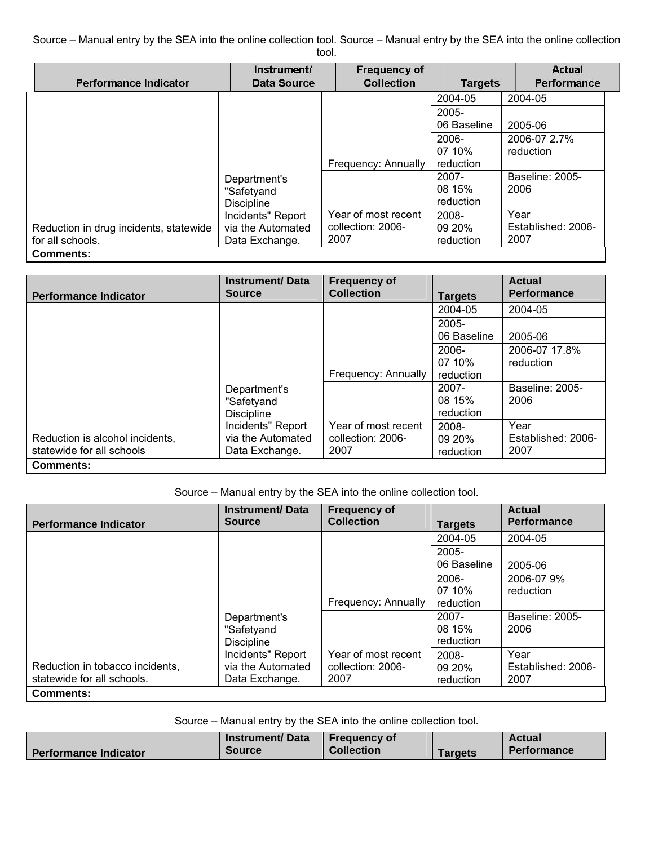Source – Manual entry by the SEA into the online collection tool. Source – Manual entry by the SEA into the online collection tool.

| <b>Performance Indicator</b>                               | Instrument/<br>Data Source                               | <b>Frequency of</b><br><b>Collection</b>         | <b>Targets</b>                  | Actual<br>Performance              |
|------------------------------------------------------------|----------------------------------------------------------|--------------------------------------------------|---------------------------------|------------------------------------|
|                                                            |                                                          |                                                  | 2004-05                         | 2004-05                            |
|                                                            |                                                          |                                                  | $2005 -$<br>06 Baseline         | 2005-06                            |
|                                                            |                                                          | Frequency: Annually                              | $2006 -$<br>07 10%<br>reduction | 2006-07 2.7%<br>reduction          |
|                                                            | Department's<br>"Safetyand<br><b>Discipline</b>          |                                                  | $2007 -$<br>08 15%<br>reduction | Baseline: 2005-<br>2006            |
| Reduction in drug incidents, statewide<br>for all schools. | Incidents" Report<br>via the Automated<br>Data Exchange. | Year of most recent<br>collection: 2006-<br>2007 | 2008-<br>09 20%<br>reduction    | Year<br>Established: 2006-<br>2007 |
| Comments:                                                  |                                                          |                                                  |                                 |                                    |

| <b>Performance Indicator</b>                                 | <b>Instrument/Data</b><br><b>Source</b>                  | <b>Frequency of</b><br><b>Collection</b>         | <b>Targets</b>                  | <b>Actual</b><br><b>Performance</b> |
|--------------------------------------------------------------|----------------------------------------------------------|--------------------------------------------------|---------------------------------|-------------------------------------|
|                                                              |                                                          |                                                  | 2004-05                         | 2004-05                             |
|                                                              |                                                          |                                                  | $2005 -$<br>06 Baseline         | 2005-06                             |
|                                                              |                                                          | Frequency: Annually                              | $2006-$<br>07 10%<br>reduction  | 2006-07 17.8%<br>reduction          |
|                                                              | Department's<br>"Safetyand<br><b>Discipline</b>          |                                                  | $2007 -$<br>08 15%<br>reduction | Baseline: 2005-<br>2006             |
| Reduction is alcohol incidents,<br>statewide for all schools | Incidents" Report<br>via the Automated<br>Data Exchange. | Year of most recent<br>collection: 2006-<br>2007 | 2008-<br>09 20%<br>reduction    | Year<br>Established: 2006-<br>2007  |
| <b>Comments:</b>                                             |                                                          |                                                  |                                 |                                     |

Source – Manual entry by the SEA into the online collection tool.

| <b>Performance Indicator</b>    | <b>Instrument/Data</b><br><b>Source</b> | <b>Frequency of</b><br><b>Collection</b> | <b>Targets</b>          | <b>Actual</b><br><b>Performance</b> |
|---------------------------------|-----------------------------------------|------------------------------------------|-------------------------|-------------------------------------|
|                                 |                                         |                                          | 2004-05                 | 2004-05                             |
|                                 |                                         |                                          | $2005 -$<br>06 Baseline | 2005-06                             |
|                                 |                                         |                                          | 2006-                   | 2006-07 9%                          |
|                                 |                                         |                                          | 07 10%                  | reduction                           |
|                                 |                                         | Frequency: Annually                      | reduction               |                                     |
|                                 | Department's                            |                                          | $2007 -$                | Baseline: 2005-                     |
|                                 | "Safetyand                              |                                          | 08 15%                  | 2006                                |
|                                 | <b>Discipline</b>                       |                                          | reduction               |                                     |
|                                 | Incidents" Report                       | Year of most recent                      | 2008-                   | Year                                |
| Reduction in tobacco incidents, | via the Automated                       | collection: 2006-                        | 09 20%                  | Established: 2006-                  |
| statewide for all schools.      | Data Exchange.                          | 2007                                     | reduction               | 2007                                |
| <b>Comments:</b>                |                                         |                                          |                         |                                     |

Source – Manual entry by the SEA into the online collection tool.

|                              | Instrument/Data | <b>Frequency of</b> |                 | <b>Actual</b>      |
|------------------------------|-----------------|---------------------|-----------------|--------------------|
| <b>Performance Indicator</b> | <b>Source</b>   | <b>Collection</b>   | <b>Far</b> aets | <b>Performance</b> |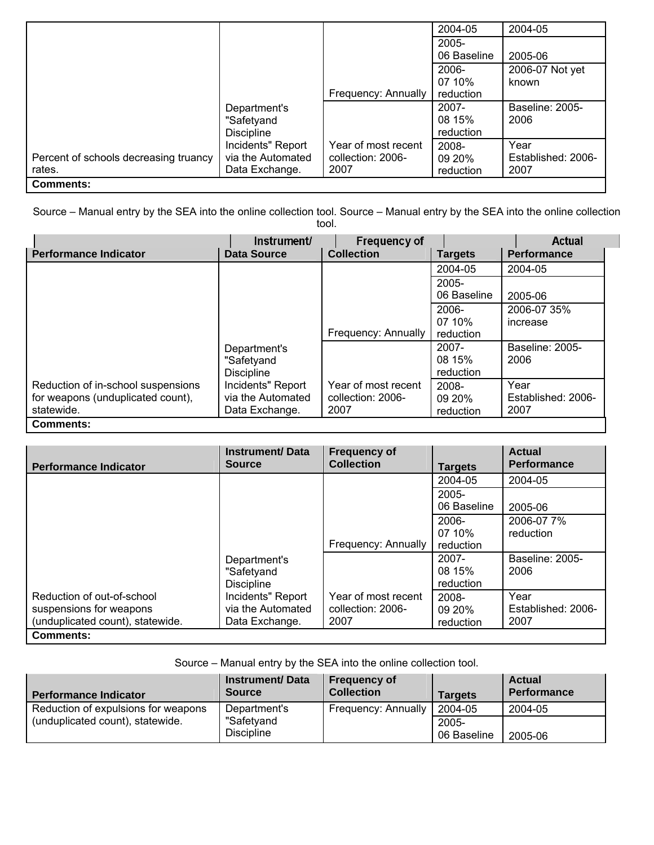|                                       |                   |                     | 2004-05     | 2004-05            |
|---------------------------------------|-------------------|---------------------|-------------|--------------------|
|                                       |                   |                     | $2005 -$    |                    |
|                                       |                   |                     | 06 Baseline | 2005-06            |
|                                       |                   |                     | $2006 -$    | 2006-07 Not yet    |
|                                       |                   |                     | 07 10%      | known              |
|                                       |                   | Frequency: Annually | reduction   |                    |
|                                       | Department's      |                     | 2007-       | Baseline: 2005-    |
|                                       | "Safetyand        |                     | 08 15%      | 2006               |
|                                       | <b>Discipline</b> |                     | reduction   |                    |
|                                       | Incidents" Report | Year of most recent | 2008-       | Year               |
| Percent of schools decreasing truancy | via the Automated | collection: 2006-   | 09 20%      | Established: 2006- |
| rates.                                | Data Exchange.    | 2007                | reduction   | 2007               |
| <b>Comments:</b>                      |                   |                     |             |                    |

Source – Manual entry by the SEA into the online collection tool. Source – Manual entry by the SEA into the online collection tool.

| <b>Performance Indicator</b>                                                          | Instrument/<br><b>Data Source</b>                        | <b>Frequency of</b><br><b>Collection</b>         | <b>Targets</b>                  | Actual<br><b>Performance</b>       |
|---------------------------------------------------------------------------------------|----------------------------------------------------------|--------------------------------------------------|---------------------------------|------------------------------------|
|                                                                                       |                                                          |                                                  | 2004-05                         | 2004-05                            |
|                                                                                       |                                                          |                                                  | $2005 -$<br>06 Baseline         | 2005-06                            |
|                                                                                       |                                                          | Frequency: Annually                              | 2006-<br>07 10%<br>reduction    | 2006-07 35%<br>increase            |
|                                                                                       | Department's<br>"Safetyand<br><b>Discipline</b>          |                                                  | $2007 -$<br>08 15%<br>reduction | Baseline: 2005-<br>2006            |
| Reduction of in-school suspensions<br>for weapons (unduplicated count),<br>statewide. | Incidents" Report<br>via the Automated<br>Data Exchange. | Year of most recent<br>collection: 2006-<br>2007 | 2008-<br>09 20%<br>reduction    | Year<br>Established: 2006-<br>2007 |
| <b>Comments:</b>                                                                      |                                                          |                                                  |                                 |                                    |

| <b>Performance Indicator</b>                                                              | <b>Instrument/Data</b><br><b>Source</b>                  | <b>Frequency of</b><br><b>Collection</b>         | <b>Targets</b>                  | <b>Actual</b><br><b>Performance</b> |
|-------------------------------------------------------------------------------------------|----------------------------------------------------------|--------------------------------------------------|---------------------------------|-------------------------------------|
|                                                                                           |                                                          |                                                  | 2004-05                         | 2004-05                             |
|                                                                                           |                                                          |                                                  | $2005 -$<br>06 Baseline         | 2005-06                             |
|                                                                                           |                                                          | Frequency: Annually                              | 2006-<br>07 10%<br>reduction    | 2006-07 7%<br>reduction             |
|                                                                                           | Department's<br>"Safetyand<br><b>Discipline</b>          |                                                  | $2007 -$<br>08 15%<br>reduction | Baseline: 2005-<br>2006             |
| Reduction of out-of-school<br>suspensions for weapons<br>(unduplicated count), statewide. | Incidents" Report<br>via the Automated<br>Data Exchange. | Year of most recent<br>collection: 2006-<br>2007 | 2008-<br>09 20%<br>reduction    | Year<br>Established: 2006-<br>2007  |
| <b>Comments:</b>                                                                          |                                                          |                                                  |                                 |                                     |

Source – Manual entry by the SEA into the online collection tool.

| <b>Performance Indicator</b>        | <b>Instrument/Data</b><br><b>Source</b> | <b>Frequency of</b><br><b>Collection</b> | <b>Targets</b>       | <b>Actual</b><br>Performance |
|-------------------------------------|-----------------------------------------|------------------------------------------|----------------------|------------------------------|
| Reduction of expulsions for weapons | Department's                            | Frequency: Annually                      | 2004-05              | 2004-05                      |
| (unduplicated count), statewide.    | "Safetyand<br><b>Discipline</b>         |                                          | 2005-<br>06 Baseline | 2005-06                      |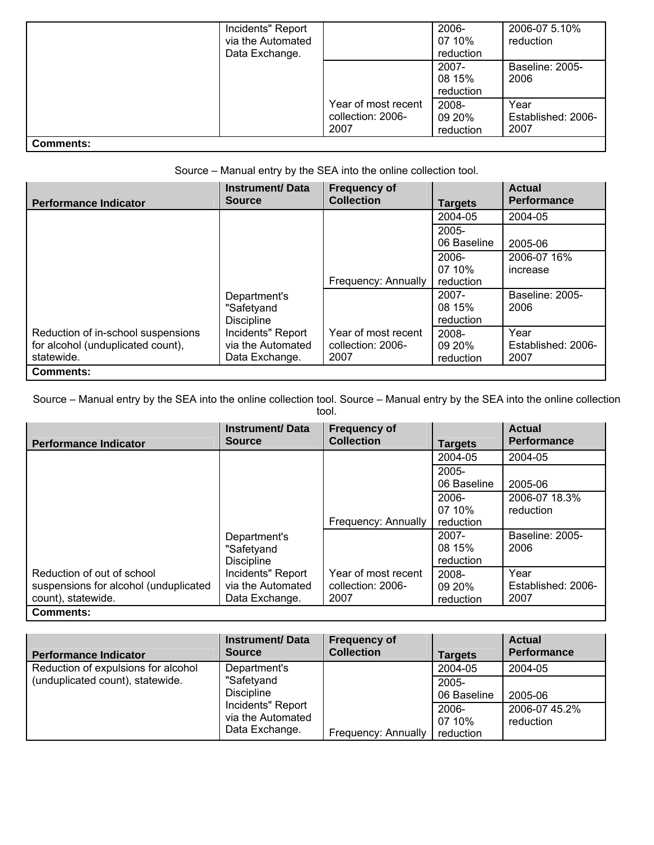|                  | Incidents" Report<br>via the Automated<br>Data Exchange. |                                                  | 2006-<br>07 10%<br>reduction | 2006-07 5.10%<br>reduction         |
|------------------|----------------------------------------------------------|--------------------------------------------------|------------------------------|------------------------------------|
|                  |                                                          |                                                  | 2007-<br>08 15%<br>reduction | Baseline: 2005-<br>2006            |
|                  |                                                          | Year of most recent<br>collection: 2006-<br>2007 | 2008-<br>09 20%<br>reduction | Year<br>Established: 2006-<br>2007 |
| <b>Comments:</b> |                                                          |                                                  |                              |                                    |

Source – Manual entry by the SEA into the online collection tool.

| <b>Performance Indicator</b>                                                          | <b>Instrument/Data</b><br><b>Source</b>                  | <b>Frequency of</b><br><b>Collection</b>         | <b>Targets</b>                  | <b>Actual</b><br><b>Performance</b> |
|---------------------------------------------------------------------------------------|----------------------------------------------------------|--------------------------------------------------|---------------------------------|-------------------------------------|
|                                                                                       |                                                          |                                                  | 2004-05                         | 2004-05                             |
|                                                                                       |                                                          |                                                  | $2005 -$<br>06 Baseline         | 2005-06                             |
|                                                                                       |                                                          | Frequency: Annually                              | 2006-<br>07 10%<br>reduction    | 2006-07 16%<br>increase             |
|                                                                                       | Department's<br>"Safetyand<br><b>Discipline</b>          |                                                  | $2007 -$<br>08 15%<br>reduction | Baseline: 2005-<br>2006             |
| Reduction of in-school suspensions<br>for alcohol (unduplicated count),<br>statewide. | Incidents" Report<br>via the Automated<br>Data Exchange. | Year of most recent<br>collection: 2006-<br>2007 | 2008-<br>09 20%<br>reduction    | Year<br>Established: 2006-<br>2007  |
| <b>Comments:</b>                                                                      |                                                          |                                                  |                                 |                                     |

Source – Manual entry by the SEA into the online collection tool. Source – Manual entry by the SEA into the online collection tool.

| <b>Performance Indicator</b>                                                              | <b>Instrument/Data</b><br><b>Source</b>                  | <b>Frequency of</b><br><b>Collection</b>         | <b>Targets</b>                  | <b>Actual</b><br><b>Performance</b> |
|-------------------------------------------------------------------------------------------|----------------------------------------------------------|--------------------------------------------------|---------------------------------|-------------------------------------|
|                                                                                           |                                                          |                                                  | 2004-05                         | 2004-05                             |
|                                                                                           |                                                          |                                                  | $2005 -$<br>06 Baseline         | 2005-06                             |
|                                                                                           |                                                          | Frequency: Annually                              | 2006-<br>07 10%<br>reduction    | 2006-07 18.3%<br>reduction          |
|                                                                                           | Department's<br>"Safetyand<br><b>Discipline</b>          |                                                  | $2007 -$<br>08 15%<br>reduction | Baseline: 2005-<br>2006             |
| Reduction of out of school<br>suspensions for alcohol (unduplicated<br>count), statewide. | Incidents" Report<br>via the Automated<br>Data Exchange. | Year of most recent<br>collection: 2006-<br>2007 | 2008-<br>09 20%<br>reduction    | Year<br>Established: 2006-<br>2007  |
| <b>Comments:</b>                                                                          |                                                          |                                                  |                                 |                                     |

| <b>Performance Indicator</b>        | <b>Instrument/Data</b><br><b>Source</b>                  | <b>Frequency of</b><br><b>Collection</b> | <b>Targets</b>               | <b>Actual</b><br><b>Performance</b> |
|-------------------------------------|----------------------------------------------------------|------------------------------------------|------------------------------|-------------------------------------|
| Reduction of expulsions for alcohol | Department's                                             |                                          | 2004-05                      | 2004-05                             |
| (unduplicated count), statewide.    | "Safetyand<br><b>Discipline</b>                          |                                          | 2005-<br>06 Baseline         | 2005-06                             |
|                                     | Incidents" Report<br>via the Automated<br>Data Exchange. | Frequency: Annually                      | 2006-<br>07 10%<br>reduction | 2006-07 45.2%<br>reduction          |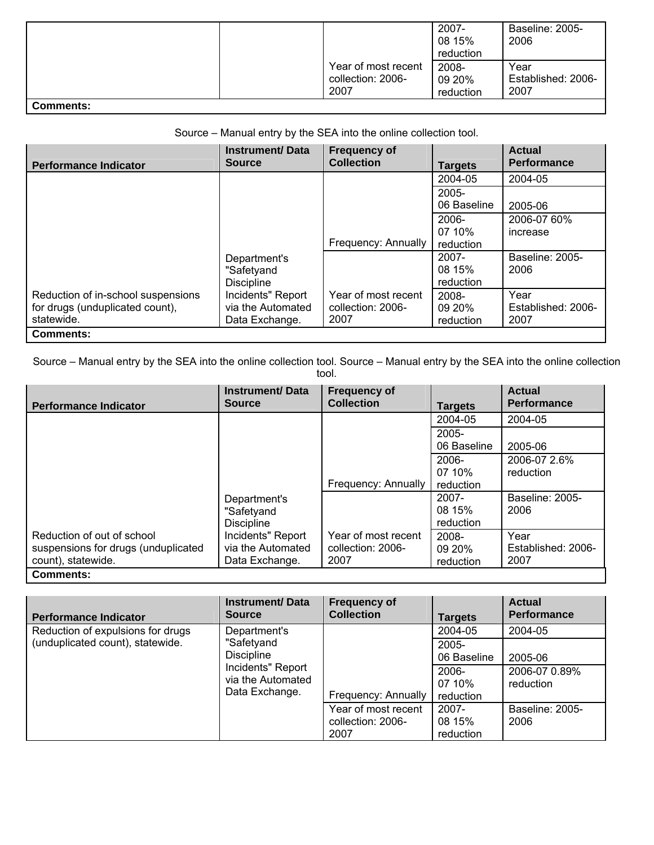|                                                                                               |                                                  | 2007-<br>08 15%<br>reduction | Baseline: 2005-<br>2006            |
|-----------------------------------------------------------------------------------------------|--------------------------------------------------|------------------------------|------------------------------------|
|                                                                                               | Year of most recent<br>collection: 2006-<br>2007 | 2008-<br>09 20%<br>reduction | Year<br>Established: 2006-<br>2007 |
| $\mathcal{D}$ - $\mathcal{D}$ - $\mathcal{D}$ - $\mathcal{D}$ - $\mathcal{D}$ - $\mathcal{D}$ |                                                  |                              |                                    |

### **Comments:**

Source – Manual entry by the SEA into the online collection tool.

|                                    | <b>Instrument/Data</b><br><b>Source</b> | <b>Frequency of</b><br><b>Collection</b> |                | <b>Actual</b><br><b>Performance</b> |
|------------------------------------|-----------------------------------------|------------------------------------------|----------------|-------------------------------------|
| <b>Performance Indicator</b>       |                                         |                                          | <b>Targets</b> |                                     |
|                                    |                                         |                                          | 2004-05        | 2004-05                             |
|                                    |                                         |                                          | $2005 -$       |                                     |
|                                    |                                         |                                          | 06 Baseline    | 2005-06                             |
|                                    |                                         |                                          | 2006-          | 2006-07 60%                         |
|                                    |                                         |                                          | 07 10%         | increase                            |
|                                    |                                         | Frequency: Annually                      | reduction      |                                     |
|                                    | Department's                            |                                          | $2007 -$       | Baseline: 2005-                     |
|                                    | "Safetyand                              |                                          | 08 15%         | 2006                                |
|                                    | <b>Discipline</b>                       |                                          | reduction      |                                     |
| Reduction of in-school suspensions | Incidents" Report                       | Year of most recent                      | 2008-          | Year                                |
| for drugs (unduplicated count),    | via the Automated                       | collection: 2006-                        | 09 20%         | Established: 2006-                  |
| statewide.                         | Data Exchange.                          | 2007                                     | reduction      | 2007                                |
| <b>Comments:</b>                   |                                         |                                          |                |                                     |

Source – Manual entry by the SEA into the online collection tool. Source – Manual entry by the SEA into the online collection tool.

| <b>Performance Indicator</b>                                                            | <b>Instrument/Data</b><br><b>Source</b>                  | <b>Frequency of</b><br><b>Collection</b>         | <b>Targets</b>                  | <b>Actual</b><br><b>Performance</b> |
|-----------------------------------------------------------------------------------------|----------------------------------------------------------|--------------------------------------------------|---------------------------------|-------------------------------------|
|                                                                                         |                                                          |                                                  | 2004-05                         | 2004-05                             |
|                                                                                         |                                                          |                                                  | $2005 -$<br>06 Baseline         | 2005-06                             |
|                                                                                         |                                                          | Frequency: Annually                              | 2006-<br>07 10%<br>reduction    | 2006-07 2.6%<br>reduction           |
|                                                                                         | Department's<br>"Safetyand<br><b>Discipline</b>          |                                                  | $2007 -$<br>08 15%<br>reduction | Baseline: 2005-<br>2006             |
| Reduction of out of school<br>suspensions for drugs (unduplicated<br>count), statewide. | Incidents" Report<br>via the Automated<br>Data Exchange. | Year of most recent<br>collection: 2006-<br>2007 | 2008-<br>09 20%<br>reduction    | Year<br>Established: 2006-<br>2007  |
| <b>Comments:</b>                                                                        |                                                          |                                                  |                                 |                                     |

| <b>Performance Indicator</b>                                                                                                    | <b>Instrument/Data</b><br><b>Source</b> | <b>Frequency of</b><br><b>Collection</b>         | <b>Targets</b>               | <b>Actual</b><br><b>Performance</b> |
|---------------------------------------------------------------------------------------------------------------------------------|-----------------------------------------|--------------------------------------------------|------------------------------|-------------------------------------|
| Reduction of expulsions for drugs                                                                                               | Department's                            |                                                  | 2004-05                      | 2004-05                             |
| (unduplicated count), statewide.<br>"Safetyand<br><b>Discipline</b><br>Incidents" Report<br>via the Automated<br>Data Exchange. |                                         | $2005 -$<br>06 Baseline                          | 2005-06                      |                                     |
|                                                                                                                                 | Frequency: Annually                     | 2006-<br>07 10%<br>reduction                     | 2006-07 0.89%<br>reduction   |                                     |
|                                                                                                                                 |                                         | Year of most recent<br>collection: 2006-<br>2007 | 2007-<br>08 15%<br>reduction | Baseline: 2005-<br>2006             |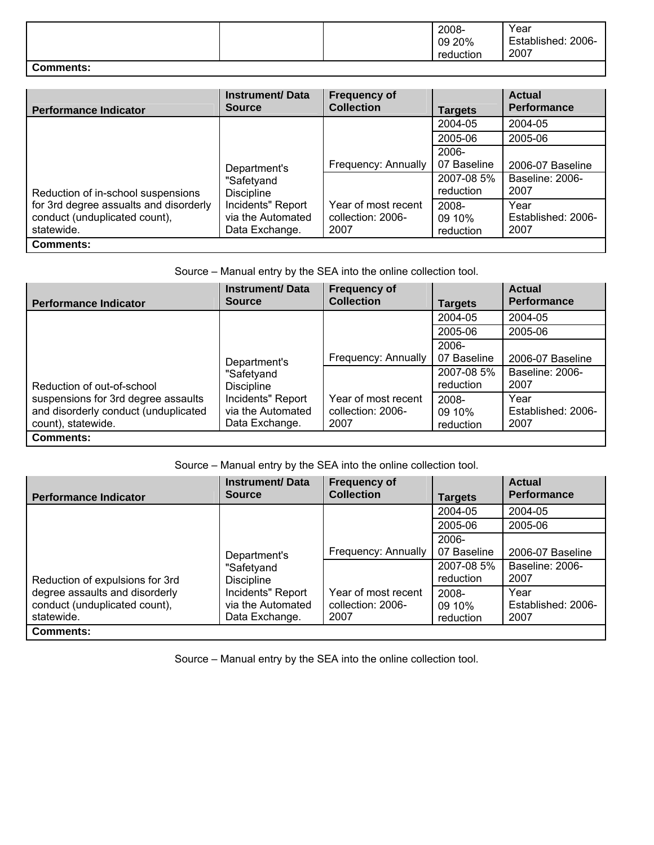|                  |  | 2008-<br>09 20%<br>reduction | Year<br>Established: 2006-<br>2007 |
|------------------|--|------------------------------|------------------------------------|
| <b>Comments:</b> |  |                              |                                    |

| <b>Performance Indicator</b>                                                          | <b>Instrument/Data</b><br><b>Source</b>                  | <b>Frequency of</b><br><b>Collection</b>         | <b>Targets</b>               | <b>Actual</b><br><b>Performance</b> |
|---------------------------------------------------------------------------------------|----------------------------------------------------------|--------------------------------------------------|------------------------------|-------------------------------------|
|                                                                                       |                                                          |                                                  | 2004-05                      | 2004-05                             |
|                                                                                       |                                                          |                                                  | 2005-06                      | 2005-06                             |
|                                                                                       | Department's                                             | Frequency: Annually                              | 2006-<br>07 Baseline         | 2006-07 Baseline                    |
| "Safetyand<br>Reduction of in-school suspensions<br><b>Discipline</b>                 |                                                          | 2007-08 5%<br>reduction                          | Baseline: 2006-<br>2007      |                                     |
| for 3rd degree assualts and disorderly<br>conduct (unduplicated count),<br>statewide. | Incidents" Report<br>via the Automated<br>Data Exchange. | Year of most recent<br>collection: 2006-<br>2007 | 2008-<br>09 10%<br>reduction | Year<br>Established: 2006-<br>2007  |
| <b>Comments:</b>                                                                      |                                                          |                                                  |                              |                                     |

Source – Manual entry by the SEA into the online collection tool.

| <b>Performance Indicator</b>                                                                      | <b>Instrument/Data</b><br><b>Source</b>                  | <b>Frequency of</b><br><b>Collection</b>         | <b>Targets</b>               | <b>Actual</b><br><b>Performance</b> |
|---------------------------------------------------------------------------------------------------|----------------------------------------------------------|--------------------------------------------------|------------------------------|-------------------------------------|
|                                                                                                   |                                                          |                                                  | 2004-05                      | 2004-05                             |
|                                                                                                   |                                                          |                                                  | 2005-06                      | 2005-06                             |
|                                                                                                   |                                                          |                                                  | 2006-                        |                                     |
|                                                                                                   | Department's                                             | Frequency: Annually                              | 07 Baseline                  | 2006-07 Baseline                    |
| Reduction of out-of-school                                                                        | "Safetyand<br><b>Discipline</b>                          |                                                  | 2007-08 5%<br>reduction      | Baseline: 2006-<br>2007             |
| suspensions for 3rd degree assaults<br>and disorderly conduct (unduplicated<br>count), statewide. | Incidents" Report<br>via the Automated<br>Data Exchange. | Year of most recent<br>collection: 2006-<br>2007 | 2008-<br>09 10%<br>reduction | Year<br>Established: 2006-<br>2007  |
| <b>Comments:</b>                                                                                  |                                                          |                                                  |                              |                                     |

Source – Manual entry by the SEA into the online collection tool.

| <b>Performance Indicator</b>                                                  | <b>Instrument/Data</b><br><b>Source</b>                  | <b>Frequency of</b><br><b>Collection</b>         | <b>Targets</b>               | <b>Actual</b><br><b>Performance</b> |
|-------------------------------------------------------------------------------|----------------------------------------------------------|--------------------------------------------------|------------------------------|-------------------------------------|
|                                                                               |                                                          |                                                  | 2004-05                      | 2004-05                             |
|                                                                               |                                                          |                                                  | 2005-06                      | 2005-06                             |
|                                                                               | Department's                                             | Frequency: Annually                              | 2006-<br>07 Baseline         | 2006-07 Baseline                    |
| Reduction of expulsions for 3rd                                               | "Safetyand<br><b>Discipline</b>                          |                                                  | 2007-08 5%<br>reduction      | Baseline: 2006-<br>2007             |
| degree assaults and disorderly<br>conduct (unduplicated count),<br>statewide. | Incidents" Report<br>via the Automated<br>Data Exchange. | Year of most recent<br>collection: 2006-<br>2007 | 2008-<br>09 10%<br>reduction | Year<br>Established: 2006-<br>2007  |
| <b>Comments:</b>                                                              |                                                          |                                                  |                              |                                     |

Source – Manual entry by the SEA into the online collection tool.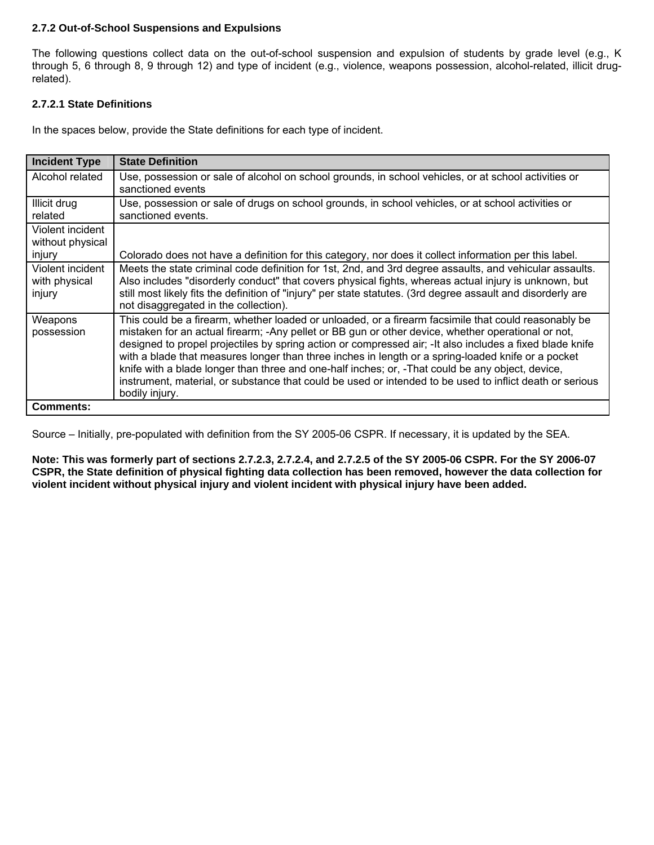### **2.7.2 Out-of-School Suspensions and Expulsions**

The following questions collect data on the out-of-school suspension and expulsion of students by grade level (e.g., K through 5, 6 through 8, 9 through 12) and type of incident (e.g., violence, weapons possession, alcohol-related, illicit drugrelated).

### **2.7.2.1 State Definitions**

In the spaces below, provide the State definitions for each type of incident.

| <b>Incident Type</b>                           | <b>State Definition</b>                                                                                                                                                                                                                                                                                                                                                                                                                                                                                                                                                                                                                                         |
|------------------------------------------------|-----------------------------------------------------------------------------------------------------------------------------------------------------------------------------------------------------------------------------------------------------------------------------------------------------------------------------------------------------------------------------------------------------------------------------------------------------------------------------------------------------------------------------------------------------------------------------------------------------------------------------------------------------------------|
| Alcohol related                                | Use, possession or sale of alcohol on school grounds, in school vehicles, or at school activities or<br>sanctioned events                                                                                                                                                                                                                                                                                                                                                                                                                                                                                                                                       |
| Illicit drug<br>related                        | Use, possession or sale of drugs on school grounds, in school vehicles, or at school activities or<br>sanctioned events.                                                                                                                                                                                                                                                                                                                                                                                                                                                                                                                                        |
| Violent incident<br>without physical<br>injury | Colorado does not have a definition for this category, nor does it collect information per this label.                                                                                                                                                                                                                                                                                                                                                                                                                                                                                                                                                          |
| Violent incident<br>with physical<br>injury    | Meets the state criminal code definition for 1st, 2nd, and 3rd degree assaults, and vehicular assaults.<br>Also includes "disorderly conduct" that covers physical fights, whereas actual injury is unknown, but<br>still most likely fits the definition of "injury" per state statutes. (3rd degree assault and disorderly are<br>not disaggregated in the collection).                                                                                                                                                                                                                                                                                       |
| Weapons<br>possession                          | This could be a firearm, whether loaded or unloaded, or a firearm facsimile that could reasonably be<br>mistaken for an actual firearm; -Any pellet or BB gun or other device, whether operational or not,<br>designed to propel projectiles by spring action or compressed air; - It also includes a fixed blade knife<br>with a blade that measures longer than three inches in length or a spring-loaded knife or a pocket<br>knife with a blade longer than three and one-half inches; or, -That could be any object, device,<br>instrument, material, or substance that could be used or intended to be used to inflict death or serious<br>bodily injury. |
| <b>Comments:</b>                               |                                                                                                                                                                                                                                                                                                                                                                                                                                                                                                                                                                                                                                                                 |

Source – Initially, pre-populated with definition from the SY 2005-06 CSPR. If necessary, it is updated by the SEA.

**Note: This was formerly part of sections 2.7.2.3, 2.7.2.4, and 2.7.2.5 of the SY 2005-06 CSPR. For the SY 2006-07 CSPR, the State definition of physical fighting data collection has been removed, however the data collection for violent incident without physical injury and violent incident with physical injury have been added.**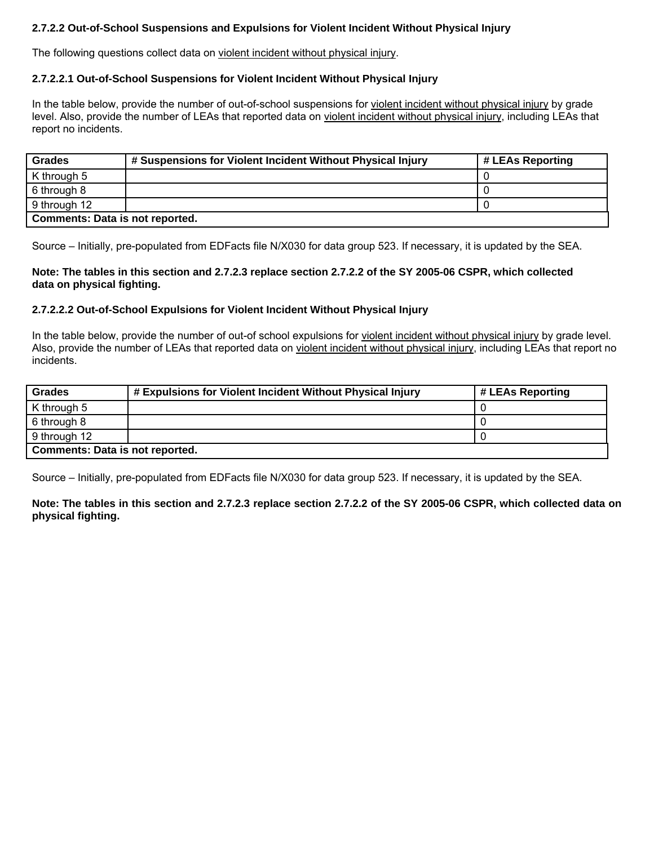## **2.7.2.2 Out-of-School Suspensions and Expulsions for Violent Incident Without Physical Injury**

The following questions collect data on violent incident without physical injury.

#### **2.7.2.2.1 Out-of-School Suspensions for Violent Incident Without Physical Injury**

In the table below, provide the number of out-of-school suspensions for violent incident without physical injury by grade level. Also, provide the number of LEAs that reported data on violent incident without physical injury, including LEAs that report no incidents.

| <b>Grades</b>                          | # Suspensions for Violent Incident Without Physical Injury | # LEAs Reporting |  |  |
|----------------------------------------|------------------------------------------------------------|------------------|--|--|
| K through 5                            |                                                            |                  |  |  |
| 6 through 8                            |                                                            |                  |  |  |
| 9 through 12                           |                                                            |                  |  |  |
| <b>Comments: Data is not reported.</b> |                                                            |                  |  |  |

Source – Initially, pre-populated from EDFacts file N/X030 for data group 523. If necessary, it is updated by the SEA.

**Note: The tables in this section and 2.7.2.3 replace section 2.7.2.2 of the SY 2005-06 CSPR, which collected data on physical fighting.** 

### **2.7.2.2.2 Out-of-School Expulsions for Violent Incident Without Physical Injury**

In the table below, provide the number of out-of school expulsions for violent incident without physical injury by grade level. Also, provide the number of LEAs that reported data on violent incident without physical injury, including LEAs that report no incidents.

| <b>Grades</b>                          | # Expulsions for Violent Incident Without Physical Injury | # LEAs Reporting |  |  |
|----------------------------------------|-----------------------------------------------------------|------------------|--|--|
| K through 5                            |                                                           |                  |  |  |
| 6 through 8                            |                                                           |                  |  |  |
| 9 through 12                           |                                                           |                  |  |  |
| <b>Comments: Data is not reported.</b> |                                                           |                  |  |  |

Source – Initially, pre-populated from EDFacts file N/X030 for data group 523. If necessary, it is updated by the SEA.

**Note: The tables in this section and 2.7.2.3 replace section 2.7.2.2 of the SY 2005-06 CSPR, which collected data on physical fighting.**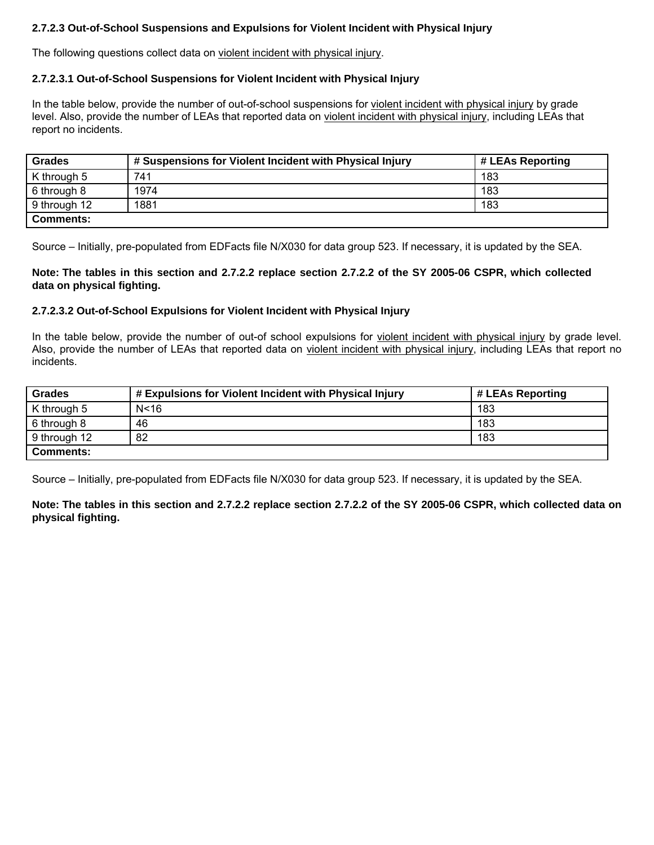## **2.7.2.3 Out-of-School Suspensions and Expulsions for Violent Incident with Physical Injury**

The following questions collect data on violent incident with physical injury.

#### **2.7.2.3.1 Out-of-School Suspensions for Violent Incident with Physical Injury**

In the table below, provide the number of out-of-school suspensions for violent incident with physical injury by grade level. Also, provide the number of LEAs that reported data on violent incident with physical injury, including LEAs that report no incidents.

| <b>Grades</b>    | # Suspensions for Violent Incident with Physical Injury | # LEAs Reporting |
|------------------|---------------------------------------------------------|------------------|
| K through 5      | 741                                                     | 183              |
| 6 through 8      | 1974                                                    | 183              |
| 9 through 12     | 1881                                                    | 183              |
| <b>Comments:</b> |                                                         |                  |

Source – Initially, pre-populated from EDFacts file N/X030 for data group 523. If necessary, it is updated by the SEA.

**Note: The tables in this section and 2.7.2.2 replace section 2.7.2.2 of the SY 2005-06 CSPR, which collected data on physical fighting.** 

### **2.7.2.3.2 Out-of-School Expulsions for Violent Incident with Physical Injury**

In the table below, provide the number of out-of school expulsions for violent incident with physical injury by grade level. Also, provide the number of LEAs that reported data on violent incident with physical injury, including LEAs that report no incidents.

| <b>Grades</b>    | # Expulsions for Violent Incident with Physical Injury | # LEAs Reporting |
|------------------|--------------------------------------------------------|------------------|
| K through 5      | N<16                                                   | 183              |
| 6 through 8      | 46                                                     | 183              |
| 9 through 12     | 82                                                     | 183              |
| <b>Comments:</b> |                                                        |                  |

Source – Initially, pre-populated from EDFacts file N/X030 for data group 523. If necessary, it is updated by the SEA.

**Note: The tables in this section and 2.7.2.2 replace section 2.7.2.2 of the SY 2005-06 CSPR, which collected data on physical fighting.**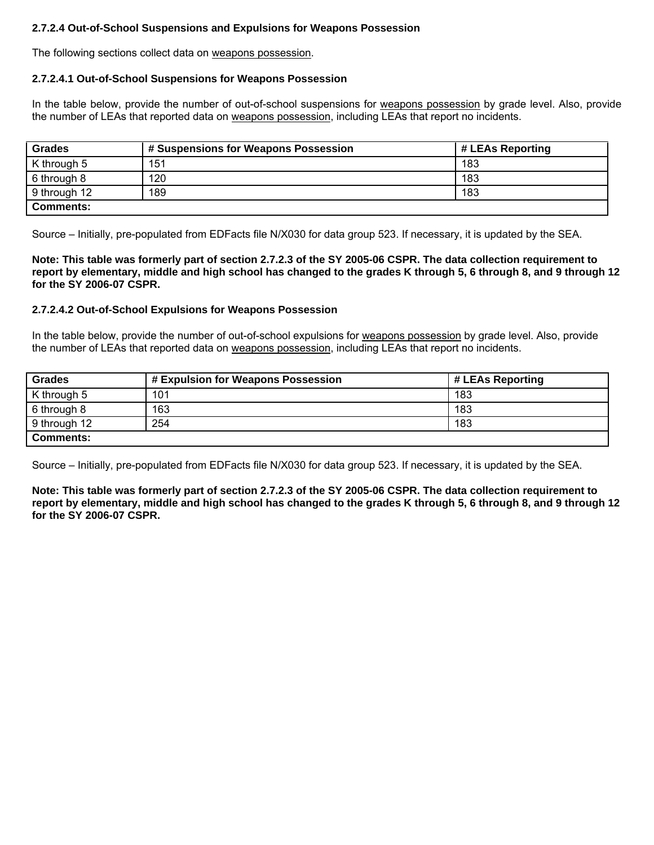### **2.7.2.4 Out-of-School Suspensions and Expulsions for Weapons Possession**

The following sections collect data on weapons possession.

### **2.7.2.4.1 Out-of-School Suspensions for Weapons Possession**

In the table below, provide the number of out-of-school suspensions for weapons possession by grade level. Also, provide the number of LEAs that reported data on weapons possession, including LEAs that report no incidents.

| <b>Grades</b> | # Suspensions for Weapons Possession | # LEAs Reporting |
|---------------|--------------------------------------|------------------|
| K through 5   | 151                                  | 183              |
| 6 through 8   | 120                                  | 183              |
| 9 through 12  | 189                                  | 183              |
| Comments:     |                                      |                  |

Source – Initially, pre-populated from EDFacts file N/X030 for data group 523. If necessary, it is updated by the SEA.

**Note: This table was formerly part of section 2.7.2.3 of the SY 2005-06 CSPR. The data collection requirement to report by elementary, middle and high school has changed to the grades K through 5, 6 through 8, and 9 through 12 for the SY 2006-07 CSPR.** 

### **2.7.2.4.2 Out-of-School Expulsions for Weapons Possession**

In the table below, provide the number of out-of-school expulsions for weapons possession by grade level. Also, provide the number of LEAs that reported data on weapons possession, including LEAs that report no incidents.

| <b>Grades</b>    | # Expulsion for Weapons Possession | # LEAs Reporting |
|------------------|------------------------------------|------------------|
| K through 5      | 101                                | 183              |
| 6 through 8      | 163                                | 183              |
| 9 through 12     | 254                                | 183              |
| <b>Comments:</b> |                                    |                  |

Source – Initially, pre-populated from EDFacts file N/X030 for data group 523. If necessary, it is updated by the SEA.

**Note: This table was formerly part of section 2.7.2.3 of the SY 2005-06 CSPR. The data collection requirement to report by elementary, middle and high school has changed to the grades K through 5, 6 through 8, and 9 through 12 for the SY 2006-07 CSPR.**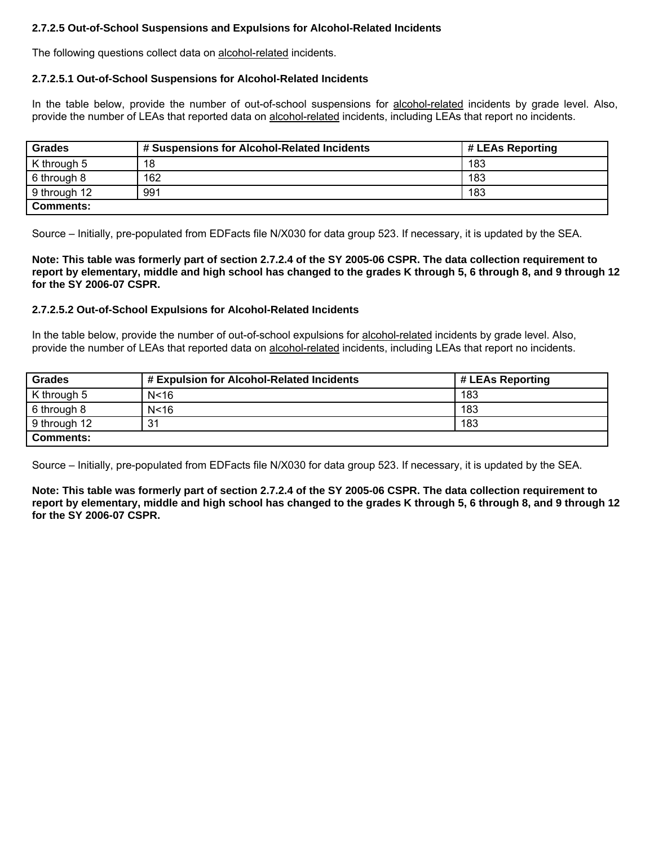### **2.7.2.5 Out-of-School Suspensions and Expulsions for Alcohol-Related Incidents**

The following questions collect data on alcohol-related incidents.

#### **2.7.2.5.1 Out-of-School Suspensions for Alcohol-Related Incidents**

In the table below, provide the number of out-of-school suspensions for alcohol-related incidents by grade level. Also, provide the number of LEAs that reported data on alcohol-related incidents, including LEAs that report no incidents.

| <b>Grades</b>    | # Suspensions for Alcohol-Related Incidents | # LEAs Reporting |
|------------------|---------------------------------------------|------------------|
| K through 5      | 18                                          | 183              |
| 6 through 8      | 162                                         | 183              |
| 9 through 12     | 991                                         | 183              |
| <b>Comments:</b> |                                             |                  |

Source – Initially, pre-populated from EDFacts file N/X030 for data group 523. If necessary, it is updated by the SEA.

**Note: This table was formerly part of section 2.7.2.4 of the SY 2005-06 CSPR. The data collection requirement to report by elementary, middle and high school has changed to the grades K through 5, 6 through 8, and 9 through 12 for the SY 2006-07 CSPR.** 

#### **2.7.2.5.2 Out-of-School Expulsions for Alcohol-Related Incidents**

In the table below, provide the number of out-of-school expulsions for alcohol-related incidents by grade level. Also, provide the number of LEAs that reported data on alcohol-related incidents, including LEAs that report no incidents.

| Grades           | # Expulsion for Alcohol-Related Incidents | # LEAs Reporting |
|------------------|-------------------------------------------|------------------|
| K through 5      | N < 16                                    | 183              |
| 6 through 8      | N < 16                                    | 183              |
| 9 through 12     | 31                                        | 183              |
| <b>Comments:</b> |                                           |                  |

Source – Initially, pre-populated from EDFacts file N/X030 for data group 523. If necessary, it is updated by the SEA.

**Note: This table was formerly part of section 2.7.2.4 of the SY 2005-06 CSPR. The data collection requirement to report by elementary, middle and high school has changed to the grades K through 5, 6 through 8, and 9 through 12 for the SY 2006-07 CSPR.**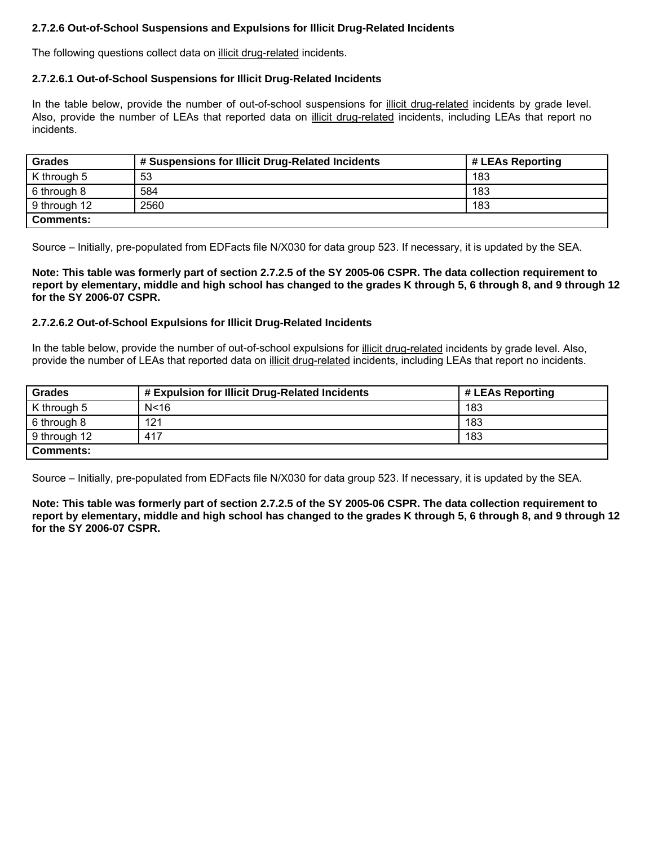# **2.7.2.6 Out-of-School Suspensions and Expulsions for Illicit Drug-Related Incidents**

The following questions collect data on illicit drug-related incidents.

#### **2.7.2.6.1 Out-of-School Suspensions for Illicit Drug-Related Incidents**

In the table below, provide the number of out-of-school suspensions for illicit drug-related incidents by grade level. Also, provide the number of LEAs that reported data on illicit drug-related incidents, including LEAs that report no incidents.

| <b>Grades</b>    | # Suspensions for Illicit Drug-Related Incidents | # LEAs Reporting |
|------------------|--------------------------------------------------|------------------|
| K through 5      | 53                                               | 183              |
| 6 through 8      | 584                                              | 183              |
| 9 through 12     | 2560                                             | 183              |
| <b>Comments:</b> |                                                  |                  |

Source – Initially, pre-populated from EDFacts file N/X030 for data group 523. If necessary, it is updated by the SEA.

**Note: This table was formerly part of section 2.7.2.5 of the SY 2005-06 CSPR. The data collection requirement to report by elementary, middle and high school has changed to the grades K through 5, 6 through 8, and 9 through 12 for the SY 2006-07 CSPR.** 

### **2.7.2.6.2 Out-of-School Expulsions for Illicit Drug-Related Incidents**

In the table below, provide the number of out-of-school expulsions for illicit drug-related incidents by grade level. Also, provide the number of LEAs that reported data on illicit drug-related incidents, including LEAs that report no incidents.

| <b>Grades</b>    | # Expulsion for Illicit Drug-Related Incidents | # LEAs Reporting |
|------------------|------------------------------------------------|------------------|
| K through 5      | N <sub>16</sub>                                | 183              |
| 6 through 8      | 121                                            | 183              |
| 9 through 12     | 417                                            | 183              |
| <b>Comments:</b> |                                                |                  |

Source – Initially, pre-populated from EDFacts file N/X030 for data group 523. If necessary, it is updated by the SEA.

**Note: This table was formerly part of section 2.7.2.5 of the SY 2005-06 CSPR. The data collection requirement to report by elementary, middle and high school has changed to the grades K through 5, 6 through 8, and 9 through 12 for the SY 2006-07 CSPR.**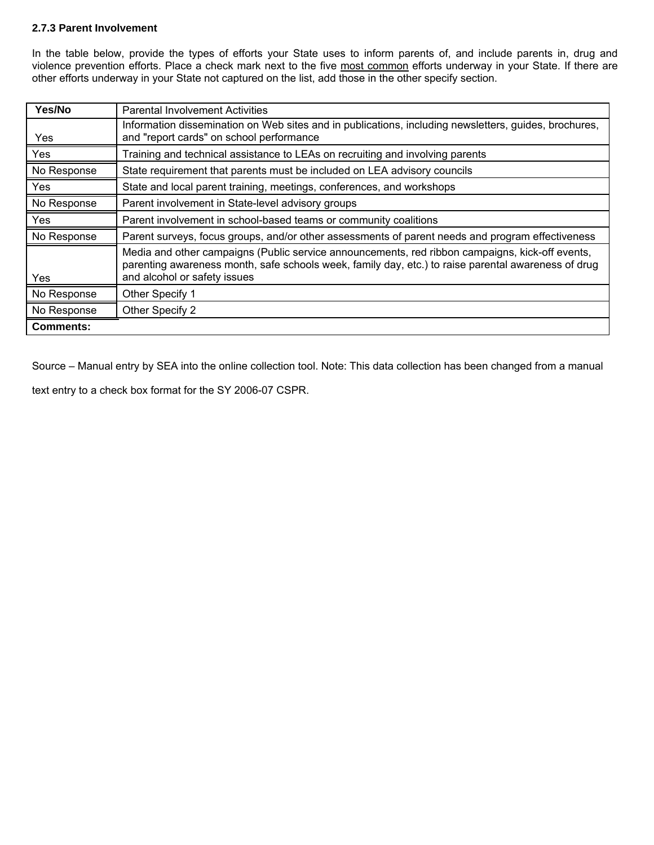### **2.7.3 Parent Involvement**

In the table below, provide the types of efforts your State uses to inform parents of, and include parents in, drug and violence prevention efforts. Place a check mark next to the five most common efforts underway in your State. If there are other efforts underway in your State not captured on the list, add those in the other specify section.

| Yes/No           | <b>Parental Involvement Activities</b>                                                                                                                                                                                                 |
|------------------|----------------------------------------------------------------------------------------------------------------------------------------------------------------------------------------------------------------------------------------|
| Yes              | Information dissemination on Web sites and in publications, including newsletters, guides, brochures,<br>and "report cards" on school performance                                                                                      |
| Yes              | Training and technical assistance to LEAs on recruiting and involving parents                                                                                                                                                          |
| No Response      | State requirement that parents must be included on LEA advisory councils                                                                                                                                                               |
| Yes              | State and local parent training, meetings, conferences, and workshops                                                                                                                                                                  |
| No Response      | Parent involvement in State-level advisory groups                                                                                                                                                                                      |
| Yes              | Parent involvement in school-based teams or community coalitions                                                                                                                                                                       |
| No Response      | Parent surveys, focus groups, and/or other assessments of parent needs and program effectiveness                                                                                                                                       |
| Yes              | Media and other campaigns (Public service announcements, red ribbon campaigns, kick-off events,<br>parenting awareness month, safe schools week, family day, etc.) to raise parental awareness of drug<br>and alcohol or safety issues |
| No Response      | Other Specify 1                                                                                                                                                                                                                        |
| No Response      | Other Specify 2                                                                                                                                                                                                                        |
| <b>Comments:</b> |                                                                                                                                                                                                                                        |

Source – Manual entry by SEA into the online collection tool. Note: This data collection has been changed from a manual

text entry to a check box format for the SY 2006-07 CSPR.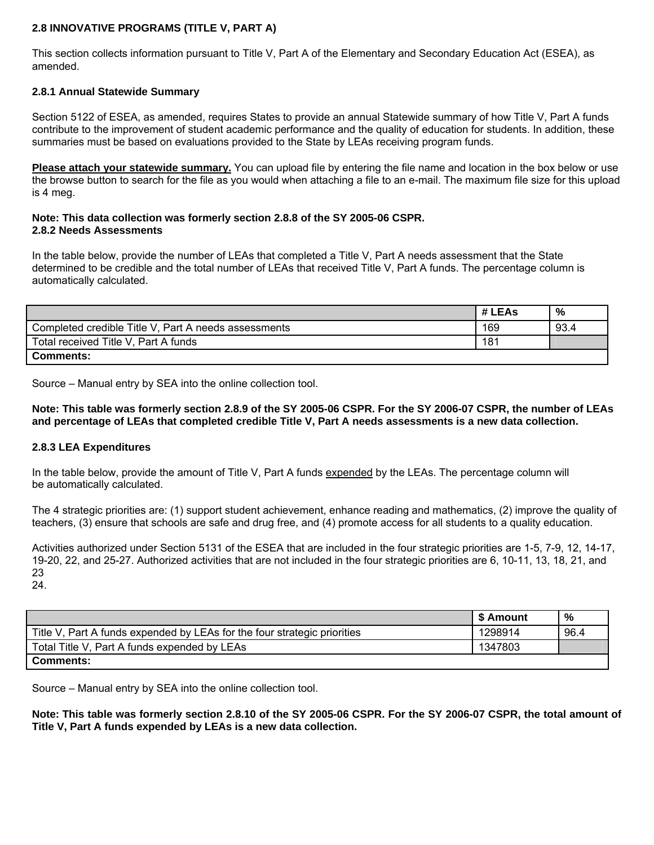## **2.8 INNOVATIVE PROGRAMS (TITLE V, PART A)**

This section collects information pursuant to Title V, Part A of the Elementary and Secondary Education Act (ESEA), as amended.

### **2.8.1 Annual Statewide Summary**

Section 5122 of ESEA, as amended, requires States to provide an annual Statewide summary of how Title V, Part A funds contribute to the improvement of student academic performance and the quality of education for students. In addition, these summaries must be based on evaluations provided to the State by LEAs receiving program funds.

**Please attach your statewide summary.** You can upload file by entering the file name and location in the box below or use the browse button to search for the file as you would when attaching a file to an e-mail. The maximum file size for this upload is 4 meg.

#### **Note: This data collection was formerly section 2.8.8 of the SY 2005-06 CSPR. 2.8.2 Needs Assessments**

In the table below, provide the number of LEAs that completed a Title V, Part A needs assessment that the State determined to be credible and the total number of LEAs that received Title V, Part A funds. The percentage column is automatically calculated.

|                                                      | # LEAs | %    |
|------------------------------------------------------|--------|------|
| Completed credible Title V, Part A needs assessments | 169    | 93.4 |
| Total received Title V, Part A funds                 |        |      |
| <b>Comments:</b>                                     |        |      |

Source – Manual entry by SEA into the online collection tool.

**Note: This table was formerly section 2.8.9 of the SY 2005-06 CSPR. For the SY 2006-07 CSPR, the number of LEAs and percentage of LEAs that completed credible Title V, Part A needs assessments is a new data collection.** 

#### **2.8.3 LEA Expenditures**

In the table below, provide the amount of Title V, Part A funds expended by the LEAs. The percentage column will be automatically calculated.

The 4 strategic priorities are: (1) support student achievement, enhance reading and mathematics, (2) improve the quality of teachers, (3) ensure that schools are safe and drug free, and (4) promote access for all students to a quality education.

Activities authorized under Section 5131 of the ESEA that are included in the four strategic priorities are 1-5, 7-9, 12, 14-17, 19-20, 22, and 25-27. Authorized activities that are not included in the four strategic priorities are 6, 10-11, 13, 18, 21, and 23

24.

|                                                                          | l \$ Amount | %    |
|--------------------------------------------------------------------------|-------------|------|
| Title V, Part A funds expended by LEAs for the four strategic priorities | 1298914     | 96.4 |
| Total Title V, Part A funds expended by LEAs                             | 1347803     |      |
| <b>Comments:</b>                                                         |             |      |

Source – Manual entry by SEA into the online collection tool.

**Note: This table was formerly section 2.8.10 of the SY 2005-06 CSPR. For the SY 2006-07 CSPR, the total amount of Title V, Part A funds expended by LEAs is a new data collection.**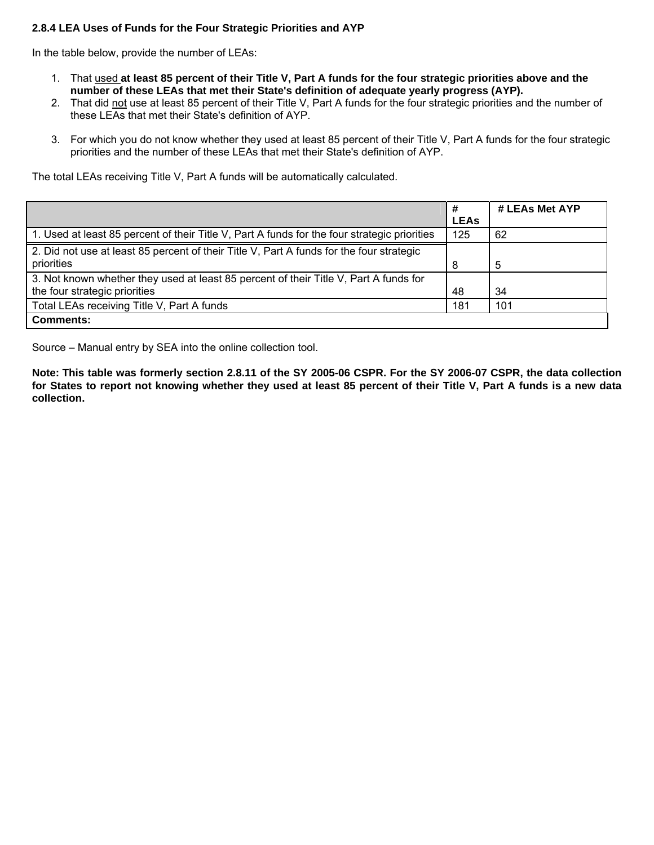## **2.8.4 LEA Uses of Funds for the Four Strategic Priorities and AYP**

In the table below, provide the number of LEAs:

- 1. That used **at least 85 percent of their Title V, Part A funds for the four strategic priorities above and the number of these LEAs that met their State's definition of adequate yearly progress (AYP).**
- 2. That did not use at least 85 percent of their Title V, Part A funds for the four strategic priorities and the number of these LEAs that met their State's definition of AYP.
- 3. For which you do not know whether they used at least 85 percent of their Title V, Part A funds for the four strategic priorities and the number of these LEAs that met their State's definition of AYP.

The total LEAs receiving Title V, Part A funds will be automatically calculated.

|                                                                                                                        | <b>LEAs</b> | # LEAs Met AYP |
|------------------------------------------------------------------------------------------------------------------------|-------------|----------------|
| 1. Used at least 85 percent of their Title V, Part A funds for the four strategic priorities                           | 125         | 62             |
| 2. Did not use at least 85 percent of their Title V, Part A funds for the four strategic<br>priorities                 | 8           | 5              |
| 3. Not known whether they used at least 85 percent of their Title V, Part A funds for<br>the four strategic priorities | 48          | 34             |
| Total LEAs receiving Title V, Part A funds                                                                             | 181         | 101            |
| <b>Comments:</b>                                                                                                       |             |                |

Source – Manual entry by SEA into the online collection tool.

**Note: This table was formerly section 2.8.11 of the SY 2005-06 CSPR. For the SY 2006-07 CSPR, the data collection for States to report not knowing whether they used at least 85 percent of their Title V, Part A funds is a new data collection.**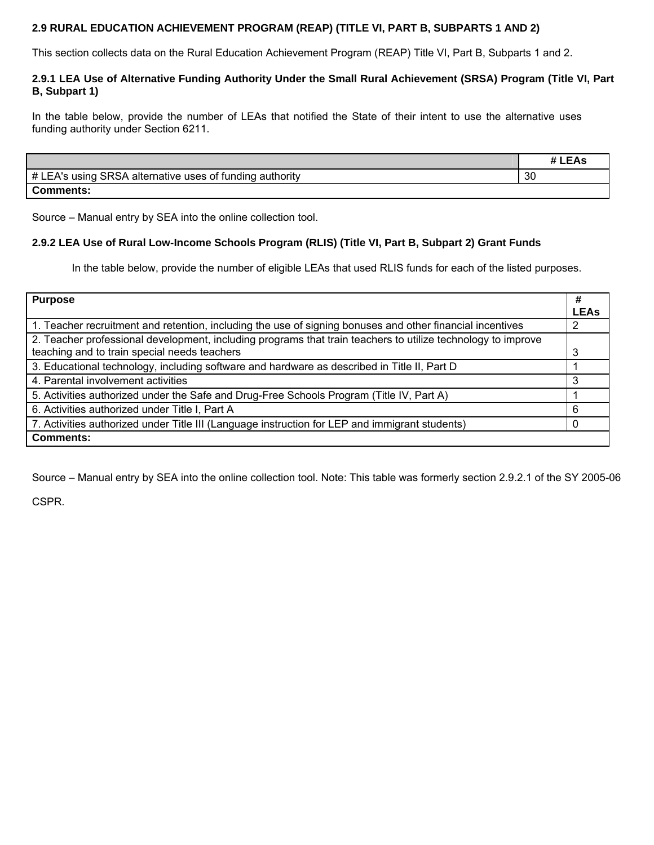# **2.9 RURAL EDUCATION ACHIEVEMENT PROGRAM (REAP) (TITLE VI, PART B, SUBPARTS 1 AND 2)**

This section collects data on the Rural Education Achievement Program (REAP) Title VI, Part B, Subparts 1 and 2.

### **2.9.1 LEA Use of Alternative Funding Authority Under the Small Rural Achievement (SRSA) Program (Title VI, Part B, Subpart 1)**

In the table below, provide the number of LEAs that notified the State of their intent to use the alternative uses funding authority under Section 6211.

|                                                          | # LEAs |
|----------------------------------------------------------|--------|
| # LEA's using SRSA alternative uses of funding authority | 30     |
| <b>Comments:</b>                                         |        |

Source – Manual entry by SEA into the online collection tool.

# **2.9.2 LEA Use of Rural Low-Income Schools Program (RLIS) (Title VI, Part B, Subpart 2) Grant Funds**

In the table below, provide the number of eligible LEAs that used RLIS funds for each of the listed purposes.

| <b>Purpose</b>                                                                                               | #           |
|--------------------------------------------------------------------------------------------------------------|-------------|
|                                                                                                              | <b>LEAs</b> |
| 1. Teacher recruitment and retention, including the use of signing bonuses and other financial incentives    |             |
| 2. Teacher professional development, including programs that train teachers to utilize technology to improve |             |
| teaching and to train special needs teachers                                                                 | 3           |
| 3. Educational technology, including software and hardware as described in Title II, Part D                  |             |
| 4. Parental involvement activities                                                                           |             |
| 5. Activities authorized under the Safe and Drug-Free Schools Program (Title IV, Part A)                     |             |
| 6. Activities authorized under Title I, Part A                                                               | 6           |
| 7. Activities authorized under Title III (Language instruction for LEP and immigrant students)               |             |
| <b>Comments:</b>                                                                                             |             |

Source – Manual entry by SEA into the online collection tool. Note: This table was formerly section 2.9.2.1 of the SY 2005-06

CSPR.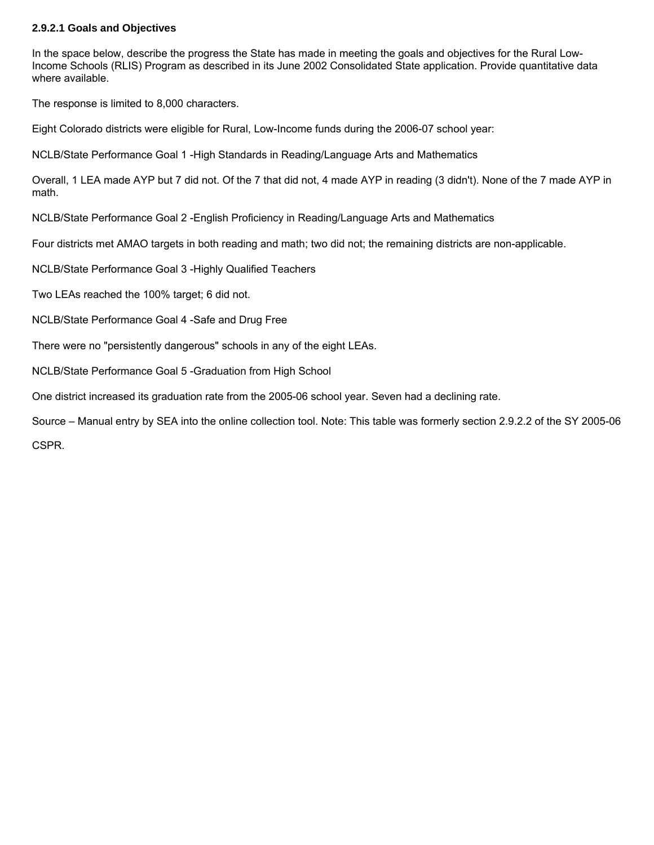### **2.9.2.1 Goals and Objectives**

In the space below, describe the progress the State has made in meeting the goals and objectives for the Rural Low-Income Schools (RLIS) Program as described in its June 2002 Consolidated State application. Provide quantitative data where available.

The response is limited to 8,000 characters.

Eight Colorado districts were eligible for Rural, Low-Income funds during the 2006-07 school year:

NCLB/State Performance Goal 1 -High Standards in Reading/Language Arts and Mathematics

Overall, 1 LEA made AYP but 7 did not. Of the 7 that did not, 4 made AYP in reading (3 didn't). None of the 7 made AYP in math.

NCLB/State Performance Goal 2 -English Proficiency in Reading/Language Arts and Mathematics

Four districts met AMAO targets in both reading and math; two did not; the remaining districts are non-applicable.

NCLB/State Performance Goal 3 -Highly Qualified Teachers

Two LEAs reached the 100% target; 6 did not.

NCLB/State Performance Goal 4 -Safe and Drug Free

There were no "persistently dangerous" schools in any of the eight LEAs.

NCLB/State Performance Goal 5 -Graduation from High School

One district increased its graduation rate from the 2005-06 school year. Seven had a declining rate.

Source – Manual entry by SEA into the online collection tool. Note: This table was formerly section 2.9.2.2 of the SY 2005-06 CSPR.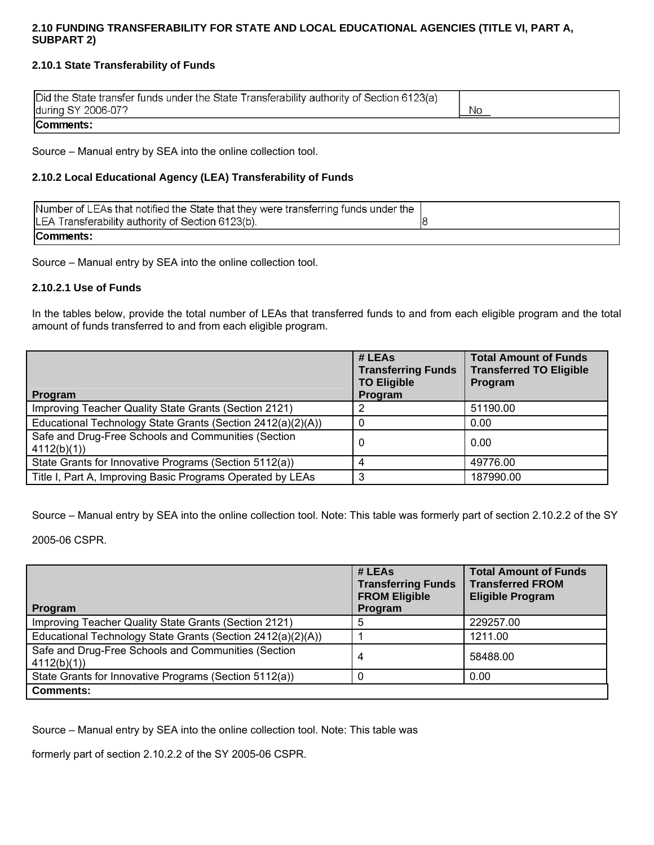# **2.10 FUNDING TRANSFERABILITY FOR STATE AND LOCAL EDUCATIONAL AGENCIES (TITLE VI, PART A, SUBPART 2)**

# **2.10.1 State Transferability of Funds**

| Did the State transfer funds under the State Transferability authority of Section 6123(a) |    |
|-------------------------------------------------------------------------------------------|----|
| during SY 2006-07?                                                                        | No |
| Comments:                                                                                 |    |

Source – Manual entry by SEA into the online collection tool.

# **2.10.2 Local Educational Agency (LEA) Transferability of Funds**

| Number of LEAs that notified the State that they were transferring funds under the |  |
|------------------------------------------------------------------------------------|--|
| LEA Transferability authority of Section 6123(b).                                  |  |
| Comments:                                                                          |  |

Source – Manual entry by SEA into the online collection tool.

### **2.10.2.1 Use of Funds**

In the tables below, provide the total number of LEAs that transferred funds to and from each eligible program and the total amount of funds transferred to and from each eligible program.

| Program                                                           | # LEAs<br><b>Transferring Funds</b><br><b>TO Eligible</b><br>Program | <b>Total Amount of Funds</b><br><b>Transferred TO Eligible</b><br>Program |
|-------------------------------------------------------------------|----------------------------------------------------------------------|---------------------------------------------------------------------------|
| Improving Teacher Quality State Grants (Section 2121)             |                                                                      | 51190.00                                                                  |
| Educational Technology State Grants (Section 2412(a)(2)(A))       |                                                                      | 0.00                                                                      |
| Safe and Drug-Free Schools and Communities (Section<br>4112(b)(1) | 0                                                                    | 0.00                                                                      |
| State Grants for Innovative Programs (Section 5112(a))            | Δ                                                                    | 49776.00                                                                  |
| Title I, Part A, Improving Basic Programs Operated by LEAs        | 3                                                                    | 187990.00                                                                 |

Source – Manual entry by SEA into the online collection tool. Note: This table was formerly part of section 2.10.2.2 of the SY

2005-06 CSPR.

| <b>Program</b>                                                    | # LEAs<br><b>Transferring Funds</b><br><b>FROM Eligible</b><br>Program | <b>Total Amount of Funds</b><br><b>Transferred FROM</b><br><b>Eligible Program</b> |
|-------------------------------------------------------------------|------------------------------------------------------------------------|------------------------------------------------------------------------------------|
| Improving Teacher Quality State Grants (Section 2121)             | 5                                                                      | 229257.00                                                                          |
| Educational Technology State Grants (Section 2412(a)(2)(A))       |                                                                        | 1211.00                                                                            |
| Safe and Drug-Free Schools and Communities (Section<br>4112(b)(1) | 4                                                                      | 58488.00                                                                           |
| State Grants for Innovative Programs (Section 5112(a))            |                                                                        | 0.00                                                                               |
| <b>Comments:</b>                                                  |                                                                        |                                                                                    |

Source – Manual entry by SEA into the online collection tool. Note: This table was

formerly part of section 2.10.2.2 of the SY 2005-06 CSPR.